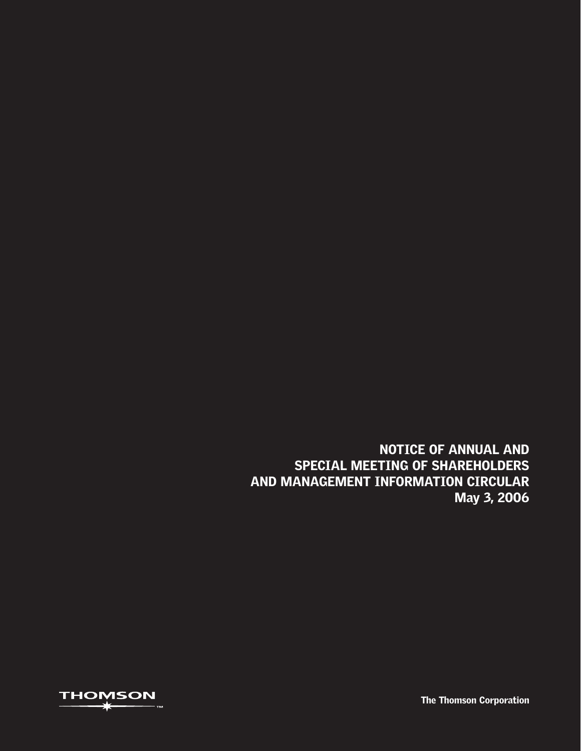NOTICE OF ANNUAL AND SPECIAL MEETING OF SHAREHOLDERS AND MANAGEMENT INFORMATION CIRCULAR May 3, 2006



The Thomson Corporation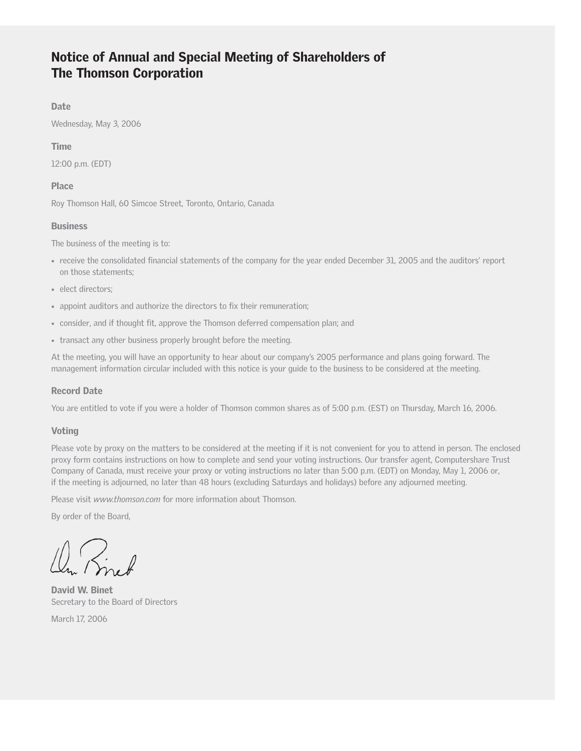# Notice of Annual and Special Meeting of Shareholders of The Thomson Corporation

### Date

Wednesday, May 3, 2006

### Time

12:00 p.m. (EDT)

### Place

Roy Thomson Hall, 60 Simcoe Street, Toronto, Ontario, Canada

### **Business**

The business of the meeting is to:

- receive the consolidated financial statements of the company for the year ended December 31, 2005 and the auditors' report on those statements;
- elect directors;
- appoint auditors and authorize the directors to fix their remuneration;
- consider, and if thought fit, approve the Thomson deferred compensation plan; and
- transact any other business properly brought before the meeting.

At the meeting, you will have an opportunity to hear about our company's 2005 performance and plans going forward. The management information circular included with this notice is your guide to the business to be considered at the meeting.

### Record Date

You are entitled to vote if you were a holder of Thomson common shares as of 5:00 p.m. (EST) on Thursday, March 16, 2006.

### Voting

Please vote by proxy on the matters to be considered at the meeting if it is not convenient for you to attend in person. The enclosed proxy form contains instructions on how to complete and send your voting instructions. Our transfer agent, Computershare Trust Company of Canada, must receive your proxy or voting instructions no later than 5:00 p.m. (EDT) on Monday, May 1, 2006 or, if the meeting is adjourned, no later than 48 hours (excluding Saturdays and holidays) before any adjourned meeting.

Please visit *www.thomson.com* for more information about Thomson.

By order of the Board,

David W. Binet Secretary to the Board of Directors

March 17, 2006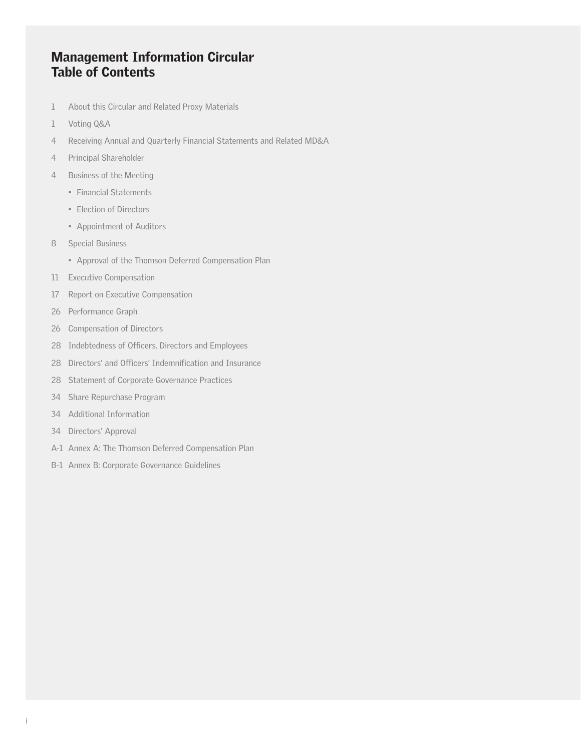# Management Information Circular Table of Contents

- 1 About this Circular and Related Proxy Materials
- 1 Voting Q&A
- 4 Receiving Annual and Quarterly Financial Statements and Related MD&A
- 4 Principal Shareholder
- 4 Business of the Meeting
	- Financial Statements
	- Election of Directors
	- Appointment of Auditors
- 8 Special Business
	- Approval of the Thomson Deferred Compensation Plan
- 11 Executive Compensation
- 17 Report on Executive Compensation
- 26 Performance Graph
- 26 Compensation of Directors
- 28 Indebtedness of Officers, Directors and Employees
- 28 Directors' and Officers' Indemnification and Insurance
- 28 Statement of Corporate Governance Practices
- 34 Share Repurchase Program
- 34 Additional Information
- 34 Directors' Approval
- A-1 Annex A: The Thomson Deferred Compensation Plan
- B-1 Annex B: Corporate Governance Guidelines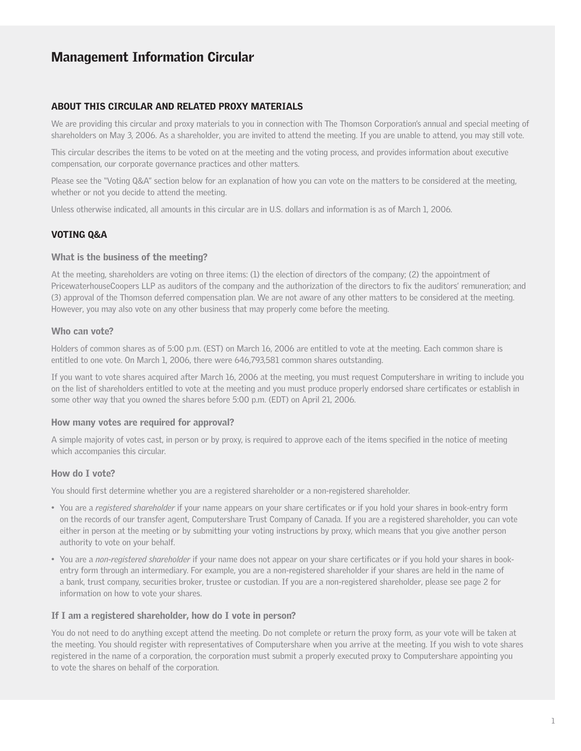### ABOUT THIS CIRCULAR AND RELATED PROXY MATERIALS

We are providing this circular and proxy materials to you in connection with The Thomson Corporation's annual and special meeting of shareholders on May 3, 2006. As a shareholder, you are invited to attend the meeting. If you are unable to attend, you may still vote.

This circular describes the items to be voted on at the meeting and the voting process, and provides information about executive compensation, our corporate governance practices and other matters.

Please see the "Voting Q&A" section below for an explanation of how you can vote on the matters to be considered at the meeting, whether or not you decide to attend the meeting.

Unless otherwise indicated, all amounts in this circular are in U.S. dollars and information is as of March 1, 2006.

### VOTING Q&A

#### What is the business of the meeting?

At the meeting, shareholders are voting on three items: (1) the election of directors of the company; (2) the appointment of PricewaterhouseCoopers LLP as auditors of the company and the authorization of the directors to fix the auditors' remuneration; and (3) approval of the Thomson deferred compensation plan. We are not aware of any other matters to be considered at the meeting. However, you may also vote on any other business that may properly come before the meeting.

#### Who can vote?

Holders of common shares as of 5:00 p.m. (EST) on March 16, 2006 are entitled to vote at the meeting. Each common share is entitled to one vote. On March 1, 2006, there were 646,793,581 common shares outstanding.

If you want to vote shares acquired after March 16, 2006 at the meeting, you must request Computershare in writing to include you on the list of shareholders entitled to vote at the meeting and you must produce properly endorsed share certificates or establish in some other way that you owned the shares before 5:00 p.m. (EDT) on April 21, 2006.

#### How many votes are required for approval?

A simple majority of votes cast, in person or by proxy, is required to approve each of the items specified in the notice of meeting which accompanies this circular.

#### How do I vote?

You should first determine whether you are a registered shareholder or a non-registered shareholder.

- You are a *registered shareholder* if your name appears on your share certificates or if you hold your shares in book-entry form on the records of our transfer agent, Computershare Trust Company of Canada. If you are a registered shareholder, you can vote either in person at the meeting or by submitting your voting instructions by proxy, which means that you give another person authority to vote on your behalf.
- You are a *non-registered shareholder* if your name does not appear on your share certificates or if you hold your shares in bookentry form through an intermediary. For example, you are a non-registered shareholder if your shares are held in the name of a bank, trust company, securities broker, trustee or custodian. If you are a non-registered shareholder, please see page 2 for information on how to vote your shares.

#### If I am a registered shareholder, how do I vote in person?

You do not need to do anything except attend the meeting. Do not complete or return the proxy form, as your vote will be taken at the meeting. You should register with representatives of Computershare when you arrive at the meeting. If you wish to vote shares registered in the name of a corporation, the corporation must submit a properly executed proxy to Computershare appointing you to vote the shares on behalf of the corporation.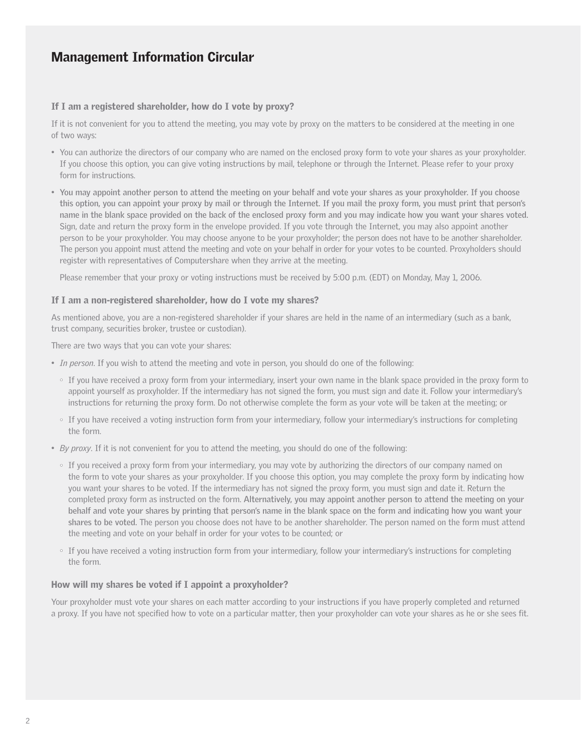#### If I am a registered shareholder, how do I vote by proxy?

If it is not convenient for you to attend the meeting, you may vote by proxy on the matters to be considered at the meeting in one of two ways:

- You can authorize the directors of our company who are named on the enclosed proxy form to vote your shares as your proxyholder. If you choose this option, you can give voting instructions by mail, telephone or through the Internet. Please refer to your proxy form for instructions.
- **You may appoint another person to attend the meeting on your behalf and vote your shares as your proxyholder. If you choose this option, you can appoint your proxy by mail or through the Internet. If you mail the proxy form, you must print that person's name in the blank space provided on the back of the enclosed proxy form and you may indicate how you want your shares voted.** Sign, date and return the proxy form in the envelope provided. If you vote through the Internet, you may also appoint another person to be your proxyholder. You may choose anyone to be your proxyholder; the person does not have to be another shareholder. The person you appoint must attend the meeting and vote on your behalf in order for your votes to be counted. Proxyholders should register with representatives of Computershare when they arrive at the meeting.

Please remember that your proxy or voting instructions must be received by 5:00 p.m. (EDT) on Monday, May 1, 2006.

#### If I am a non-registered shareholder, how do I vote my shares?

As mentioned above, you are a non-registered shareholder if your shares are held in the name of an intermediary (such as a bank, trust company, securities broker, trustee or custodian).

There are two ways that you can vote your shares:

- *In person*. If you wish to attend the meeting and vote in person, you should do one of the following:
	- If you have received a proxy form from your intermediary, insert your own name in the blank space provided in the proxy form to appoint yourself as proxyholder. If the intermediary has not signed the form, you must sign and date it. Follow your intermediary's instructions for returning the proxy form. Do not otherwise complete the form as your vote will be taken at the meeting; or
	- If you have received a voting instruction form from your intermediary, follow your intermediary's instructions for completing the form.
- *By proxy*. If it is not convenient for you to attend the meeting, you should do one of the following:
	- If you received a proxy form from your intermediary, you may vote by authorizing the directors of our company named on the form to vote your shares as your proxyholder. If you choose this option, you may complete the proxy form by indicating how you want your shares to be voted. If the intermediary has not signed the proxy form, you must sign and date it. Return the completed proxy form as instructed on the form. **Alternatively, you may appoint another person to attend the meeting on your behalf and vote your shares by printing that person's name in the blank space on the form and indicating how you want your shares to be voted.** The person you choose does not have to be another shareholder. The person named on the form must attend the meeting and vote on your behalf in order for your votes to be counted; or
	- If you have received a voting instruction form from your intermediary, follow your intermediary's instructions for completing the form.

#### How will my shares be voted if I appoint a proxyholder?

Your proxyholder must vote your shares on each matter according to your instructions if you have properly completed and returned a proxy. If you have not specified how to vote on a particular matter, then your proxyholder can vote your shares as he or she sees fit.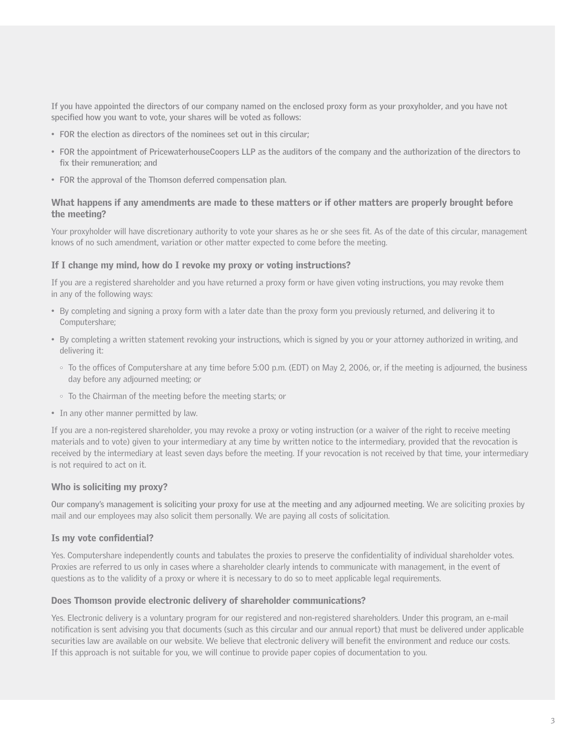**If you have appointed the directors of our company named on the enclosed proxy form as your proxyholder, and you have not specified how you want to vote, your shares will be voted as follows:**

- **FOR the election as directors of the nominees set out in this circular;**
- **FOR the appointment of PricewaterhouseCoopers LLP as the auditors of the company and the authorization of the directors to fix their remuneration; and**
- **FOR the approval of the Thomson deferred compensation plan.**

#### What happens if any amendments are made to these matters or if other matters are properly brought before the meeting?

Your proxyholder will have discretionary authority to vote your shares as he or she sees fit. As of the date of this circular, management knows of no such amendment, variation or other matter expected to come before the meeting.

### If I change my mind, how do I revoke my proxy or voting instructions?

If you are a registered shareholder and you have returned a proxy form or have given voting instructions, you may revoke them in any of the following ways:

- By completing and signing a proxy form with a later date than the proxy form you previously returned, and delivering it to Computershare;
- By completing a written statement revoking your instructions, which is signed by you or your attorney authorized in writing, and delivering it:
	- To the offices of Computershare at any time before 5:00 p.m. (EDT) on May 2, 2006, or, if the meeting is adjourned, the business day before any adjourned meeting; or
	- To the Chairman of the meeting before the meeting starts; or
- In any other manner permitted by law.

If you are a non-registered shareholder, you may revoke a proxy or voting instruction (or a waiver of the right to receive meeting materials and to vote) given to your intermediary at any time by written notice to the intermediary, provided that the revocation is received by the intermediary at least seven days before the meeting. If your revocation is not received by that time, your intermediary is not required to act on it.

#### Who is soliciting my proxy?

**Our company's management is soliciting your proxy for use at the meeting and any adjourned meeting.** We are soliciting proxies by mail and our employees may also solicit them personally. We are paying all costs of solicitation.

#### Is my vote confidential?

Yes. Computershare independently counts and tabulates the proxies to preserve the confidentiality of individual shareholder votes. Proxies are referred to us only in cases where a shareholder clearly intends to communicate with management, in the event of questions as to the validity of a proxy or where it is necessary to do so to meet applicable legal requirements.

#### Does Thomson provide electronic delivery of shareholder communications?

Yes. Electronic delivery is a voluntary program for our registered and non-registered shareholders. Under this program, an e-mail notification is sent advising you that documents (such as this circular and our annual report) that must be delivered under applicable securities law are available on our website. We believe that electronic delivery will benefit the environment and reduce our costs. If this approach is not suitable for you, we will continue to provide paper copies of documentation to you.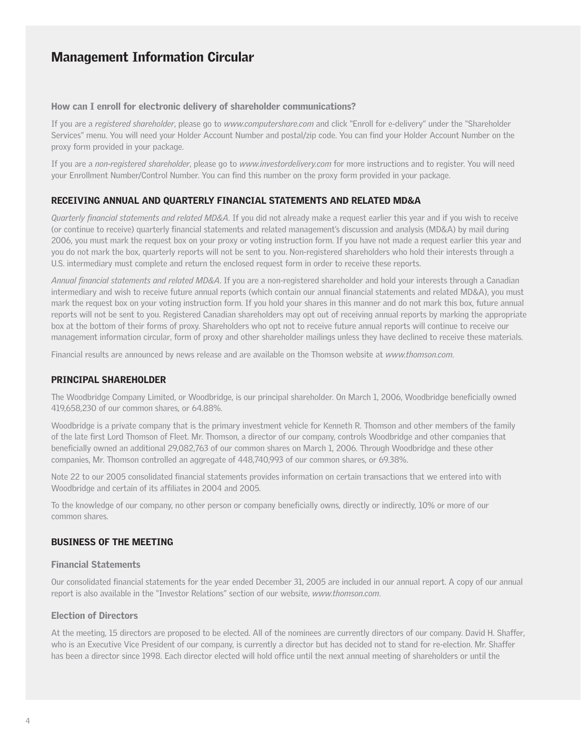#### How can I enroll for electronic delivery of shareholder communications?

If you are a *registered shareholder*, please go to *www.computershare.com* and click "Enroll for e-delivery" under the "Shareholder Services" menu. You will need your Holder Account Number and postal/zip code. You can find your Holder Account Number on the proxy form provided in your package.

If you are a *non-registered shareholder*, please go to *www.investordelivery.com* for more instructions and to register. You will need your Enrollment Number/Control Number. You can find this number on the proxy form provided in your package.

### RECEIVING ANNUAL AND QUARTERLY FINANCIAL STATEMENTS AND RELATED MD&A

*Quarterly financial statements and related MD&A*. If you did not already make a request earlier this year and if you wish to receive (or continue to receive) quarterly financial statements and related management's discussion and analysis (MD&A) by mail during 2006, you must mark the request box on your proxy or voting instruction form. If you have not made a request earlier this year and you do not mark the box, quarterly reports will not be sent to you. Non-registered shareholders who hold their interests through a U.S. intermediary must complete and return the enclosed request form in order to receive these reports.

*Annual financial statements and related MD&A*. If you are a non-registered shareholder and hold your interests through a Canadian intermediary and wish to receive future annual reports (which contain our annual financial statements and related MD&A), you must mark the request box on your voting instruction form. If you hold your shares in this manner and do not mark this box, future annual reports will not be sent to you. Registered Canadian shareholders may opt out of receiving annual reports by marking the appropriate box at the bottom of their forms of proxy. Shareholders who opt not to receive future annual reports will continue to receive our management information circular, form of proxy and other shareholder mailings unless they have declined to receive these materials.

Financial results are announced by news release and are available on the Thomson website at *www.thomson.com*.

### PRINCIPAL SHAREHOLDER

The Woodbridge Company Limited, or Woodbridge, is our principal shareholder. On March 1, 2006, Woodbridge beneficially owned 419,658,230 of our common shares, or 64.88%.

Woodbridge is a private company that is the primary investment vehicle for Kenneth R. Thomson and other members of the family of the late first Lord Thomson of Fleet. Mr. Thomson, a director of our company, controls Woodbridge and other companies that beneficially owned an additional 29,082,763 of our common shares on March 1, 2006. Through Woodbridge and these other companies, Mr. Thomson controlled an aggregate of 448,740,993 of our common shares, or 69.38%.

Note 22 to our 2005 consolidated financial statements provides information on certain transactions that we entered into with Woodbridge and certain of its affiliates in 2004 and 2005.

To the knowledge of our company, no other person or company beneficially owns, directly or indirectly, 10% or more of our common shares.

### BUSINESS OF THE MEETING

### Financial Statements

Our consolidated financial statements for the year ended December 31, 2005 are included in our annual report. A copy of our annual report is also available in the "Investor Relations" section of our website, *www.thomson.com*.

### Election of Directors

At the meeting, 15 directors are proposed to be elected. All of the nominees are currently directors of our company. David H. Shaffer, who is an Executive Vice President of our company, is currently a director but has decided not to stand for re-election. Mr. Shaffer has been a director since 1998. Each director elected will hold office until the next annual meeting of shareholders or until the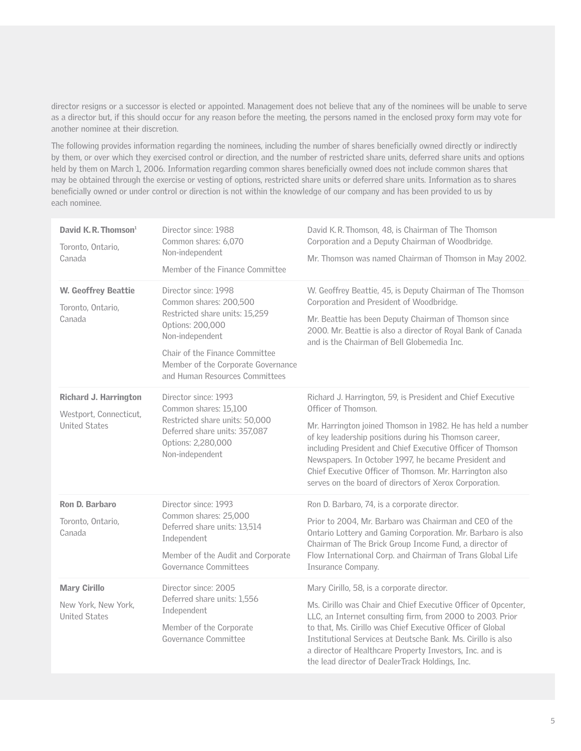director resigns or a successor is elected or appointed. Management does not believe that any of the nominees will be unable to serve as a director but, if this should occur for any reason before the meeting, the persons named in the enclosed proxy form may vote for another nominee at their discretion.

The following provides information regarding the nominees, including the number of shares beneficially owned directly or indirectly by them, or over which they exercised control or direction, and the number of restricted share units, deferred share units and options held by them on March 1, 2006. Information regarding common shares beneficially owned does not include common shares that may be obtained through the exercise or vesting of options, restricted share units or deferred share units. Information as to shares beneficially owned or under control or direction is not within the knowledge of our company and has been provided to us by each nominee.

| David K.R. Thomson <sup>1</sup><br>Toronto, Ontario,<br>Canada                                                                                                                                                                                                                                 | Director since: 1988<br>Common shares: 6,070<br>Non-independent<br>Member of the Finance Committee                                                                | David K.R. Thomson, 48, is Chairman of The Thomson<br>Corporation and a Deputy Chairman of Woodbridge.<br>Mr. Thomson was named Chairman of Thomson in May 2002.                                                                                                                                                                                                                                                                                       |  |  |
|------------------------------------------------------------------------------------------------------------------------------------------------------------------------------------------------------------------------------------------------------------------------------------------------|-------------------------------------------------------------------------------------------------------------------------------------------------------------------|--------------------------------------------------------------------------------------------------------------------------------------------------------------------------------------------------------------------------------------------------------------------------------------------------------------------------------------------------------------------------------------------------------------------------------------------------------|--|--|
| <b>W. Geoffrey Beattie</b><br>Director since: 1998<br>Common shares: 200,500<br>Toronto, Ontario,<br>Restricted share units: 15,259<br>Canada<br>Options: 200,000<br>Non-independent<br>Chair of the Finance Committee<br>Member of the Corporate Governance<br>and Human Resources Committees |                                                                                                                                                                   | W. Geoffrey Beattie, 45, is Deputy Chairman of The Thomson<br>Corporation and President of Woodbridge.<br>Mr. Beattie has been Deputy Chairman of Thomson since<br>2000. Mr. Beattie is also a director of Royal Bank of Canada<br>and is the Chairman of Bell Globemedia Inc.                                                                                                                                                                         |  |  |
| <b>Richard J. Harrington</b><br>Westport, Connecticut,<br><b>United States</b>                                                                                                                                                                                                                 | Director since: 1993<br>Common shares: 15,100<br>Restricted share units: 50,000<br>Deferred share units: 357,087<br>Options: 2,280,000<br>Non-independent         | Richard J. Harrington, 59, is President and Chief Executive<br>Officer of Thomson.<br>Mr. Harrington joined Thomson in 1982. He has held a number<br>of key leadership positions during his Thomson career,<br>including President and Chief Executive Officer of Thomson<br>Newspapers. In October 1997, he became President and<br>Chief Executive Officer of Thomson. Mr. Harrington also<br>serves on the board of directors of Xerox Corporation. |  |  |
| Ron D. Barbaro<br>Toronto, Ontario,<br>Canada                                                                                                                                                                                                                                                  | Director since: 1993<br>Common shares: 25,000<br>Deferred share units: 13,514<br>Independent<br>Member of the Audit and Corporate<br><b>Governance Committees</b> | Ron D. Barbaro, 74, is a corporate director.<br>Prior to 2004, Mr. Barbaro was Chairman and CEO of the<br>Ontario Lottery and Gaming Corporation. Mr. Barbaro is also<br>Chairman of The Brick Group Income Fund, a director of<br>Flow International Corp. and Chairman of Trans Global Life<br>Insurance Company.                                                                                                                                    |  |  |
| <b>Mary Cirillo</b><br>New York, New York,<br><b>United States</b>                                                                                                                                                                                                                             | Director since: 2005<br>Deferred share units: 1,556<br>Independent<br>Member of the Corporate<br>Governance Committee                                             | Mary Cirillo, 58, is a corporate director.<br>Ms. Cirillo was Chair and Chief Executive Officer of Opcenter,<br>LLC, an Internet consulting firm, from 2000 to 2003. Prior<br>to that, Ms. Cirillo was Chief Executive Officer of Global<br>Institutional Services at Deutsche Bank. Ms. Cirillo is also<br>a director of Healthcare Property Investors, Inc. and is<br>the lead director of DealerTrack Holdings, Inc.                                |  |  |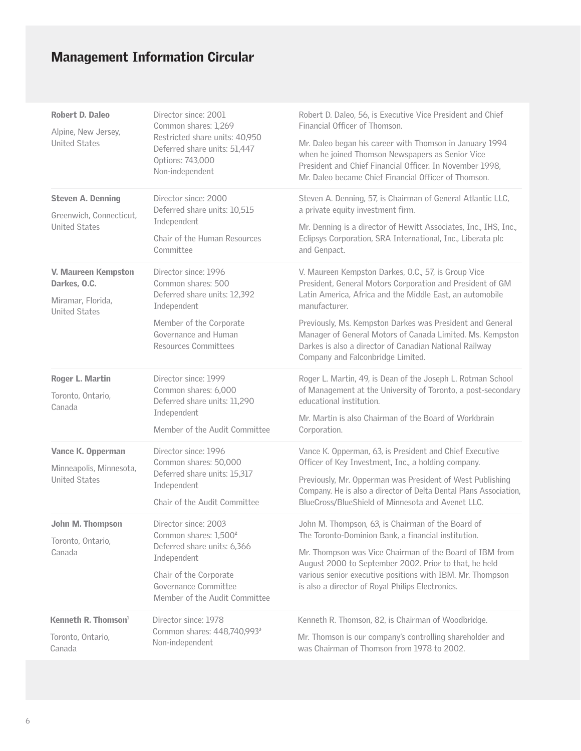| Robert D. Daleo<br>Alpine, New Jersey,                                           | Director since: 2001<br>Common shares: 1,269                                                                                                                                               | Robert D. Daleo, 56, is Executive Vice President and Chief<br>Financial Officer of Thomson.                                                                                                                                                                                                                                                                                                                            |  |  |
|----------------------------------------------------------------------------------|--------------------------------------------------------------------------------------------------------------------------------------------------------------------------------------------|------------------------------------------------------------------------------------------------------------------------------------------------------------------------------------------------------------------------------------------------------------------------------------------------------------------------------------------------------------------------------------------------------------------------|--|--|
| <b>United States</b>                                                             | Restricted share units: 40,950<br>Deferred share units: 51,447<br>Options: 743,000<br>Non-independent                                                                                      | Mr. Daleo began his career with Thomson in January 1994<br>when he joined Thomson Newspapers as Senior Vice<br>President and Chief Financial Officer. In November 1998,<br>Mr. Daleo became Chief Financial Officer of Thomson.                                                                                                                                                                                        |  |  |
| <b>Steven A. Denning</b><br>Greenwich, Connecticut,<br><b>United States</b>      | Director since: 2000<br>Deferred share units: 10,515<br>Independent<br>Chair of the Human Resources<br>Committee                                                                           | Steven A. Denning, 57, is Chairman of General Atlantic LLC,<br>a private equity investment firm.<br>Mr. Denning is a director of Hewitt Associates, Inc., IHS, Inc.,<br>Eclipsys Corporation, SRA International, Inc., Liberata plc<br>and Genpact.                                                                                                                                                                    |  |  |
| V. Maureen Kempston<br>Darkes, O.C.<br>Miramar, Florida,<br><b>United States</b> | Director since: 1996<br>Common shares: 500<br>Deferred share units: 12,392<br>Independent<br>Member of the Corporate<br>Governance and Human<br>Resources Committees                       | V. Maureen Kempston Darkes, O.C., 57, is Group Vice<br>President, General Motors Corporation and President of GM<br>Latin America, Africa and the Middle East, an automobile<br>manufacturer.<br>Previously, Ms. Kempston Darkes was President and General<br>Manager of General Motors of Canada Limited. Ms. Kempston<br>Darkes is also a director of Canadian National Railway<br>Company and Falconbridge Limited. |  |  |
| Roger L. Martin<br>Toronto, Ontario,<br>Canada                                   | Director since: 1999<br>Common shares: 6,000<br>Deferred share units: 11,290<br>Independent<br>Member of the Audit Committee                                                               | Roger L. Martin, 49, is Dean of the Joseph L. Rotman School<br>of Management at the University of Toronto, a post-secondary<br>educational institution.<br>Mr. Martin is also Chairman of the Board of Workbrain<br>Corporation.                                                                                                                                                                                       |  |  |
| Vance K. Opperman<br>Minneapolis, Minnesota,<br><b>United States</b>             | Director since: 1996<br>Common shares: 50,000<br>Deferred share units: 15,317<br>Independent<br>Chair of the Audit Committee                                                               | Vance K. Opperman, 63, is President and Chief Executive<br>Officer of Key Investment, Inc., a holding company.<br>Previously, Mr. Opperman was President of West Publishing<br>Company. He is also a director of Delta Dental Plans Association,<br>BlueCross/BlueShield of Minnesota and Avenet LLC.                                                                                                                  |  |  |
| John M. Thompson<br>Toronto, Ontario,<br>Canada                                  | Director since: 2003<br>Common shares: 1,500 <sup>2</sup><br>Deferred share units: 6,366<br>Independent<br>Chair of the Corporate<br>Governance Committee<br>Member of the Audit Committee | John M. Thompson, 63, is Chairman of the Board of<br>The Toronto-Dominion Bank, a financial institution.<br>Mr. Thompson was Vice Chairman of the Board of IBM from<br>August 2000 to September 2002. Prior to that, he held<br>various senior executive positions with IBM. Mr. Thompson<br>is also a director of Royal Philips Electronics.                                                                          |  |  |
| Kenneth R. Thomson <sup>1</sup><br>Toronto, Ontario,<br>Canada                   | Director since: 1978<br>Common shares: 448,740,993 <sup>3</sup><br>Non-independent                                                                                                         | Kenneth R. Thomson, 82, is Chairman of Woodbridge.<br>Mr. Thomson is our company's controlling shareholder and<br>was Chairman of Thomson from 1978 to 2002.                                                                                                                                                                                                                                                           |  |  |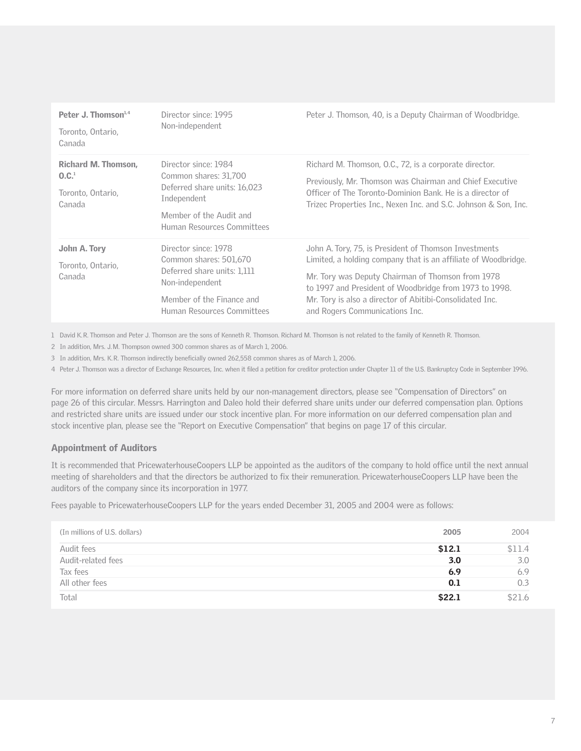| Peter J. Thomson $1,4$<br>Toronto, Ontario,<br>Canada                          | Director since: 1995<br>Non-independent                                                                                                                     | Peter J. Thomson, 40, is a Deputy Chairman of Woodbridge.                                                                                                                                                                                                                                                                            |
|--------------------------------------------------------------------------------|-------------------------------------------------------------------------------------------------------------------------------------------------------------|--------------------------------------------------------------------------------------------------------------------------------------------------------------------------------------------------------------------------------------------------------------------------------------------------------------------------------------|
| <b>Richard M. Thomson.</b><br>0.C. <sup>1</sup><br>Toronto, Ontario,<br>Canada | Director since: 1984<br>Common shares: 31,700<br>Deferred share units: 16,023<br>Independent<br>Member of the Audit and<br>Human Resources Committees       | Richard M. Thomson, O.C., 72, is a corporate director.<br>Previously, Mr. Thomson was Chairman and Chief Executive<br>Officer of The Toronto-Dominion Bank. He is a director of<br>Trizec Properties Inc., Nexen Inc. and S.C. Johnson & Son, Inc.                                                                                   |
| John A. Tory<br>Toronto, Ontario,<br>Canada                                    | Director since: 1978<br>Common shares: 501,670<br>Deferred share units: 1,111<br>Non-independent<br>Member of the Finance and<br>Human Resources Committees | John A. Tory, 75, is President of Thomson Investments<br>Limited, a holding company that is an affiliate of Woodbridge.<br>Mr. Tory was Deputy Chairman of Thomson from 1978<br>to 1997 and President of Woodbridge from 1973 to 1998.<br>Mr. Tory is also a director of Abitibi-Consolidated Inc.<br>and Rogers Communications Inc. |

1 David K.R. Thomson and Peter J. Thomson are the sons of Kenneth R. Thomson. Richard M. Thomson is not related to the family of Kenneth R. Thomson.

2 In addition, Mrs. J.M. Thompson owned 300 common shares as of March 1, 2006.

3 In addition, Mrs. K.R. Thomson indirectly beneficially owned 262,558 common shares as of March 1, 2006.

4 Peter J. Thomson was a director of Exchange Resources, Inc. when it filed a petition for creditor protection under Chapter 11 of the U.S. Bankruptcy Code in September 1996.

For more information on deferred share units held by our non-management directors, please see "Compensation of Directors" on page 26 of this circular. Messrs. Harrington and Daleo hold their deferred share units under our deferred compensation plan. Options and restricted share units are issued under our stock incentive plan. For more information on our deferred compensation plan and stock incentive plan, please see the "Report on Executive Compensation" that begins on page 17 of this circular.

### Appointment of Auditors

It is recommended that PricewaterhouseCoopers LLP be appointed as the auditors of the company to hold office until the next annual meeting of shareholders and that the directors be authorized to fix their remuneration. PricewaterhouseCoopers LLP have been the auditors of the company since its incorporation in 1977.

Fees payable to PricewaterhouseCoopers LLP for the years ended December 31, 2005 and 2004 were as follows:

| (In millions of U.S. dollars) | 2005   | 2004   |
|-------------------------------|--------|--------|
| Audit fees                    | \$12.1 | \$11.4 |
| Audit-related fees            | 3.0    | 3.0    |
| Tax fees                      | 6.9    | 6.9    |
| All other fees                | 0.1    | 0.3    |
| Total                         | \$22.1 | \$21.6 |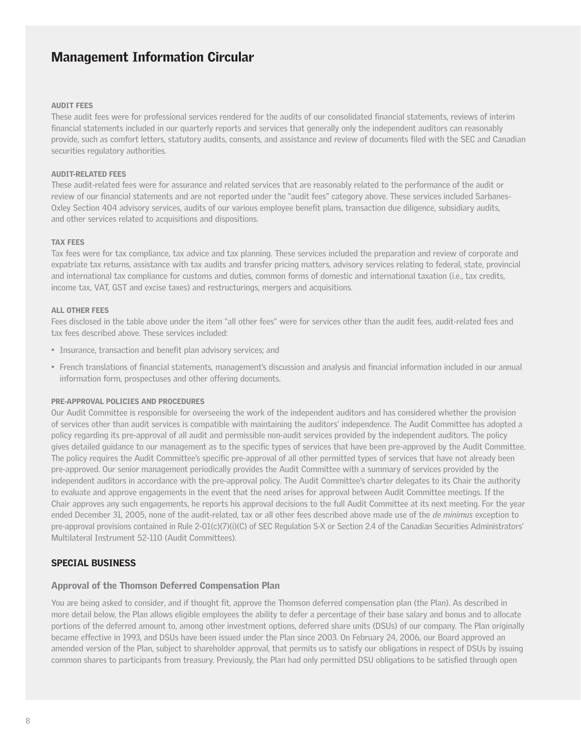#### AUDIT FEES

These audit fees were for professional services rendered for the audits of our consolidated financial statements, reviews of interim financial statements included in our quarterly reports and services that generally only the independent auditors can reasonably provide, such as comfort letters, statutory audits, consents, and assistance and review of documents filed with the SEC and Canadian securities regulatory authorities.

#### AUDIT-RELATED FEES

These audit-related fees were for assurance and related services that are reasonably related to the performance of the audit or review of our financial statements and are not reported under the "audit fees" category above. These services included Sarbanes-Oxley Section 404 advisory services, audits of our various employee benefit plans, transaction due diligence, subsidiary audits, and other services related to acquisitions and dispositions.

#### TAX FEES

Tax fees were for tax compliance, tax advice and tax planning. These services included the preparation and review of corporate and expatriate tax returns, assistance with tax audits and transfer pricing matters, advisory services relating to federal, state, provincial and international tax compliance for customs and duties, common forms of domestic and international taxation (i.e., tax credits, income tax, VAT, GST and excise taxes) and restructurings, mergers and acquisitions.

#### ALL OTHER FEES

Fees disclosed in the table above under the item "all other fees" were for services other than the audit fees, audit-related fees and tax fees described above. These services included:

- Insurance, transaction and benefit plan advisory services; and
- French translations of financial statements, management's discussion and analysis and financial information included in our annual information form, prospectuses and other offering documents.

#### PRE-APPROVAL POLICIES AND PROCEDURES

Our Audit Committee is responsible for overseeing the work of the independent auditors and has considered whether the provision of services other than audit services is compatible with maintaining the auditors' independence. The Audit Committee has adopted a policy regarding its pre-approval of all audit and permissible non-audit services provided by the independent auditors. The policy gives detailed guidance to our management as to the specific types of services that have been pre-approved by the Audit Committee. The policy requires the Audit Committee's specific pre-approval of all other permitted types of services that have not already been pre-approved. Our senior management periodically provides the Audit Committee with a summary of services provided by the independent auditors in accordance with the pre-approval policy. The Audit Committee's charter delegates to its Chair the authority to evaluate and approve engagements in the event that the need arises for approval between Audit Committee meetings. If the Chair approves any such engagements, he reports his approval decisions to the full Audit Committee at its next meeting. For the year ended December 31, 2005, none of the audit-related, tax or all other fees described above made use of the *de minimus* exception to pre-approval provisions contained in Rule 2-01(c)(7)(i)(C) of SEC Regulation S-X or Section 2.4 of the Canadian Securities Administrators' Multilateral Instrument 52-110 (Audit Committees).

#### SPECIAL BUSINESS

#### Approval of the Thomson Deferred Compensation Plan

You are being asked to consider, and if thought fit, approve the Thomson deferred compensation plan (the Plan). As described in more detail below, the Plan allows eligible employees the ability to defer a percentage of their base salary and bonus and to allocate portions of the deferred amount to, among other investment options, deferred share units (DSUs) of our company. The Plan originally became effective in 1993, and DSUs have been issued under the Plan since 2003. On February 24, 2006, our Board approved an amended version of the Plan, subject to shareholder approval, that permits us to satisfy our obligations in respect of DSUs by issuing common shares to participants from treasury. Previously, the Plan had only permitted DSU obligations to be satisfied through open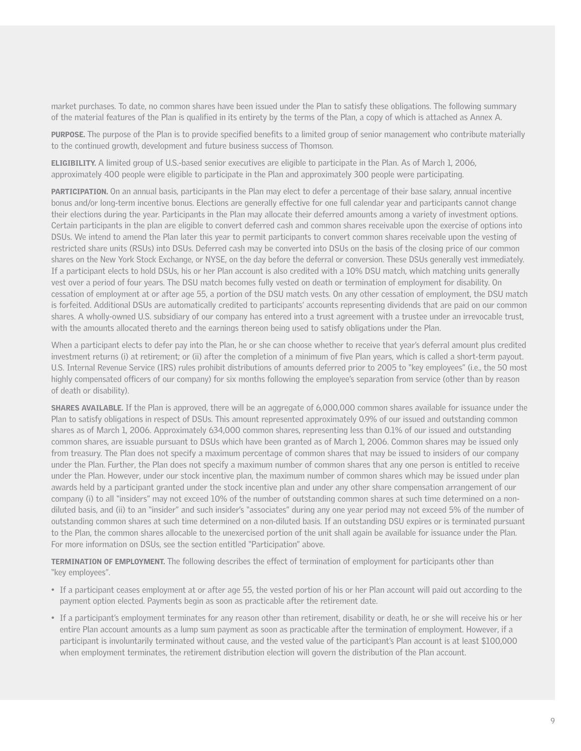market purchases. To date, no common shares have been issued under the Plan to satisfy these obligations. The following summary of the material features of the Plan is qualified in its entirety by the terms of the Plan, a copy of which is attached as Annex A.

PURPOSE. The purpose of the Plan is to provide specified benefits to a limited group of senior management who contribute materially to the continued growth, development and future business success of Thomson.

ELIGIBILITY. A limited group of U.S.-based senior executives are eligible to participate in the Plan. As of March 1, 2006, approximately 400 people were eligible to participate in the Plan and approximately 300 people were participating.

PARTICIPATION. On an annual basis, participants in the Plan may elect to defer a percentage of their base salary, annual incentive bonus and/or long-term incentive bonus. Elections are generally effective for one full calendar year and participants cannot change their elections during the year. Participants in the Plan may allocate their deferred amounts among a variety of investment options. Certain participants in the plan are eligible to convert deferred cash and common shares receivable upon the exercise of options into DSUs. We intend to amend the Plan later this year to permit participants to convert common shares receivable upon the vesting of restricted share units (RSUs) into DSUs. Deferred cash may be converted into DSUs on the basis of the closing price of our common shares on the New York Stock Exchange, or NYSE, on the day before the deferral or conversion. These DSUs generally vest immediately. If a participant elects to hold DSUs, his or her Plan account is also credited with a 10% DSU match, which matching units generally vest over a period of four years. The DSU match becomes fully vested on death or termination of employment for disability. On cessation of employment at or after age 55, a portion of the DSU match vests. On any other cessation of employment, the DSU match is forfeited. Additional DSUs are automatically credited to participants' accounts representing dividends that are paid on our common shares. A wholly-owned U.S. subsidiary of our company has entered into a trust agreement with a trustee under an irrevocable trust, with the amounts allocated thereto and the earnings thereon being used to satisfy obligations under the Plan.

When a participant elects to defer pay into the Plan, he or she can choose whether to receive that year's deferral amount plus credited investment returns (i) at retirement; or (ii) after the completion of a minimum of five Plan years, which is called a short-term payout. U.S. Internal Revenue Service (IRS) rules prohibit distributions of amounts deferred prior to 2005 to "key employees" (i.e., the 50 most highly compensated officers of our company) for six months following the employee's separation from service (other than by reason of death or disability).

SHARES AVAILABLE. If the Plan is approved, there will be an aggregate of 6,000,000 common shares available for issuance under the Plan to satisfy obligations in respect of DSUs. This amount represented approximately 0.9% of our issued and outstanding common shares as of March 1, 2006. Approximately 634,000 common shares, representing less than 0.1% of our issued and outstanding common shares, are issuable pursuant to DSUs which have been granted as of March 1, 2006. Common shares may be issued only from treasury. The Plan does not specify a maximum percentage of common shares that may be issued to insiders of our company under the Plan. Further, the Plan does not specify a maximum number of common shares that any one person is entitled to receive under the Plan. However, under our stock incentive plan, the maximum number of common shares which may be issued under plan awards held by a participant granted under the stock incentive plan and under any other share compensation arrangement of our company (i) to all "insiders" may not exceed 10% of the number of outstanding common shares at such time determined on a nondiluted basis, and (ii) to an "insider" and such insider's "associates" during any one year period may not exceed 5% of the number of outstanding common shares at such time determined on a non-diluted basis. If an outstanding DSU expires or is terminated pursuant to the Plan, the common shares allocable to the unexercised portion of the unit shall again be available for issuance under the Plan. For more information on DSUs, see the section entitled "Participation" above.

TERMINATION OF EMPLOYMENT. The following describes the effect of termination of employment for participants other than "key employees".

- If a participant ceases employment at or after age 55, the vested portion of his or her Plan account will paid out according to the payment option elected. Payments begin as soon as practicable after the retirement date.
- If a participant's employment terminates for any reason other than retirement, disability or death, he or she will receive his or her entire Plan account amounts as a lump sum payment as soon as practicable after the termination of employment. However, if a participant is involuntarily terminated without cause, and the vested value of the participant's Plan account is at least \$100,000 when employment terminates, the retirement distribution election will govern the distribution of the Plan account.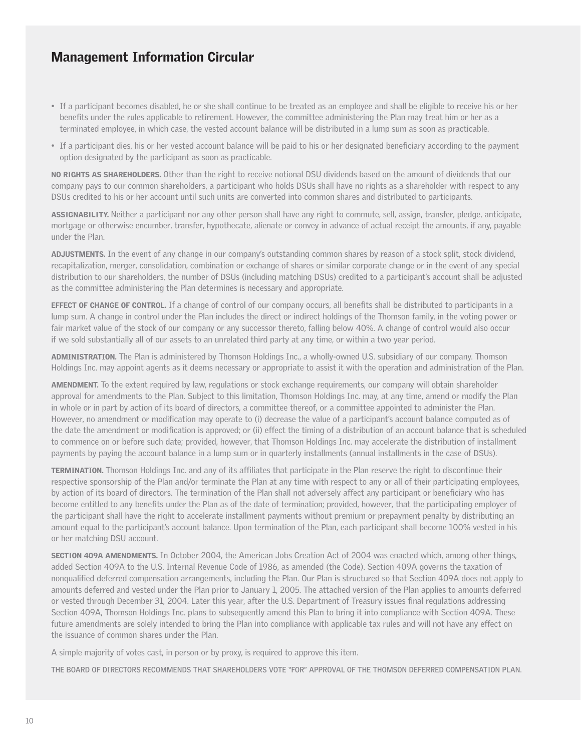- If a participant becomes disabled, he or she shall continue to be treated as an employee and shall be eligible to receive his or her benefits under the rules applicable to retirement. However, the committee administering the Plan may treat him or her as a terminated employee, in which case, the vested account balance will be distributed in a lump sum as soon as practicable.
- If a participant dies, his or her vested account balance will be paid to his or her designated beneficiary according to the payment option designated by the participant as soon as practicable.

NO RIGHTS AS SHAREHOLDERS. Other than the right to receive notional DSU dividends based on the amount of dividends that our company pays to our common shareholders, a participant who holds DSUs shall have no rights as a shareholder with respect to any DSUs credited to his or her account until such units are converted into common shares and distributed to participants.

ASSIGNABILITY. Neither a participant nor any other person shall have any right to commute, sell, assign, transfer, pledge, anticipate, mortgage or otherwise encumber, transfer, hypothecate, alienate or convey in advance of actual receipt the amounts, if any, payable under the Plan.

ADJUSTMENTS. In the event of any change in our company's outstanding common shares by reason of a stock split, stock dividend, recapitalization, merger, consolidation, combination or exchange of shares or similar corporate change or in the event of any special distribution to our shareholders, the number of DSUs (including matching DSUs) credited to a participant's account shall be adjusted as the committee administering the Plan determines is necessary and appropriate.

**EFFECT OF CHANGE OF CONTROL.** If a change of control of our company occurs, all benefits shall be distributed to participants in a lump sum. A change in control under the Plan includes the direct or indirect holdings of the Thomson family, in the voting power or fair market value of the stock of our company or any successor thereto, falling below 40%. A change of control would also occur if we sold substantially all of our assets to an unrelated third party at any time, or within a two year period.

ADMINISTRATION. The Plan is administered by Thomson Holdings Inc., a wholly-owned U.S. subsidiary of our company. Thomson Holdings Inc. may appoint agents as it deems necessary or appropriate to assist it with the operation and administration of the Plan.

AMENDMENT. To the extent required by law, regulations or stock exchange requirements, our company will obtain shareholder approval for amendments to the Plan. Subject to this limitation, Thomson Holdings Inc. may, at any time, amend or modify the Plan in whole or in part by action of its board of directors, a committee thereof, or a committee appointed to administer the Plan. However, no amendment or modification may operate to (i) decrease the value of a participant's account balance computed as of the date the amendment or modification is approved; or (ii) effect the timing of a distribution of an account balance that is scheduled to commence on or before such date; provided, however, that Thomson Holdings Inc. may accelerate the distribution of installment payments by paying the account balance in a lump sum or in quarterly installments (annual installments in the case of DSUs).

TERMINATION. Thomson Holdings Inc. and any of its affiliates that participate in the Plan reserve the right to discontinue their respective sponsorship of the Plan and/or terminate the Plan at any time with respect to any or all of their participating employees, by action of its board of directors. The termination of the Plan shall not adversely affect any participant or beneficiary who has become entitled to any benefits under the Plan as of the date of termination; provided, however, that the participating employer of the participant shall have the right to accelerate installment payments without premium or prepayment penalty by distributing an amount equal to the participant's account balance. Upon termination of the Plan, each participant shall become 100% vested in his or her matching DSU account.

SECTION 409A AMENDMENTS. In October 2004, the American Jobs Creation Act of 2004 was enacted which, among other things, added Section 409A to the U.S. Internal Revenue Code of 1986, as amended (the Code). Section 409A governs the taxation of nonqualified deferred compensation arrangements, including the Plan. Our Plan is structured so that Section 409A does not apply to amounts deferred and vested under the Plan prior to January 1, 2005. The attached version of the Plan applies to amounts deferred or vested through December 31, 2004. Later this year, after the U.S. Department of Treasury issues final regulations addressing Section 409A, Thomson Holdings Inc. plans to subsequently amend this Plan to bring it into compliance with Section 409A. These future amendments are solely intended to bring the Plan into compliance with applicable tax rules and will not have any effect on the issuance of common shares under the Plan.

A simple majority of votes cast, in person or by proxy, is required to approve this item.

**THE BOARD OF DIRECTORS RECOMMENDS THAT SHAREHOLDERS VOTE "FOR" APPROVAL OF THE THOMSON DEFERRED COMPENSATION PLAN.**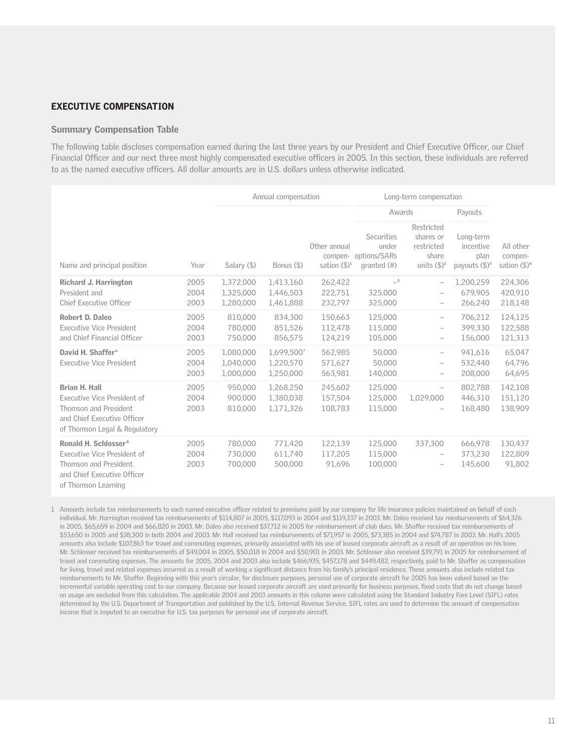### EXECUTIVE COMPENSATION

#### Summary Compensation Table

The following table discloses compensation earned during the last three years by our President and Chief Executive Officer, our Chief Financial Officer and our next three most highly compensated executive officers in 2005. In this section, these individuals are referred to as the named executive officers. All dollar amounts are in U.S. dollars unless otherwise indicated.

|                                                                                                                                                       |                      |                                     | Annual compensation                  |                               | Long-term compensation                  |                                                                                  |                                                                |                                                             |                                                  |
|-------------------------------------------------------------------------------------------------------------------------------------------------------|----------------------|-------------------------------------|--------------------------------------|-------------------------------|-----------------------------------------|----------------------------------------------------------------------------------|----------------------------------------------------------------|-------------------------------------------------------------|--------------------------------------------------|
|                                                                                                                                                       |                      |                                     |                                      |                               | Awards                                  |                                                                                  | Payouts                                                        |                                                             |                                                  |
| Name and principal position                                                                                                                           | Year                 |                                     | Salary $($ \$)                       | Bonus (\$)                    | Other annual<br>sation $(\mathbb{S})^1$ | Securities<br>under<br>compen- options/SARs<br>granted $(#)$                     | Restricted<br>shares or<br>restricted<br>share<br>units $(5)2$ | Long-term<br>incentive<br>plan<br>payouts $(\frac{5}{3})^3$ | All other<br>compen-<br>sation $(\frac{5}{9})^4$ |
| Richard J. Harrington<br>President and                                                                                                                | 2005<br>2004         | 1,372,000<br>1,325,000              | 1,413,160<br>1,446,503               | 262,422<br>222,751            | $-5$<br>325,000                         | $\hspace{1.0cm} - \hspace{1.0cm}$<br>$\qquad \qquad -$                           | 1,200,259<br>679.905                                           | 224,306<br>420,910                                          |                                                  |
| <b>Chief Executive Officer</b>                                                                                                                        | 2003                 | 1,280,000                           | 1,461,888                            | 232,797                       | 325,000                                 | $\qquad \qquad -$                                                                | 266,240                                                        | 218,148                                                     |                                                  |
| Robert D. Daleo<br><b>Executive Vice President</b><br>and Chief Financial Officer                                                                     | 2005<br>2004<br>2003 | 810,000<br>780,000<br>750,000       | 834,300<br>851,526<br>856,575        | 150,663<br>112,478<br>124,219 | 125,000<br>115,000<br>105,000           | $\overline{\phantom{a}}$<br>$\overline{\phantom{a}}$<br>$\overline{\phantom{a}}$ | 706,212<br>399,330<br>156,000                                  | 124,125<br>122,588<br>121,313                               |                                                  |
| David H. Shaffer <sup>6</sup><br><b>Executive Vice President</b>                                                                                      | 2005<br>2004<br>2003 | 1,080,000<br>1,040,000<br>1,000,000 | 1,699,5007<br>1,220,570<br>1,250,000 | 562,985<br>571,627<br>563,981 | 50,000<br>50,000<br>140,000             | $\overline{\phantom{0}}$<br>$\qquad \qquad -$<br>$\overline{\phantom{a}}$        | 941,616<br>532,440<br>208,000                                  | 65,047<br>64,796<br>64,695                                  |                                                  |
| <b>Brian H. Hall</b><br>Executive Vice President of<br>Thomson and President<br>and Chief Executive Officer<br>of Thomson Legal & Regulatory          | 2005<br>2004<br>2003 | 950,000<br>900,000<br>810,000       | 1,268,250<br>1,380,038<br>1,171,326  | 245,602<br>157,504<br>108,783 | 125,000<br>125,000<br>115,000           | $\overline{\phantom{a}}$<br>1,029,000<br>-                                       | 802.788<br>446,310<br>168,480                                  | 142,108<br>151,120<br>138,909                               |                                                  |
| Ronald H. Schlosser <sup>8</sup><br>Executive Vice President of<br><b>Thomson and President</b><br>and Chief Executive Officer<br>of Thomson Learning | 2005<br>2004<br>2003 | 780,000<br>730,000<br>700,000       | 771,420<br>611,740<br>500,000        | 122,139<br>117,205<br>91,696  | 125,000<br>115,000<br>100,000           | 337,300<br>$\overline{\phantom{a}}$<br>$\overline{\phantom{a}}$                  | 666,978<br>373.230<br>145,600                                  | 130,437<br>122,809<br>91,802                                |                                                  |

1 Amounts include tax reimbursements to each named executive officer related to premiums paid by our company for life insurance policies maintained on behalf of each individual. Mr. Harrington received tax reimbursements of \$114,807 in 2005, \$117,093 in 2004 and \$119,337 in 2003. Mr. Daleo received tax reimbursements of \$64,326 in 2005, \$65,659 in 2004 and \$66,820 in 2003. Mr. Daleo also received \$37,712 in 2005 for reimbursement of club dues. Mr. Shaffer received tax reimbursements of \$53,650 in 2005 and \$38,300 in both 2004 and 2003. Mr. Hall received tax reimbursements of \$71,957 in 2005, \$73,385 in 2004 and \$74,787 in 2003. Mr. Hall's 2005 amounts also include \$107,863 for travel and commuting expenses, primarily associated with his use of leased corporate aircraft as a result of an operation on his knee. Mr. Schlosser received tax reimbursements of \$49,004 in 2005, \$50,018 in 2004 and \$50,901 in 2003. Mr. Schlosser also received \$39,791 in 2005 for reimbursement of travel and commuting expenses. The amounts for 2005, 2004 and 2003 also include \$466,935, \$457,178 and \$449,482, respectively, paid to Mr. Shaffer as compensation for living, travel and related expenses incurred as a result of working a significant distance from his family's principal residence. These amounts also include related tax reimbursements to Mr. Shaffer. Beginning with this year's circular, for disclosure purposes, personal use of corporate aircraft for 2005 has been valued based on the incremental variable operating cost to our company. Because our leased corporate aircraft are used primarily for business purposes, fixed costs that do not change based on usage are excluded from this calculation. The applicable 2004 and 2003 amounts in this column were calculated using the Standard Industry Fare Level (SIFL) rates determined by the U.S. Department of Transportation and published by the U.S. Internal Revenue Service. SIFL rates are used to determine the amount of compensation income that is imputed to an executive for U.S. tax purposes for personal use of corporate aircraft.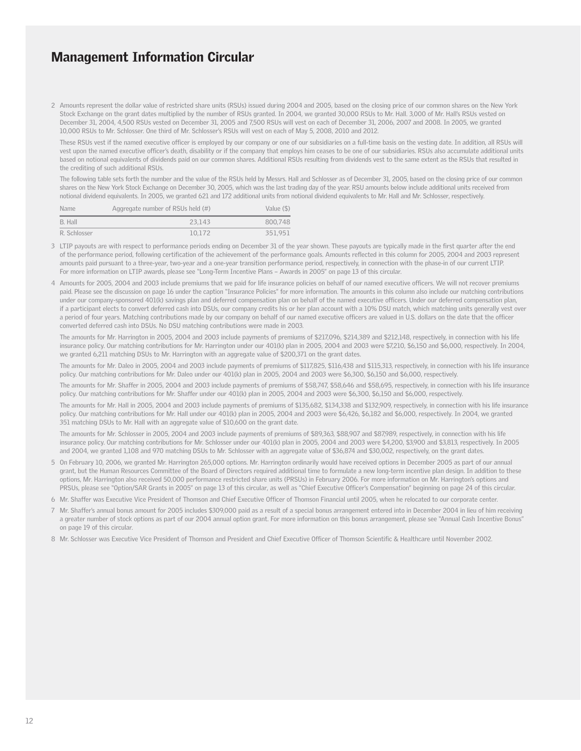2 Amounts represent the dollar value of restricted share units (RSUs) issued during 2004 and 2005, based on the closing price of our common shares on the New York Stock Exchange on the grant dates multiplied by the number of RSUs granted. In 2004, we granted 30,000 RSUs to Mr. Hall. 3,000 of Mr. Hall's RSUs vested on December 31, 2004, 4,500 RSUs vested on December 31, 2005 and 7,500 RSUs will vest on each of December 31, 2006, 2007 and 2008. In 2005, we granted 10,000 RSUs to Mr. Schlosser. One third of Mr. Schlosser's RSUs will vest on each of May 5, 2008, 2010 and 2012.

These RSUs vest if the named executive officer is employed by our company or one of our subsidiaries on a full-time basis on the vesting date. In addition, all RSUs will vest upon the named executive officer's death, disability or if the company that employs him ceases to be one of our subsidiaries. RSUs also accumulate additional units based on notional equivalents of dividends paid on our common shares. Additional RSUs resulting from dividends vest to the same extent as the RSUs that resulted in the crediting of such additional RSUs.

The following table sets forth the number and the value of the RSUs held by Messrs. Hall and Schlosser as of December 31, 2005, based on the closing price of our common shares on the New York Stock Exchange on December 30, 2005, which was the last trading day of the year. RSU amounts below include additional units received from notional dividend equivalents. In 2005, we granted 621 and 172 additional units from notional dividend equivalents to Mr. Hall and Mr. Schlosser, respectively.

| <b>Name</b>  | Aggregate number of RSUs held (#) | Value (\$) |
|--------------|-----------------------------------|------------|
| B. Hall      | 23.143                            | 800.748    |
| R. Schlosser | 10.172                            | 351.951    |

- 3 LTIP payouts are with respect to performance periods ending on December 31 of the year shown. These payouts are typically made in the first quarter after the end of the performance period, following certification of the achievement of the performance goals. Amounts reflected in this column for 2005, 2004 and 2003 represent amounts paid pursuant to a three-year, two-year and a one-year transition performance period, respectively, in connection with the phase-in of our current LTIP. For more information on LTIP awards, please see "Long-Term Incentive Plans – Awards in 2005" on page 13 of this circular.
- 4 Amounts for 2005, 2004 and 2003 include premiums that we paid for life insurance policies on behalf of our named executive officers. We will not recover premiums paid. Please see the discussion on page 16 under the caption "Insurance Policies" for more information. The amounts in this column also include our matching contributions under our company-sponsored 401(k) savings plan and deferred compensation plan on behalf of the named executive officers. Under our deferred compensation plan, if a participant elects to convert deferred cash into DSUs, our company credits his or her plan account with a 10% DSU match, which matching units generally vest over a period of four years. Matching contributions made by our company on behalf of our named executive officers are valued in U.S. dollars on the date that the officer converted deferred cash into DSUs. No DSU matching contributions were made in 2003.

The amounts for Mr. Harrington in 2005, 2004 and 2003 include payments of premiums of \$217,096, \$214,389 and \$212,148, respectively, in connection with his life insurance policy. Our matching contributions for Mr. Harrington under our 401(k) plan in 2005, 2004 and 2003 were \$7,210, \$6,150 and \$6,000, respectively. In 2004, we granted 6,211 matching DSUs to Mr. Harrington with an aggregate value of \$200,371 on the grant dates.

The amounts for Mr. Daleo in 2005, 2004 and 2003 include payments of premiums of \$117,825, \$116,438 and \$115,313, respectively, in connection with his life insurance policy. Our matching contributions for Mr. Daleo under our 401(k) plan in 2005, 2004 and 2003 were \$6,300, \$6,150 and \$6,000, respectively.

The amounts for Mr. Shaffer in 2005, 2004 and 2003 include payments of premiums of \$58,747, \$58,646 and \$58,695, respectively, in connection with his life insurance policy. Our matching contributions for Mr. Shaffer under our 401(k) plan in 2005, 2004 and 2003 were \$6,300, \$6,150 and \$6,000, respectively.

The amounts for Mr. Hall in 2005, 2004 and 2003 include payments of premiums of \$135,682, \$134,338 and \$132,909, respectively, in connection with his life insurance policy. Our matching contributions for Mr. Hall under our 401(k) plan in 2005, 2004 and 2003 were \$6,426, \$6,182 and \$6,000, respectively. In 2004, we granted 351 matching DSUs to Mr. Hall with an aggregate value of \$10,600 on the grant date.

The amounts for Mr. Schlosser in 2005, 2004 and 2003 include payments of premiums of \$89,363, \$88,907 and \$87,989, respectively, in connection with his life insurance policy. Our matching contributions for Mr. Schlosser under our 401(k) plan in 2005, 2004 and 2003 were \$4,200, \$3,900 and \$3,813, respectively. In 2005 and 2004, we granted 1,108 and 970 matching DSUs to Mr. Schlosser with an aggregate value of \$36,874 and \$30,002, respectively, on the grant dates.

5 On February 10, 2006, we granted Mr. Harrington 265,000 options. Mr. Harrington ordinarily would have received options in December 2005 as part of our annual grant, but the Human Resources Committee of the Board of Directors required additional time to formulate a new long-term incentive plan design. In addition to these options, Mr. Harrington also received 50,000 performance restricted share units (PRSUs) in February 2006. For more information on Mr. Harrington's options and PRSUs, please see "Option/SAR Grants in 2005" on page 13 of this circular, as well as "Chief Executive Officer's Compensation" beginning on page 24 of this circular.

6 Mr. Shaffer was Executive Vice President of Thomson and Chief Executive Officer of Thomson Financial until 2005, when he relocated to our corporate center.

- 7 Mr. Shaffer's annual bonus amount for 2005 includes \$309,000 paid as a result of a special bonus arrangement entered into in December 2004 in lieu of him receiving a greater number of stock options as part of our 2004 annual option grant. For more information on this bonus arrangement, please see "Annual Cash Incentive Bonus" on page 19 of this circular.
- 8 Mr. Schlosser was Executive Vice President of Thomson and President and Chief Executive Officer of Thomson Scientific & Healthcare until November 2002.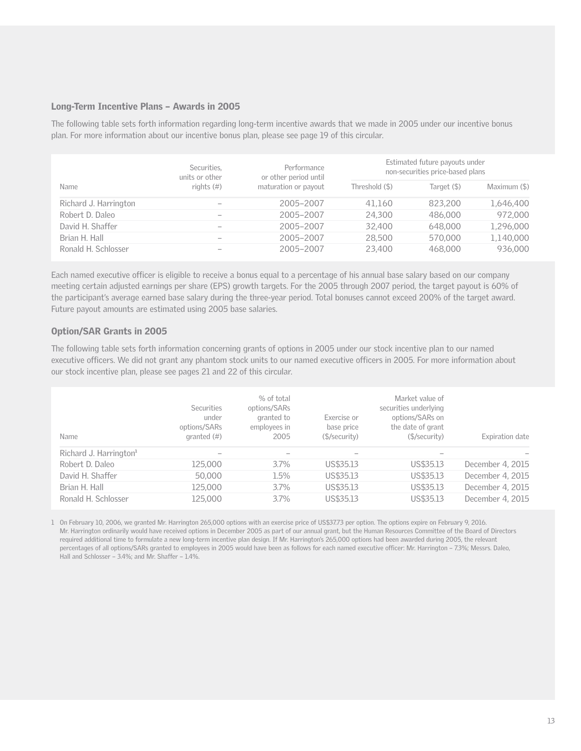#### Long-Term Incentive Plans – Awards in 2005

The following table sets forth information regarding long-term incentive awards that we made in 2005 under our incentive bonus plan. For more information about our incentive bonus plan, please see page 19 of this circular.

|                       | Securities,<br>units or other | Performance<br>or other period until | Estimated future payouts under<br>non-securities price-based plans |             |              |
|-----------------------|-------------------------------|--------------------------------------|--------------------------------------------------------------------|-------------|--------------|
| Name                  | rights $(\#)$                 | maturation or payout                 | Threshold (\$)                                                     | Target (\$) | Maximum (\$) |
| Richard J. Harrington |                               | 2005-2007                            | 41,160                                                             | 823.200     | 1,646,400    |
| Robert D. Daleo       |                               | 2005-2007                            | 24,300                                                             | 486,000     | 972,000      |
| David H. Shaffer      |                               | 2005-2007                            | 32,400                                                             | 648,000     | 1,296,000    |
| Brian H. Hall         |                               | 2005-2007                            | 28,500                                                             | 570,000     | 1,140,000    |
| Ronald H. Schlosser   |                               | 2005-2007                            | 23,400                                                             | 468,000     | 936,000      |

Each named executive officer is eligible to receive a bonus equal to a percentage of his annual base salary based on our company meeting certain adjusted earnings per share (EPS) growth targets. For the 2005 through 2007 period, the target payout is 60% of the participant's average earned base salary during the three-year period. Total bonuses cannot exceed 200% of the target award. Future payout amounts are estimated using 2005 base salaries.

### Option/SAR Grants in 2005

The following table sets forth information concerning grants of options in 2005 under our stock incentive plan to our named executive officers. We did not grant any phantom stock units to our named executive officers in 2005. For more information about our stock incentive plan, please see pages 21 and 22 of this circular.

| Name                               | <b>Securities</b><br>under<br>options/SARs<br>granted $(\#)$ | % of total<br>options/SARs<br>granted to<br>employees in<br>2005 | Exercise or<br>base price<br>(\$/security) | Market value of<br>securities underlying<br>options/SARs on<br>the date of grant<br>(\$/security) | Expiration date  |
|------------------------------------|--------------------------------------------------------------|------------------------------------------------------------------|--------------------------------------------|---------------------------------------------------------------------------------------------------|------------------|
| Richard J. Harrington <sup>1</sup> |                                                              |                                                                  |                                            |                                                                                                   |                  |
| Robert D. Daleo                    | 125,000                                                      | 3.7%                                                             | US\$35.13                                  | US\$35.13                                                                                         | December 4, 2015 |
| David H. Shaffer                   | 50,000                                                       | 1.5%                                                             | US\$35.13                                  | US\$35.13                                                                                         | December 4, 2015 |
| Brian H. Hall                      | 125,000                                                      | 3.7%                                                             | US\$35.13                                  | US\$35.13                                                                                         | December 4, 2015 |
| Ronald H. Schlosser                | 125,000                                                      | 3.7%                                                             | US\$35.13                                  | US\$35.13                                                                                         | December 4, 2015 |

1 On February 10, 2006, we granted Mr. Harrington 265,000 options with an exercise price of US\$37.73 per option. The options expire on February 9, 2016. Mr. Harrington ordinarily would have received options in December 2005 as part of our annual grant, but the Human Resources Committee of the Board of Directors required additional time to formulate a new long-term incentive plan design. If Mr. Harrington's 265,000 options had been awarded during 2005, the relevant percentages of all options/SARs granted to employees in 2005 would have been as follows for each named executive officer: Mr. Harrington – 7.3%; Messrs. Daleo, Hall and Schlosser – 3.4%; and Mr. Shaffer – 1.4%.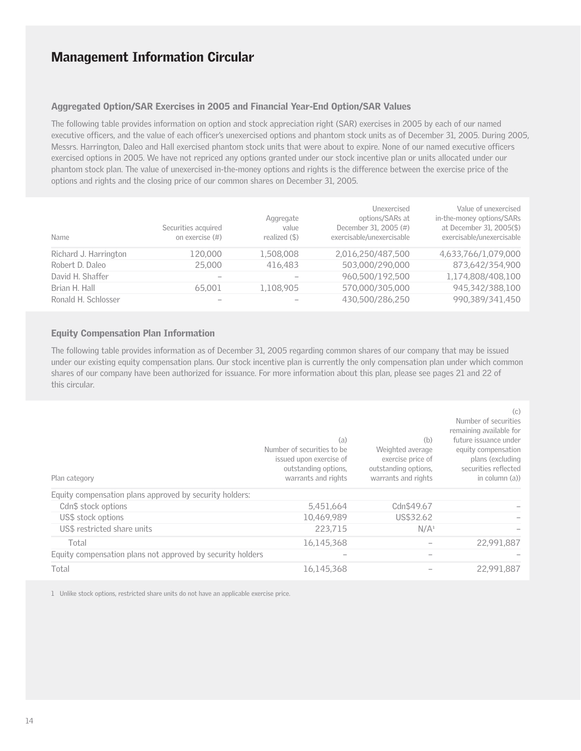### Aggregated Option/SAR Exercises in 2005 and Financial Year-End Option/SAR Values

The following table provides information on option and stock appreciation right (SAR) exercises in 2005 by each of our named executive officers, and the value of each officer's unexercised options and phantom stock units as of December 31, 2005. During 2005, Messrs. Harrington, Daleo and Hall exercised phantom stock units that were about to expire. None of our named executive officers exercised options in 2005. We have not repriced any options granted under our stock incentive plan or units allocated under our phantom stock plan. The value of unexercised in-the-money options and rights is the difference between the exercise price of the options and rights and the closing price of our common shares on December 31, 2005.

| Name                  | Securities acquired<br>on exercise (#) | Aggregate<br>value<br>realized (\$) | Unexercised<br>options/SARs at<br>December 31, 2005 (#)<br>exercisable/unexercisable | Value of unexercised<br>in-the-money options/SARs<br>at December 31, 2005(\$)<br>exercisable/unexercisable |
|-----------------------|----------------------------------------|-------------------------------------|--------------------------------------------------------------------------------------|------------------------------------------------------------------------------------------------------------|
| Richard J. Harrington | 120,000                                | 1,508,008                           | 2.016.250/487.500                                                                    | 4,633,766/1,079,000                                                                                        |
| Robert D. Daleo       | 25,000                                 | 416,483                             | 503.000/290.000                                                                      | 873,642/354,900                                                                                            |
| David H. Shaffer      |                                        |                                     | 960.500/192.500                                                                      | 1,174,808/408,100                                                                                          |
| Brian H. Hall         | 65,001                                 | 1,108,905                           | 570.000/305.000                                                                      | 945,342/388,100                                                                                            |
| Ronald H. Schlosser   |                                        |                                     | 430.500/286.250                                                                      | 990.389/341.450                                                                                            |

#### Equity Compensation Plan Information

The following table provides information as of December 31, 2005 regarding common shares of our company that may be issued under our existing equity compensation plans. Our stock incentive plan is currently the only compensation plan under which common shares of our company have been authorized for issuance. For more information about this plan, please see pages 21 and 22 of this circular.

| Plan category                                              | (a)<br>Number of securities to be<br>issued upon exercise of<br>outstanding options,<br>warrants and rights | (b)<br>Weighted average<br>exercise price of<br>outstanding options,<br>warrants and rights | (c)<br>Number of securities<br>remaining available for<br>future issuance under<br>equity compensation<br>plans (excluding<br>securities reflected<br>in column (a)) |
|------------------------------------------------------------|-------------------------------------------------------------------------------------------------------------|---------------------------------------------------------------------------------------------|----------------------------------------------------------------------------------------------------------------------------------------------------------------------|
| Equity compensation plans approved by security holders:    |                                                                                                             |                                                                                             |                                                                                                                                                                      |
| Cdn\$ stock options                                        | 5,451,664                                                                                                   | Cdn\$49.67                                                                                  |                                                                                                                                                                      |
| US\$ stock options                                         | 10,469,989                                                                                                  | US\$32.62                                                                                   |                                                                                                                                                                      |
| US\$ restricted share units                                | 223.715                                                                                                     | N/A <sup>1</sup>                                                                            |                                                                                                                                                                      |
| Total                                                      | 16.145.368                                                                                                  |                                                                                             | 22,991.887                                                                                                                                                           |
| Equity compensation plans not approved by security holders |                                                                                                             |                                                                                             |                                                                                                                                                                      |
| Total                                                      | 16.145.368                                                                                                  |                                                                                             | 22,991,887                                                                                                                                                           |

1 Unlike stock options, restricted share units do not have an applicable exercise price.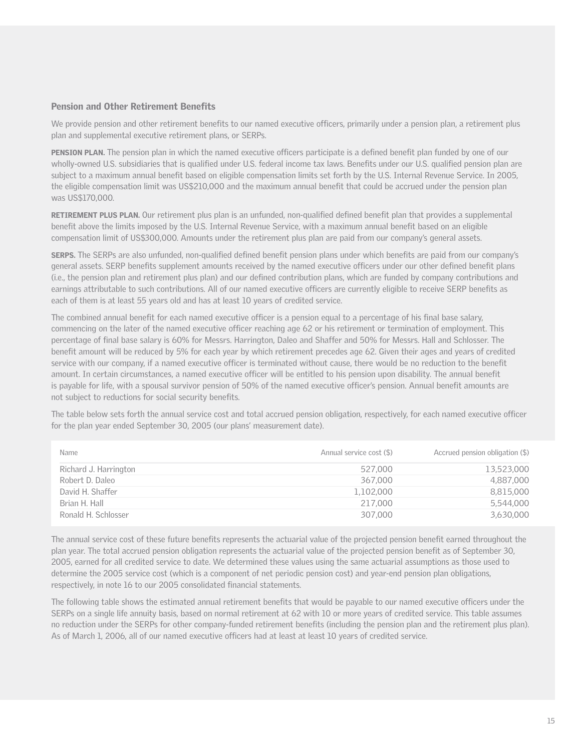#### Pension and Other Retirement Benefits

We provide pension and other retirement benefits to our named executive officers, primarily under a pension plan, a retirement plus plan and supplemental executive retirement plans, or SERPs.

PENSION PLAN. The pension plan in which the named executive officers participate is a defined benefit plan funded by one of our wholly-owned U.S. subsidiaries that is qualified under U.S. federal income tax laws. Benefits under our U.S. qualified pension plan are subject to a maximum annual benefit based on eligible compensation limits set forth by the U.S. Internal Revenue Service. In 2005, the eligible compensation limit was US\$210,000 and the maximum annual benefit that could be accrued under the pension plan was US\$170,000.

RETIREMENT PLUS PLAN. Our retirement plus plan is an unfunded, non-qualified defined benefit plan that provides a supplemental benefit above the limits imposed by the U.S. Internal Revenue Service, with a maximum annual benefit based on an eligible compensation limit of US\$300,000. Amounts under the retirement plus plan are paid from our company's general assets.

SERPS. The SERPs are also unfunded, non-qualified defined benefit pension plans under which benefits are paid from our company's general assets. SERP benefits supplement amounts received by the named executive officers under our other defined benefit plans (i.e., the pension plan and retirement plus plan) and our defined contribution plans, which are funded by company contributions and earnings attributable to such contributions. All of our named executive officers are currently eligible to receive SERP benefits as each of them is at least 55 years old and has at least 10 years of credited service.

The combined annual benefit for each named executive officer is a pension equal to a percentage of his final base salary, commencing on the later of the named executive officer reaching age 62 or his retirement or termination of employment. This percentage of final base salary is 60% for Messrs. Harrington, Daleo and Shaffer and 50% for Messrs. Hall and Schlosser. The benefit amount will be reduced by 5% for each year by which retirement precedes age 62. Given their ages and years of credited service with our company, if a named executive officer is terminated without cause, there would be no reduction to the benefit amount. In certain circumstances, a named executive officer will be entitled to his pension upon disability. The annual benefit is payable for life, with a spousal survivor pension of 50% of the named executive officer's pension. Annual benefit amounts are not subject to reductions for social security benefits.

The table below sets forth the annual service cost and total accrued pension obligation, respectively, for each named executive officer for the plan year ended September 30, 2005 (our plans' measurement date).

| Name                  | Annual service cost (\$) | Accrued pension obligation (\$) |
|-----------------------|--------------------------|---------------------------------|
| Richard J. Harrington | 527,000                  | 13,523,000                      |
| Robert D. Daleo       | 367,000                  | 4,887,000                       |
| David H. Shaffer      | 1,102,000                | 8,815,000                       |
| Brian H. Hall         | 217,000                  | 5,544,000                       |
| Ronald H. Schlosser   | 307,000                  | 3,630,000                       |

The annual service cost of these future benefits represents the actuarial value of the projected pension benefit earned throughout the plan year. The total accrued pension obligation represents the actuarial value of the projected pension benefit as of September 30, 2005, earned for all credited service to date. We determined these values using the same actuarial assumptions as those used to determine the 2005 service cost (which is a component of net periodic pension cost) and year-end pension plan obligations, respectively, in note 16 to our 2005 consolidated financial statements.

The following table shows the estimated annual retirement benefits that would be payable to our named executive officers under the SERPs on a single life annuity basis, based on normal retirement at 62 with 10 or more years of credited service. This table assumes no reduction under the SERPs for other company-funded retirement benefits (including the pension plan and the retirement plus plan). As of March 1, 2006, all of our named executive officers had at least at least 10 years of credited service.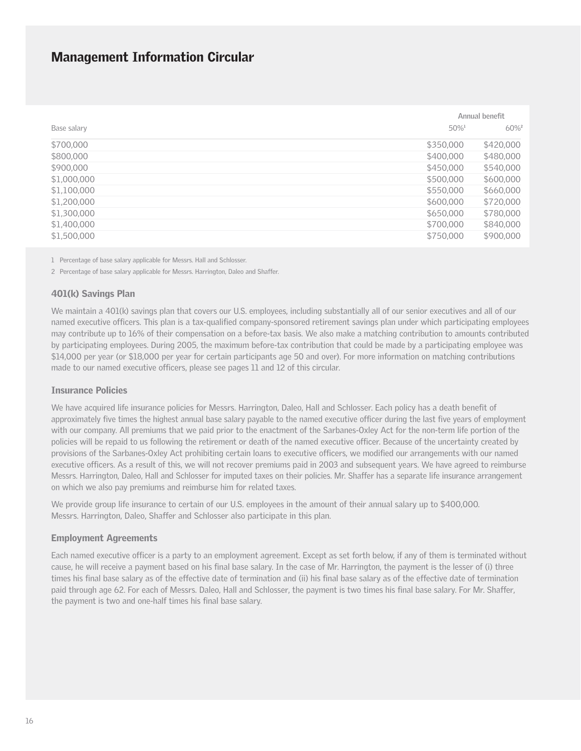|             |                     | Annual benefit      |
|-------------|---------------------|---------------------|
| Base salary | $50\%$ <sup>1</sup> | $60\%$ <sup>2</sup> |
| \$700,000   | \$350,000           | \$420,000           |
| \$800,000   | \$400,000           | \$480,000           |
| \$900,000   | \$450,000           | \$540,000           |
| \$1,000,000 | \$500,000           | \$600,000           |
| \$1,100,000 | \$550,000           | \$660,000           |
| \$1,200,000 | \$600,000           | \$720,000           |
| \$1,300,000 | \$650,000           | \$780,000           |
| \$1,400,000 | \$700,000           | \$840,000           |
| \$1,500,000 | \$750,000           | \$900,000           |

1 Percentage of base salary applicable for Messrs. Hall and Schlosser.

2 Percentage of base salary applicable for Messrs. Harrington, Daleo and Shaffer.

#### 401(k) Savings Plan

We maintain a 401(k) savings plan that covers our U.S. employees, including substantially all of our senior executives and all of our named executive officers. This plan is a tax-qualified company-sponsored retirement savings plan under which participating employees may contribute up to 16% of their compensation on a before-tax basis. We also make a matching contribution to amounts contributed by participating employees. During 2005, the maximum before-tax contribution that could be made by a participating employee was \$14,000 per year (or \$18,000 per year for certain participants age 50 and over). For more information on matching contributions made to our named executive officers, please see pages 11 and 12 of this circular.

#### Insurance Policies

We have acquired life insurance policies for Messrs. Harrington, Daleo, Hall and Schlosser. Each policy has a death benefit of approximately five times the highest annual base salary payable to the named executive officer during the last five years of employment with our company. All premiums that we paid prior to the enactment of the Sarbanes-Oxley Act for the non-term life portion of the policies will be repaid to us following the retirement or death of the named executive officer. Because of the uncertainty created by provisions of the Sarbanes-Oxley Act prohibiting certain loans to executive officers, we modified our arrangements with our named executive officers. As a result of this, we will not recover premiums paid in 2003 and subsequent years. We have agreed to reimburse Messrs. Harrington, Daleo, Hall and Schlosser for imputed taxes on their policies. Mr. Shaffer has a separate life insurance arrangement on which we also pay premiums and reimburse him for related taxes.

We provide group life insurance to certain of our U.S. employees in the amount of their annual salary up to \$400,000. Messrs. Harrington, Daleo, Shaffer and Schlosser also participate in this plan.

#### Employment Agreements

Each named executive officer is a party to an employment agreement. Except as set forth below, if any of them is terminated without cause, he will receive a payment based on his final base salary. In the case of Mr. Harrington, the payment is the lesser of (i) three times his final base salary as of the effective date of termination and (ii) his final base salary as of the effective date of termination paid through age 62. For each of Messrs. Daleo, Hall and Schlosser, the payment is two times his final base salary. For Mr. Shaffer, the payment is two and one-half times his final base salary.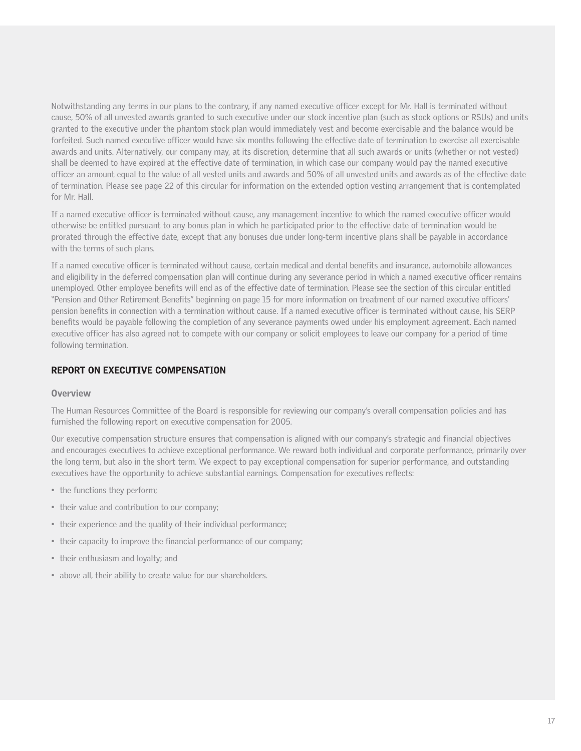Notwithstanding any terms in our plans to the contrary, if any named executive officer except for Mr. Hall is terminated without cause, 50% of all unvested awards granted to such executive under our stock incentive plan (such as stock options or RSUs) and units granted to the executive under the phantom stock plan would immediately vest and become exercisable and the balance would be forfeited. Such named executive officer would have six months following the effective date of termination to exercise all exercisable awards and units. Alternatively, our company may, at its discretion, determine that all such awards or units (whether or not vested) shall be deemed to have expired at the effective date of termination, in which case our company would pay the named executive officer an amount equal to the value of all vested units and awards and 50% of all unvested units and awards as of the effective date of termination. Please see page 22 of this circular for information on the extended option vesting arrangement that is contemplated for Mr. Hall.

If a named executive officer is terminated without cause, any management incentive to which the named executive officer would otherwise be entitled pursuant to any bonus plan in which he participated prior to the effective date of termination would be prorated through the effective date, except that any bonuses due under long-term incentive plans shall be payable in accordance with the terms of such plans.

If a named executive officer is terminated without cause, certain medical and dental benefits and insurance, automobile allowances and eligibility in the deferred compensation plan will continue during any severance period in which a named executive officer remains unemployed. Other employee benefits will end as of the effective date of termination. Please see the section of this circular entitled "Pension and Other Retirement Benefits" beginning on page 15 for more information on treatment of our named executive officers' pension benefits in connection with a termination without cause. If a named executive officer is terminated without cause, his SERP benefits would be payable following the completion of any severance payments owed under his employment agreement. Each named executive officer has also agreed not to compete with our company or solicit employees to leave our company for a period of time following termination.

### REPORT ON EXECUTIVE COMPENSATION

#### **Overview**

The Human Resources Committee of the Board is responsible for reviewing our company's overall compensation policies and has furnished the following report on executive compensation for 2005.

Our executive compensation structure ensures that compensation is aligned with our company's strategic and financial objectives and encourages executives to achieve exceptional performance. We reward both individual and corporate performance, primarily over the long term, but also in the short term. We expect to pay exceptional compensation for superior performance, and outstanding executives have the opportunity to achieve substantial earnings. Compensation for executives reflects:

- the functions they perform;
- their value and contribution to our company;
- their experience and the quality of their individual performance;
- their capacity to improve the financial performance of our company;
- their enthusiasm and loyalty; and
- above all, their ability to create value for our shareholders.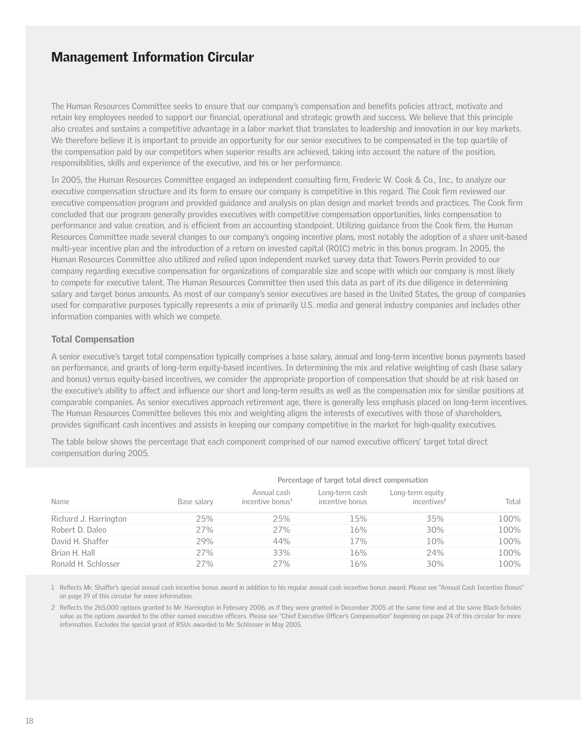The Human Resources Committee seeks to ensure that our company's compensation and benefits policies attract, motivate and retain key employees needed to support our financial, operational and strategic growth and success. We believe that this principle also creates and sustains a competitive advantage in a labor market that translates to leadership and innovation in our key markets. We therefore believe it is important to provide an opportunity for our senior executives to be compensated in the top quartile of the compensation paid by our competitors when superior results are achieved, taking into account the nature of the position, responsibilities, skills and experience of the executive, and his or her performance.

In 2005, the Human Resources Committee engaged an independent consulting firm, Frederic W. Cook & Co., Inc., to analyze our executive compensation structure and its form to ensure our company is competitive in this regard. The Cook firm reviewed our executive compensation program and provided guidance and analysis on plan design and market trends and practices. The Cook firm concluded that our program generally provides executives with competitive compensation opportunities, links compensation to performance and value creation, and is efficient from an accounting standpoint. Utilizing guidance from the Cook firm, the Human Resources Committee made several changes to our company's ongoing incentive plans, most notably the adoption of a share unit-based multi-year incentive plan and the introduction of a return on invested capital (ROIC) metric in this bonus program. In 2005, the Human Resources Committee also utilized and relied upon independent market survey data that Towers Perrin provided to our company regarding executive compensation for organizations of comparable size and scope with which our company is most likely to compete for executive talent. The Human Resources Committee then used this data as part of its due diligence in determining salary and target bonus amounts. As most of our company's senior executives are based in the United States, the group of companies used for comparative purposes typically represents a mix of primarily U.S. media and general industry companies and includes other information companies with which we compete.

### Total Compensation

A senior executive's target total compensation typically comprises a base salary, annual and long-term incentive bonus payments based on performance, and grants of long-term equity-based incentives. In determining the mix and relative weighting of cash (base salary and bonus) versus equity-based incentives, we consider the appropriate proportion of compensation that should be at risk based on the executive's ability to affect and influence our short and long-term results as well as the compensation mix for similar positions at comparable companies. As senior executives approach retirement age, there is generally less emphasis placed on long-term incentives. The Human Resources Committee believes this mix and weighting aligns the interests of executives with those of shareholders, provides significant cash incentives and assists in keeping our company competitive in the market for high-quality executives.

The table below shows the percentage that each component comprised of our named executive officers' target total direct compensation during 2005.

| Name                  | Percentage of target total direct compensation |                                             |                                   |                                             |       |  |  |
|-----------------------|------------------------------------------------|---------------------------------------------|-----------------------------------|---------------------------------------------|-------|--|--|
|                       | Base salary                                    | Annual cash<br>incentive bonus <sup>1</sup> | Long-term cash<br>incentive bonus | Long-term equity<br>incentives <sup>2</sup> | Total |  |  |
| Richard J. Harrington | 25%                                            | 25%                                         | 15%                               | 35%                                         | 100%  |  |  |
| Robert D. Daleo       | 27%                                            | 27%                                         | 16%                               | 30%                                         | 100%  |  |  |
| David H. Shaffer      | 29%                                            | 44%                                         | 17%                               | 10%                                         | 100%  |  |  |
| Brian H. Hall         | 27%                                            | 33%                                         | 16%                               | 24%                                         | 100%  |  |  |
| Ronald H. Schlosser   | 27%                                            | 27%                                         | 16%                               | 30%                                         | 100%  |  |  |

1 Reflects Mr. Shaffer's special annual cash incentive bonus award in addition to his regular annual cash incentive bonus award. Please see "Annual Cash Incentive Bonus" on page 19 of this circular for more information.

2 Reflects the 265,000 options granted to Mr. Harrington in February 2006, as if they were granted in December 2005 at the same time and at the same Black-Scholes value as the options awarded to the other named executive officers. Please see "Chief Executive Officer's Compensation" beginning on page 24 of this circular for more information. Excludes the special grant of RSUs awarded to Mr. Schlosser in May 2005.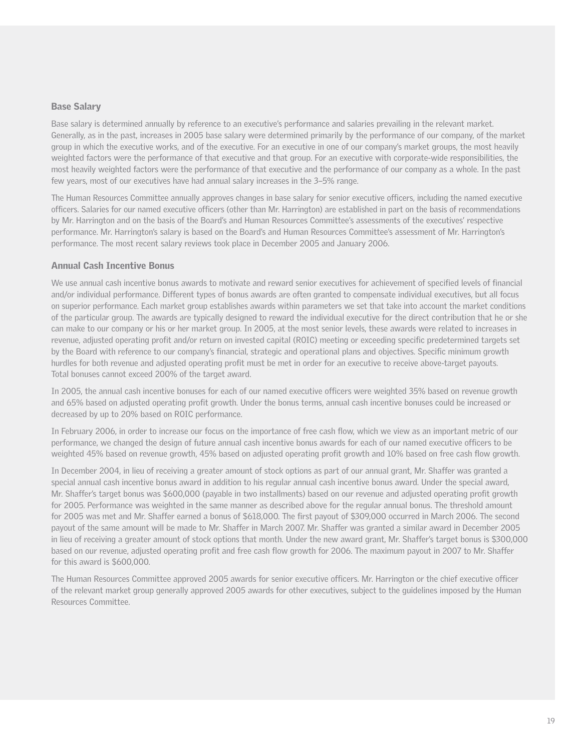#### Base Salary

Base salary is determined annually by reference to an executive's performance and salaries prevailing in the relevant market. Generally, as in the past, increases in 2005 base salary were determined primarily by the performance of our company, of the market group in which the executive works, and of the executive. For an executive in one of our company's market groups, the most heavily weighted factors were the performance of that executive and that group. For an executive with corporate-wide responsibilities, the most heavily weighted factors were the performance of that executive and the performance of our company as a whole. In the past few years, most of our executives have had annual salary increases in the 3–5% range.

The Human Resources Committee annually approves changes in base salary for senior executive officers, including the named executive officers. Salaries for our named executive officers (other than Mr. Harrington) are established in part on the basis of recommendations by Mr. Harrington and on the basis of the Board's and Human Resources Committee's assessments of the executives' respective performance. Mr. Harrington's salary is based on the Board's and Human Resources Committee's assessment of Mr. Harrington's performance. The most recent salary reviews took place in December 2005 and January 2006.

#### Annual Cash Incentive Bonus

We use annual cash incentive bonus awards to motivate and reward senior executives for achievement of specified levels of financial and/or individual performance. Different types of bonus awards are often granted to compensate individual executives, but all focus on superior performance. Each market group establishes awards within parameters we set that take into account the market conditions of the particular group. The awards are typically designed to reward the individual executive for the direct contribution that he or she can make to our company or his or her market group. In 2005, at the most senior levels, these awards were related to increases in revenue, adjusted operating profit and/or return on invested capital (ROIC) meeting or exceeding specific predetermined targets set by the Board with reference to our company's financial, strategic and operational plans and objectives. Specific minimum growth hurdles for both revenue and adjusted operating profit must be met in order for an executive to receive above-target payouts. Total bonuses cannot exceed 200% of the target award.

In 2005, the annual cash incentive bonuses for each of our named executive officers were weighted 35% based on revenue growth and 65% based on adjusted operating profit growth. Under the bonus terms, annual cash incentive bonuses could be increased or decreased by up to 20% based on ROIC performance.

In February 2006, in order to increase our focus on the importance of free cash flow, which we view as an important metric of our performance, we changed the design of future annual cash incentive bonus awards for each of our named executive officers to be weighted 45% based on revenue growth, 45% based on adjusted operating profit growth and 10% based on free cash flow growth.

In December 2004, in lieu of receiving a greater amount of stock options as part of our annual grant, Mr. Shaffer was granted a special annual cash incentive bonus award in addition to his regular annual cash incentive bonus award. Under the special award, Mr. Shaffer's target bonus was \$600,000 (payable in two installments) based on our revenue and adjusted operating profit growth for 2005. Performance was weighted in the same manner as described above for the regular annual bonus. The threshold amount for 2005 was met and Mr. Shaffer earned a bonus of \$618,000. The first payout of \$309,000 occurred in March 2006. The second payout of the same amount will be made to Mr. Shaffer in March 2007. Mr. Shaffer was granted a similar award in December 2005 in lieu of receiving a greater amount of stock options that month. Under the new award grant, Mr. Shaffer's target bonus is \$300,000 based on our revenue, adjusted operating profit and free cash flow growth for 2006. The maximum payout in 2007 to Mr. Shaffer for this award is \$600,000.

The Human Resources Committee approved 2005 awards for senior executive officers. Mr. Harrington or the chief executive officer of the relevant market group generally approved 2005 awards for other executives, subject to the guidelines imposed by the Human Resources Committee.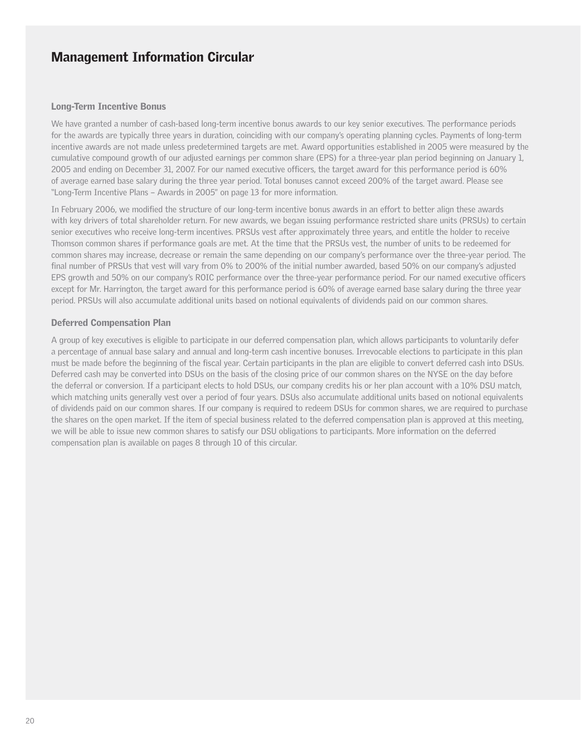#### Long-Term Incentive Bonus

We have granted a number of cash-based long-term incentive bonus awards to our key senior executives. The performance periods for the awards are typically three years in duration, coinciding with our company's operating planning cycles. Payments of long-term incentive awards are not made unless predetermined targets are met. Award opportunities established in 2005 were measured by the cumulative compound growth of our adjusted earnings per common share (EPS) for a three-year plan period beginning on January 1, 2005 and ending on December 31, 2007. For our named executive officers, the target award for this performance period is 60% of average earned base salary during the three year period. Total bonuses cannot exceed 200% of the target award. Please see "Long-Term Incentive Plans – Awards in 2005" on page 13 for more information.

In February 2006, we modified the structure of our long-term incentive bonus awards in an effort to better align these awards with key drivers of total shareholder return. For new awards, we began issuing performance restricted share units (PRSUs) to certain senior executives who receive long-term incentives. PRSUs vest after approximately three years, and entitle the holder to receive Thomson common shares if performance goals are met. At the time that the PRSUs vest, the number of units to be redeemed for common shares may increase, decrease or remain the same depending on our company's performance over the three-year period. The final number of PRSUs that vest will vary from 0% to 200% of the initial number awarded, based 50% on our company's adjusted EPS growth and 50% on our company's ROIC performance over the three-year performance period. For our named executive officers except for Mr. Harrington, the target award for this performance period is 60% of average earned base salary during the three year period. PRSUs will also accumulate additional units based on notional equivalents of dividends paid on our common shares.

#### Deferred Compensation Plan

A group of key executives is eligible to participate in our deferred compensation plan, which allows participants to voluntarily defer a percentage of annual base salary and annual and long-term cash incentive bonuses. Irrevocable elections to participate in this plan must be made before the beginning of the fiscal year. Certain participants in the plan are eligible to convert deferred cash into DSUs. Deferred cash may be converted into DSUs on the basis of the closing price of our common shares on the NYSE on the day before the deferral or conversion. If a participant elects to hold DSUs, our company credits his or her plan account with a 10% DSU match, which matching units generally vest over a period of four years. DSUs also accumulate additional units based on notional equivalents of dividends paid on our common shares. If our company is required to redeem DSUs for common shares, we are required to purchase the shares on the open market. If the item of special business related to the deferred compensation plan is approved at this meeting, we will be able to issue new common shares to satisfy our DSU obligations to participants. More information on the deferred compensation plan is available on pages 8 through 10 of this circular.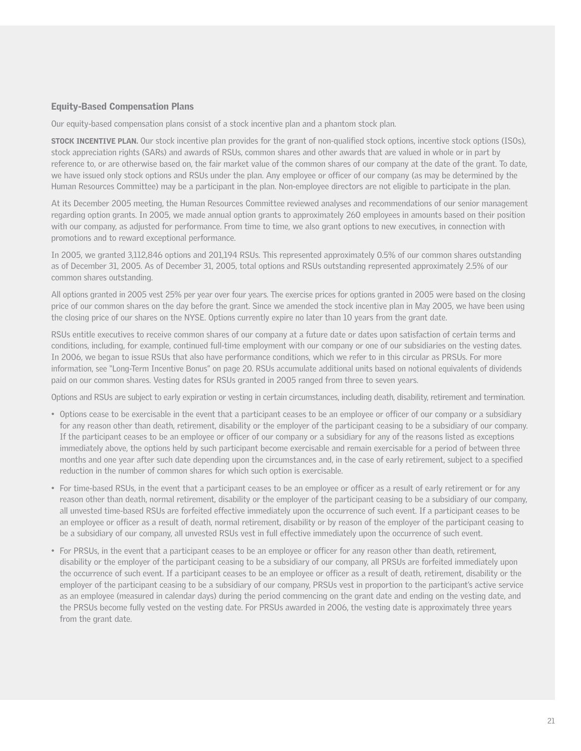#### Equity-Based Compensation Plans

Our equity-based compensation plans consist of a stock incentive plan and a phantom stock plan.

**STOCK INCENTIVE PLAN.** Our stock incentive plan provides for the grant of non-qualified stock options, incentive stock options (ISOs), stock appreciation rights (SARs) and awards of RSUs, common shares and other awards that are valued in whole or in part by reference to, or are otherwise based on, the fair market value of the common shares of our company at the date of the grant. To date, we have issued only stock options and RSUs under the plan. Any employee or officer of our company (as may be determined by the Human Resources Committee) may be a participant in the plan. Non-employee directors are not eligible to participate in the plan.

At its December 2005 meeting, the Human Resources Committee reviewed analyses and recommendations of our senior management regarding option grants. In 2005, we made annual option grants to approximately 260 employees in amounts based on their position with our company, as adjusted for performance. From time to time, we also grant options to new executives, in connection with promotions and to reward exceptional performance.

In 2005, we granted 3,112,846 options and 201,194 RSUs. This represented approximately 0.5% of our common shares outstanding as of December 31, 2005. As of December 31, 2005, total options and RSUs outstanding represented approximately 2.5% of our common shares outstanding.

All options granted in 2005 vest 25% per year over four years. The exercise prices for options granted in 2005 were based on the closing price of our common shares on the day before the grant. Since we amended the stock incentive plan in May 2005, we have been using the closing price of our shares on the NYSE. Options currently expire no later than 10 years from the grant date.

RSUs entitle executives to receive common shares of our company at a future date or dates upon satisfaction of certain terms and conditions, including, for example, continued full-time employment with our company or one of our subsidiaries on the vesting dates. In 2006, we began to issue RSUs that also have performance conditions, which we refer to in this circular as PRSUs. For more information, see "Long-Term Incentive Bonus" on page 20. RSUs accumulate additional units based on notional equivalents of dividends paid on our common shares. Vesting dates for RSUs granted in 2005 ranged from three to seven years.

Options and RSUs are subject to early expiration or vesting in certain circumstances, including death, disability, retirement and termination.

- Options cease to be exercisable in the event that a participant ceases to be an employee or officer of our company or a subsidiary for any reason other than death, retirement, disability or the employer of the participant ceasing to be a subsidiary of our company. If the participant ceases to be an employee or officer of our company or a subsidiary for any of the reasons listed as exceptions immediately above, the options held by such participant become exercisable and remain exercisable for a period of between three months and one year after such date depending upon the circumstances and, in the case of early retirement, subject to a specified reduction in the number of common shares for which such option is exercisable.
- For time-based RSUs, in the event that a participant ceases to be an employee or officer as a result of early retirement or for any reason other than death, normal retirement, disability or the employer of the participant ceasing to be a subsidiary of our company, all unvested time-based RSUs are forfeited effective immediately upon the occurrence of such event. If a participant ceases to be an employee or officer as a result of death, normal retirement, disability or by reason of the employer of the participant ceasing to be a subsidiary of our company, all unvested RSUs vest in full effective immediately upon the occurrence of such event.
- For PRSUs, in the event that a participant ceases to be an employee or officer for any reason other than death, retirement, disability or the employer of the participant ceasing to be a subsidiary of our company, all PRSUs are forfeited immediately upon the occurrence of such event. If a participant ceases to be an employee or officer as a result of death, retirement, disability or the employer of the participant ceasing to be a subsidiary of our company, PRSUs vest in proportion to the participant's active service as an employee (measured in calendar days) during the period commencing on the grant date and ending on the vesting date, and the PRSUs become fully vested on the vesting date. For PRSUs awarded in 2006, the vesting date is approximately three years from the grant date.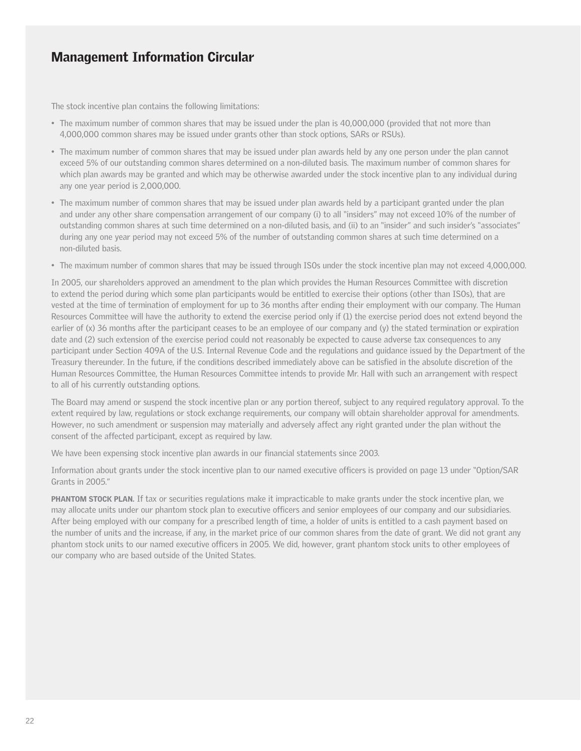The stock incentive plan contains the following limitations:

- The maximum number of common shares that may be issued under the plan is 40,000,000 (provided that not more than 4,000,000 common shares may be issued under grants other than stock options, SARs or RSUs).
- The maximum number of common shares that may be issued under plan awards held by any one person under the plan cannot exceed 5% of our outstanding common shares determined on a non-diluted basis. The maximum number of common shares for which plan awards may be granted and which may be otherwise awarded under the stock incentive plan to any individual during any one year period is 2,000,000.
- The maximum number of common shares that may be issued under plan awards held by a participant granted under the plan and under any other share compensation arrangement of our company (i) to all "insiders" may not exceed 10% of the number of outstanding common shares at such time determined on a non-diluted basis, and (ii) to an "insider" and such insider's "associates" during any one year period may not exceed 5% of the number of outstanding common shares at such time determined on a non-diluted basis.
- The maximum number of common shares that may be issued through ISOs under the stock incentive plan may not exceed 4,000,000.

In 2005, our shareholders approved an amendment to the plan which provides the Human Resources Committee with discretion to extend the period during which some plan participants would be entitled to exercise their options (other than ISOs), that are vested at the time of termination of employment for up to 36 months after ending their employment with our company. The Human Resources Committee will have the authority to extend the exercise period only if (1) the exercise period does not extend beyond the earlier of (x) 36 months after the participant ceases to be an employee of our company and (y) the stated termination or expiration date and (2) such extension of the exercise period could not reasonably be expected to cause adverse tax consequences to any participant under Section 409A of the U.S. Internal Revenue Code and the regulations and guidance issued by the Department of the Treasury thereunder. In the future, if the conditions described immediately above can be satisfied in the absolute discretion of the Human Resources Committee, the Human Resources Committee intends to provide Mr. Hall with such an arrangement with respect to all of his currently outstanding options.

The Board may amend or suspend the stock incentive plan or any portion thereof, subject to any required regulatory approval. To the extent required by law, regulations or stock exchange requirements, our company will obtain shareholder approval for amendments. However, no such amendment or suspension may materially and adversely affect any right granted under the plan without the consent of the affected participant, except as required by law.

We have been expensing stock incentive plan awards in our financial statements since 2003.

Information about grants under the stock incentive plan to our named executive officers is provided on page 13 under "Option/SAR Grants in 2005."

PHANTOM STOCK PLAN. If tax or securities regulations make it impracticable to make grants under the stock incentive plan, we may allocate units under our phantom stock plan to executive officers and senior employees of our company and our subsidiaries. After being employed with our company for a prescribed length of time, a holder of units is entitled to a cash payment based on the number of units and the increase, if any, in the market price of our common shares from the date of grant. We did not grant any phantom stock units to our named executive officers in 2005. We did, however, grant phantom stock units to other employees of our company who are based outside of the United States.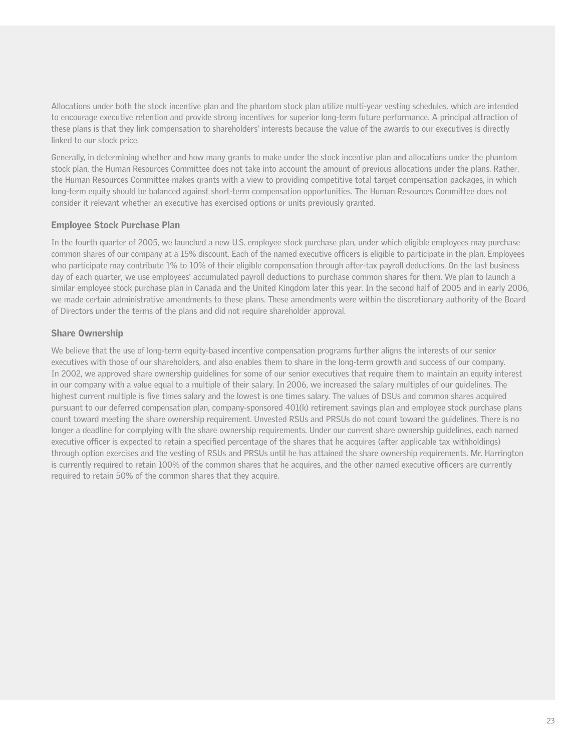Allocations under both the stock incentive plan and the phantom stock plan utilize multi-year vesting schedules, which are intended to encourage executive retention and provide strong incentives for superior long-term future performance. A principal attraction of these plans is that they link compensation to shareholders' interests because the value of the awards to our executives is directly linked to our stock price.

Generally, in determining whether and how many grants to make under the stock incentive plan and allocations under the phantom stock plan, the Human Resources Committee does not take into account the amount of previous allocations under the plans. Rather, the Human Resources Committee makes grants with a view to providing competitive total target compensation packages, in which long-term equity should be balanced against short-term compensation opportunities. The Human Resources Committee does not consider it relevant whether an executive has exercised options or units previously granted.

#### Employee Stock Purchase Plan

In the fourth quarter of 2005, we launched a new U.S. employee stock purchase plan, under which eligible employees may purchase common shares of our company at a 15% discount. Each of the named executive officers is eligible to participate in the plan. Employees who participate may contribute 1% to 10% of their eligible compensation through after-tax payroll deductions. On the last business day of each quarter, we use employees' accumulated payroll deductions to purchase common shares for them. We plan to launch a similar employee stock purchase plan in Canada and the United Kingdom later this year. In the second half of 2005 and in early 2006, we made certain administrative amendments to these plans. These amendments were within the discretionary authority of the Board of Directors under the terms of the plans and did not require shareholder approval.

### Share Ownership

We believe that the use of long-term equity-based incentive compensation programs further aligns the interests of our senior executives with those of our shareholders, and also enables them to share in the long-term growth and success of our company. In 2002, we approved share ownership guidelines for some of our senior executives that require them to maintain an equity interest in our company with a value equal to a multiple of their salary. In 2006, we increased the salary multiples of our guidelines. The highest current multiple is five times salary and the lowest is one times salary. The values of DSUs and common shares acquired pursuant to our deferred compensation plan, company-sponsored 401(k) retirement savings plan and employee stock purchase plans count toward meeting the share ownership requirement. Unvested RSUs and PRSUs do not count toward the guidelines. There is no longer a deadline for complying with the share ownership requirements. Under our current share ownership guidelines, each named executive officer is expected to retain a specified percentage of the shares that he acquires (after applicable tax withholdings) through option exercises and the vesting of RSUs and PRSUs until he has attained the share ownership requirements. Mr. Harrington is currently required to retain 100% of the common shares that he acquires, and the other named executive officers are currently required to retain 50% of the common shares that they acquire.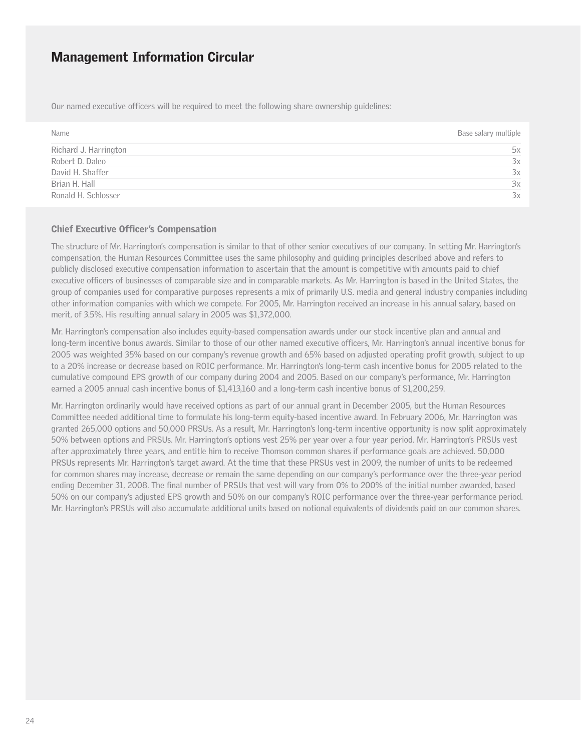Our named executive officers will be required to meet the following share ownership guidelines:

| Name                  | Base salary multiple |
|-----------------------|----------------------|
| Richard J. Harrington | 5х                   |
| Robert D. Daleo       | 3x                   |
| David H. Shaffer      | 3x                   |
| Brian H. Hall         | 3x                   |
| Ronald H. Schlosser   | 3x                   |

#### Chief Executive Officer's Compensation

The structure of Mr. Harrington's compensation is similar to that of other senior executives of our company. In setting Mr. Harrington's compensation, the Human Resources Committee uses the same philosophy and guiding principles described above and refers to publicly disclosed executive compensation information to ascertain that the amount is competitive with amounts paid to chief executive officers of businesses of comparable size and in comparable markets. As Mr. Harrington is based in the United States, the group of companies used for comparative purposes represents a mix of primarily U.S. media and general industry companies including other information companies with which we compete. For 2005, Mr. Harrington received an increase in his annual salary, based on merit, of 3.5%. His resulting annual salary in 2005 was \$1,372,000.

Mr. Harrington's compensation also includes equity-based compensation awards under our stock incentive plan and annual and long-term incentive bonus awards. Similar to those of our other named executive officers, Mr. Harrington's annual incentive bonus for 2005 was weighted 35% based on our company's revenue growth and 65% based on adjusted operating profit growth, subject to up to a 20% increase or decrease based on ROIC performance. Mr. Harrington's long-term cash incentive bonus for 2005 related to the cumulative compound EPS growth of our company during 2004 and 2005. Based on our company's performance, Mr. Harrington earned a 2005 annual cash incentive bonus of \$1,413,160 and a long-term cash incentive bonus of \$1,200,259.

Mr. Harrington ordinarily would have received options as part of our annual grant in December 2005, but the Human Resources Committee needed additional time to formulate his long-term equity-based incentive award. In February 2006, Mr. Harrington was granted 265,000 options and 50,000 PRSUs. As a result, Mr. Harrington's long-term incentive opportunity is now split approximately 50% between options and PRSUs. Mr. Harrington's options vest 25% per year over a four year period. Mr. Harrington's PRSUs vest after approximately three years, and entitle him to receive Thomson common shares if performance goals are achieved. 50,000 PRSUs represents Mr. Harrington's target award. At the time that these PRSUs vest in 2009, the number of units to be redeemed for common shares may increase, decrease or remain the same depending on our company's performance over the three-year period ending December 31, 2008. The final number of PRSUs that vest will vary from 0% to 200% of the initial number awarded, based 50% on our company's adjusted EPS growth and 50% on our company's ROIC performance over the three-year performance period. Mr. Harrington's PRSUs will also accumulate additional units based on notional equivalents of dividends paid on our common shares.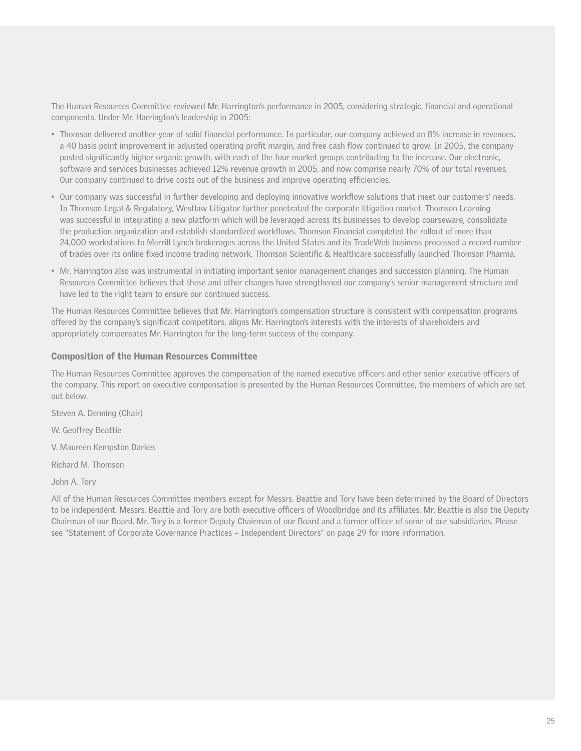The Human Resources Committee reviewed Mr. Harrington's performance in 2005, considering strategic, financial and operational components. Under Mr. Harrington's leadership in 2005:

- Thomson delivered another year of solid financial performance. In particular, our company achieved an 8% increase in revenues, a 40 basis point improvement in adjusted operating profit margin, and free cash flow continued to grow. In 2005, the company posted significantly higher organic growth, with each of the four market groups contributing to the increase. Our electronic, software and services businesses achieved 12% revenue growth in 2005, and now comprise nearly 70% of our total revenues. Our company continued to drive costs out of the business and improve operating efficiencies.
- Our company was successful in further developing and deploying innovative workflow solutions that meet our customers' needs. In Thomson Legal & Regulatory, Westlaw Litigator further penetrated the corporate litigation market. Thomson Learning was successful in integrating a new platform which will be leveraged across its businesses to develop courseware, consolidate the production organization and establish standardized workflows. Thomson Financial completed the rollout of more than 24,000 workstations to Merrill Lynch brokerages across the United States and its TradeWeb business processed a record number of trades over its online fixed income trading network. Thomson Scientific & Healthcare successfully launched Thomson Pharma.
- Mr. Harrington also was instrumental in initiating important senior management changes and succession planning. The Human Resources Committee believes that these and other changes have strengthened our company's senior management structure and have led to the right team to ensure our continued success.

The Human Resources Committee believes that Mr. Harrington's compensation structure is consistent with compensation programs offered by the company's significant competitors, aligns Mr. Harrington's interests with the interests of shareholders and appropriately compensates Mr. Harrington for the long-term success of the company.

#### Composition of the Human Resources Committee

The Human Resources Committee approves the compensation of the named executive officers and other senior executive officers of the company. This report on executive compensation is presented by the Human Resources Committee, the members of which are set out below.

Steven A. Denning (Chair)

W. Geoffrey Beattie

V. Maureen Kempston Darkes

Richard M. Thomson

John A. Tory

All of the Human Resources Committee members except for Messrs. Beattie and Tory have been determined by the Board of Directors to be independent. Messrs. Beattie and Tory are both executive officers of Woodbridge and its affiliates. Mr. Beattie is also the Deputy Chairman of our Board. Mr. Tory is a former Deputy Chairman of our Board and a former officer of some of our subsidiaries. Please see "Statement of Corporate Governance Practices – Independent Directors" on page 29 for more information.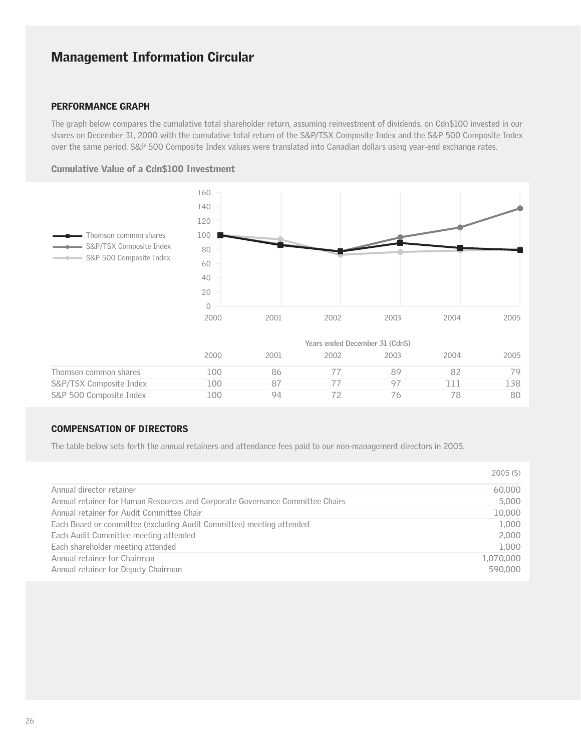### PERFORMANCE GRAPH

The graph below compares the cumulative total shareholder return, assuming reinvestment of dividends, on Cdn\$100 invested in our shares on December 31, 2000 with the cumulative total return of the S&P/TSX Composite Index and the S&P 500 Composite Index over the same period. S&P 500 Composite Index values were translated into Canadian dollars using year-end exchange rates.

### Cumulative Value of a Cdn\$100 Investment



### COMPENSATION OF DIRECTORS

The table below sets forth the annual retainers and attendance fees paid to our non-management directors in 2005.

|                                                                               | $2005($ \$) |
|-------------------------------------------------------------------------------|-------------|
| Annual director retainer                                                      | 60,000      |
| Annual retainer for Human Resources and Corporate Governance Committee Chairs | 5,000       |
| Annual retainer for Audit Committee Chair                                     | 10,000      |
| Each Board or committee (excluding Audit Committee) meeting attended          | 1,000       |
| Each Audit Committee meeting attended                                         | 2,000       |
| Each shareholder meeting attended                                             | 1,000       |
| Annual retainer for Chairman                                                  | 1,070,000   |
| Annual retainer for Deputy Chairman                                           | 590,000     |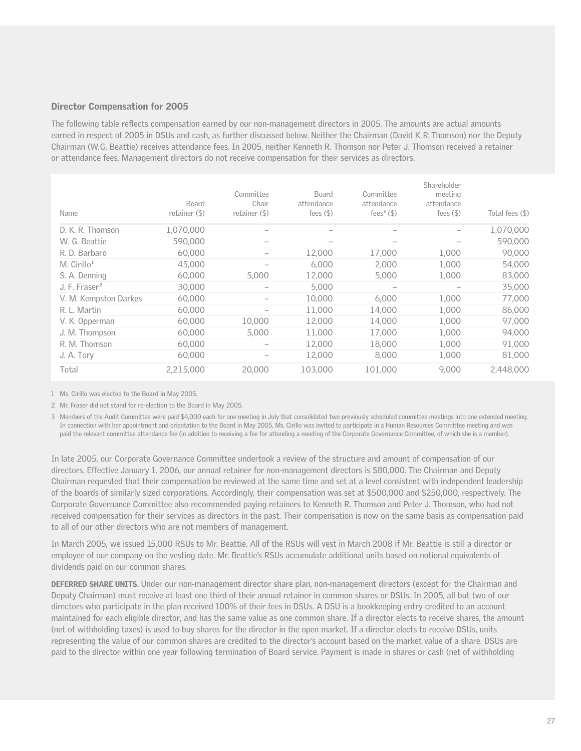#### Director Compensation for 2005

The following table reflects compensation earned by our non-management directors in 2005. The amounts are actual amounts earned in respect of 2005 in DSUs and cash, as further discussed below. Neither the Chairman (David K.R. Thomson) nor the Deputy Chairman (W.G. Beattie) receives attendance fees. In 2005, neither Kenneth R. Thomson nor Peter J. Thomson received a retainer or attendance fees. Management directors do not receive compensation for their services as directors.

| Name                      | <b>Board</b><br>retainer (\$) | Committee<br>Chair<br>retainer (\$) | <b>Board</b><br>attendance<br>fees $($ \$) | Committee<br>attendance<br>fees <sup>3</sup> $($ \$) | Shareholder<br>meeting<br>attendance<br>fees $($ \$) | Total fees (\$) |
|---------------------------|-------------------------------|-------------------------------------|--------------------------------------------|------------------------------------------------------|------------------------------------------------------|-----------------|
| D. K. R. Thomson          | 1,070,000                     | $\qquad \qquad$                     | $\overline{\phantom{0}}$                   |                                                      | -                                                    | 1,070,000       |
| W. G. Beattie             | 590,000                       | $\qquad \qquad$                     |                                            | -                                                    |                                                      | 590,000         |
| R. D. Barbaro             | 60,000                        | $\qquad \qquad$                     | 12,000                                     | 17,000                                               | 1,000                                                | 90,000          |
| $Mc$ Cirillo <sup>1</sup> | 45,000                        | $\overline{\phantom{a}}$            | 6,000                                      | 2,000                                                | 1,000                                                | 54,000          |
| S. A. Denning             | 60,000                        | 5,000                               | 12,000                                     | 5,000                                                | 1.000                                                | 83,000          |
| J. F. Fraser <sup>2</sup> | 30,000                        |                                     | 5,000                                      |                                                      |                                                      | 35,000          |
| V. M. Kempston Darkes     | 60,000                        | $\qquad \qquad$                     | 10,000                                     | 6,000                                                | 1,000                                                | 77,000          |
| R. L. Martin              | 60,000                        |                                     | 11,000                                     | 14,000                                               | 1,000                                                | 86,000          |
| V. K. Opperman            | 60,000                        | 10,000                              | 12,000                                     | 14,000                                               | 1,000                                                | 97,000          |
| J. M. Thompson            | 60,000                        | 5,000                               | 11,000                                     | 17,000                                               | 1,000                                                | 94,000          |
| R. M. Thomson             | 60,000                        | $\qquad \qquad$                     | 12,000                                     | 18,000                                               | 1,000                                                | 91.000          |
| J. A. Tory                | 60,000                        |                                     | 12,000                                     | 8,000                                                | 1,000                                                | 81,000          |
| Total                     | 2,215,000                     | 20,000                              | 103,000                                    | 101,000                                              | 9,000                                                | 2,448,000       |

1 Ms. Cirillo was elected to the Board in May 2005.

2 Mr. Fraser did not stand for re-election to the Board in May 2005.

3 Members of the Audit Committee were paid \$4,000 each for one meeting in July that consolidated two previously scheduled committee meetings into one extended meeting. In connection with her appointment and orientation to the Board in May 2005, Ms. Cirillo was invited to participate in a Human Resources Committee meeting and was paid the relevant committee attendance fee (in addition to receiving a fee for attending a meeting of the Corporate Governance Committee, of which she is a member).

In late 2005, our Corporate Governance Committee undertook a review of the structure and amount of compensation of our directors. Effective January 1, 2006, our annual retainer for non-management directors is \$80,000. The Chairman and Deputy Chairman requested that their compensation be reviewed at the same time and set at a level consistent with independent leadership of the boards of similarly sized corporations. Accordingly, their compensation was set at \$500,000 and \$250,000, respectively. The Corporate Governance Committee also recommended paying retainers to Kenneth R. Thomson and Peter J. Thomson, who had not received compensation for their services as directors in the past. Their compensation is now on the same basis as compensation paid to all of our other directors who are not members of management.

In March 2005, we issued 15,000 RSUs to Mr. Beattie. All of the RSUs will vest in March 2008 if Mr. Beattie is still a director or employee of our company on the vesting date. Mr. Beattie's RSUs accumulate additional units based on notional equivalents of dividends paid on our common shares.

DEFERRED SHARE UNITS. Under our non-management director share plan, non-management directors (except for the Chairman and Deputy Chairman) must receive at least one third of their annual retainer in common shares or DSUs. In 2005, all but two of our directors who participate in the plan received 100% of their fees in DSUs. A DSU is a bookkeeping entry credited to an account maintained for each eligible director, and has the same value as one common share. If a director elects to receive shares, the amount (net of withholding taxes) is used to buy shares for the director in the open market. If a director elects to receive DSUs, units representing the value of our common shares are credited to the director's account based on the market value of a share. DSUs are paid to the director within one year following termination of Board service. Payment is made in shares or cash (net of withholding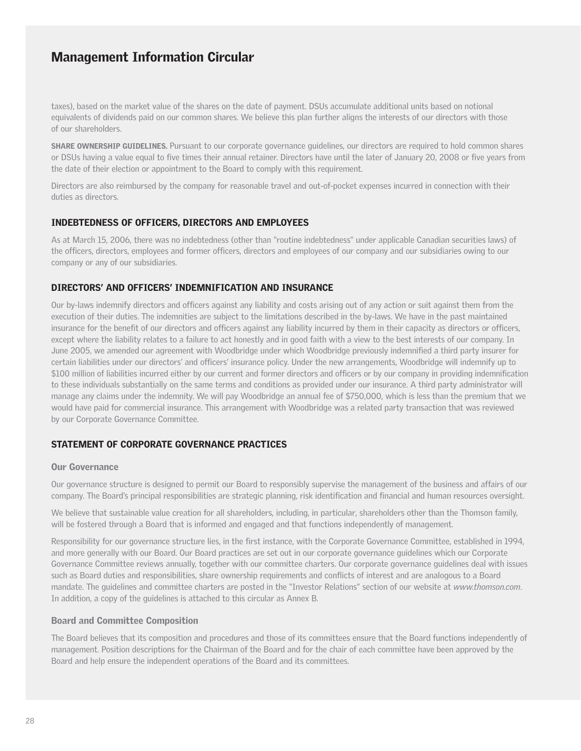taxes), based on the market value of the shares on the date of payment. DSUs accumulate additional units based on notional equivalents of dividends paid on our common shares. We believe this plan further aligns the interests of our directors with those of our shareholders.

SHARE OWNERSHIP GUIDELINES. Pursuant to our corporate governance guidelines, our directors are required to hold common shares or DSUs having a value equal to five times their annual retainer. Directors have until the later of January 20, 2008 or five years from the date of their election or appointment to the Board to comply with this requirement.

Directors are also reimbursed by the company for reasonable travel and out-of-pocket expenses incurred in connection with their duties as directors.

#### INDEBTEDNESS OF OFFICERS, DIRECTORS AND EMPLOYEES

As at March 15, 2006, there was no indebtedness (other than "routine indebtedness" under applicable Canadian securities laws) of the officers, directors, employees and former officers, directors and employees of our company and our subsidiaries owing to our company or any of our subsidiaries.

#### DIRECTORS' AND OFFICERS' INDEMNIFICATION AND INSURANCE

Our by-laws indemnify directors and officers against any liability and costs arising out of any action or suit against them from the execution of their duties. The indemnities are subject to the limitations described in the by-laws. We have in the past maintained insurance for the benefit of our directors and officers against any liability incurred by them in their capacity as directors or officers, except where the liability relates to a failure to act honestly and in good faith with a view to the best interests of our company. In June 2005, we amended our agreement with Woodbridge under which Woodbridge previously indemnified a third party insurer for certain liabilities under our directors' and officers' insurance policy. Under the new arrangements, Woodbridge will indemnify up to \$100 million of liabilities incurred either by our current and former directors and officers or by our company in providing indemnification to these individuals substantially on the same terms and conditions as provided under our insurance. A third party administrator will manage any claims under the indemnity. We will pay Woodbridge an annual fee of \$750,000, which is less than the premium that we would have paid for commercial insurance. This arrangement with Woodbridge was a related party transaction that was reviewed by our Corporate Governance Committee.

### STATEMENT OF CORPORATE GOVERNANCE PRACTICES

#### Our Governance

Our governance structure is designed to permit our Board to responsibly supervise the management of the business and affairs of our company. The Board's principal responsibilities are strategic planning, risk identification and financial and human resources oversight.

We believe that sustainable value creation for all shareholders, including, in particular, shareholders other than the Thomson family, will be fostered through a Board that is informed and engaged and that functions independently of management.

Responsibility for our governance structure lies, in the first instance, with the Corporate Governance Committee, established in 1994, and more generally with our Board. Our Board practices are set out in our corporate governance guidelines which our Corporate Governance Committee reviews annually, together with our committee charters. Our corporate governance guidelines deal with issues such as Board duties and responsibilities, share ownership requirements and conflicts of interest and are analogous to a Board mandate. The guidelines and committee charters are posted in the "Investor Relations" section of our website at *www.thomson.com*. In addition, a copy of the guidelines is attached to this circular as Annex B.

#### Board and Committee Composition

The Board believes that its composition and procedures and those of its committees ensure that the Board functions independently of management. Position descriptions for the Chairman of the Board and for the chair of each committee have been approved by the Board and help ensure the independent operations of the Board and its committees.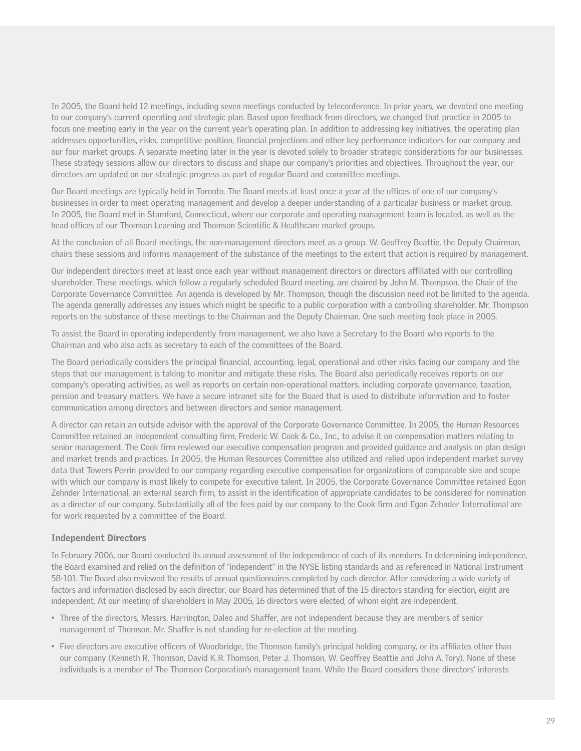In 2005, the Board held 12 meetings, including seven meetings conducted by teleconference. In prior years, we devoted one meeting to our company's current operating and strategic plan. Based upon feedback from directors, we changed that practice in 2005 to focus one meeting early in the year on the current year's operating plan. In addition to addressing key initiatives, the operating plan addresses opportunities, risks, competitive position, financial projections and other key performance indicators for our company and our four market groups. A separate meeting later in the year is devoted solely to broader strategic considerations for our businesses. These strategy sessions allow our directors to discuss and shape our company's priorities and objectives. Throughout the year, our directors are updated on our strategic progress as part of regular Board and committee meetings.

Our Board meetings are typically held in Toronto. The Board meets at least once a year at the offices of one of our company's businesses in order to meet operating management and develop a deeper understanding of a particular business or market group. In 2005, the Board met in Stamford, Connecticut, where our corporate and operating management team is located, as well as the head offices of our Thomson Learning and Thomson Scientific & Healthcare market groups.

At the conclusion of all Board meetings, the non-management directors meet as a group. W. Geoffrey Beattie, the Deputy Chairman, chairs these sessions and informs management of the substance of the meetings to the extent that action is required by management.

Our independent directors meet at least once each year without management directors or directors affiliated with our controlling shareholder. These meetings, which follow a regularly scheduled Board meeting, are chaired by John M. Thompson, the Chair of the Corporate Governance Committee. An agenda is developed by Mr. Thompson, though the discussion need not be limited to the agenda. The agenda generally addresses any issues which might be specific to a public corporation with a controlling shareholder. Mr. Thompson reports on the substance of these meetings to the Chairman and the Deputy Chairman. One such meeting took place in 2005.

To assist the Board in operating independently from management, we also have a Secretary to the Board who reports to the Chairman and who also acts as secretary to each of the committees of the Board.

The Board periodically considers the principal financial, accounting, legal, operational and other risks facing our company and the steps that our management is taking to monitor and mitigate these risks. The Board also periodically receives reports on our company's operating activities, as well as reports on certain non-operational matters, including corporate governance, taxation, pension and treasury matters. We have a secure intranet site for the Board that is used to distribute information and to foster communication among directors and between directors and senior management.

A director can retain an outside advisor with the approval of the Corporate Governance Committee. In 2005, the Human Resources Committee retained an independent consulting firm, Frederic W. Cook & Co., Inc., to advise it on compensation matters relating to senior management. The Cook firm reviewed our executive compensation program and provided guidance and analysis on plan design and market trends and practices. In 2005, the Human Resources Committee also utilized and relied upon independent market survey data that Towers Perrin provided to our company regarding executive compensation for organizations of comparable size and scope with which our company is most likely to compete for executive talent. In 2005, the Corporate Governance Committee retained Egon Zehnder International, an external search firm, to assist in the identification of appropriate candidates to be considered for nomination as a director of our company. Substantially all of the fees paid by our company to the Cook firm and Egon Zehnder International are for work requested by a committee of the Board.

#### Independent Directors

In February 2006, our Board conducted its annual assessment of the independence of each of its members. In determining independence, the Board examined and relied on the definition of "independent" in the NYSE listing standards and as referenced in National Instrument 58-101. The Board also reviewed the results of annual questionnaires completed by each director. After considering a wide variety of factors and information disclosed by each director, our Board has determined that of the 15 directors standing for election, eight are independent. At our meeting of shareholders in May 2005, 16 directors were elected, of whom eight are independent.

- Three of the directors, Messrs. Harrington, Daleo and Shaffer, are not independent because they are members of senior management of Thomson. Mr. Shaffer is not standing for re-election at the meeting.
- Five directors are executive officers of Woodbridge, the Thomson family's principal holding company, or its affiliates other than our company (Kenneth R. Thomson, David K.R. Thomson, Peter J. Thomson, W. Geoffrey Beattie and John A. Tory). None of these individuals is a member of The Thomson Corporation's management team. While the Board considers these directors' interests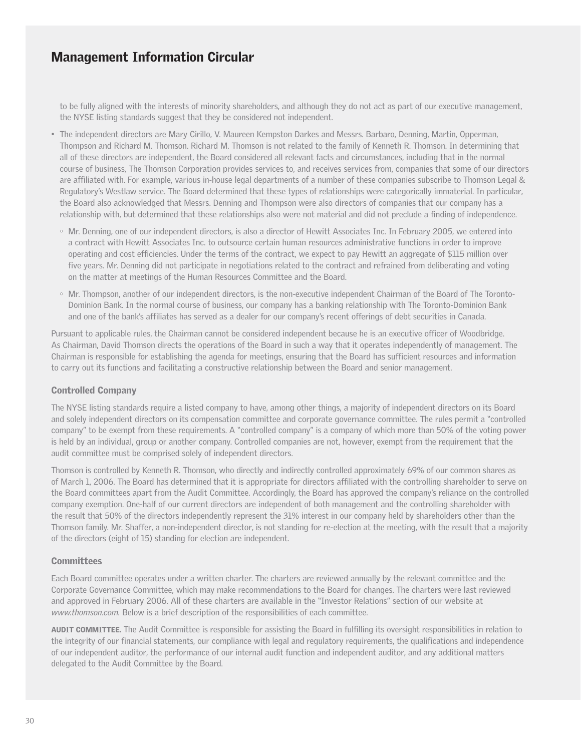to be fully aligned with the interests of minority shareholders, and although they do not act as part of our executive management, the NYSE listing standards suggest that they be considered not independent.

- The independent directors are Mary Cirillo, V. Maureen Kempston Darkes and Messrs. Barbaro, Denning, Martin, Opperman, Thompson and Richard M. Thomson. Richard M. Thomson is not related to the family of Kenneth R. Thomson. In determining that all of these directors are independent, the Board considered all relevant facts and circumstances, including that in the normal course of business, The Thomson Corporation provides services to, and receives services from, companies that some of our directors are affiliated with. For example, various in-house legal departments of a number of these companies subscribe to Thomson Legal & Regulatory's Westlaw service. The Board determined that these types of relationships were categorically immaterial. In particular, the Board also acknowledged that Messrs. Denning and Thompson were also directors of companies that our company has a relationship with, but determined that these relationships also were not material and did not preclude a finding of independence.
	- Mr. Denning, one of our independent directors, is also a director of Hewitt Associates Inc. In February 2005, we entered into a contract with Hewitt Associates Inc. to outsource certain human resources administrative functions in order to improve operating and cost efficiencies. Under the terms of the contract, we expect to pay Hewitt an aggregate of \$115 million over five years. Mr. Denning did not participate in negotiations related to the contract and refrained from deliberating and voting on the matter at meetings of the Human Resources Committee and the Board.
	- Mr. Thompson, another of our independent directors, is the non-executive independent Chairman of the Board of The Toronto-Dominion Bank. In the normal course of business, our company has a banking relationship with The Toronto-Dominion Bank and one of the bank's affiliates has served as a dealer for our company's recent offerings of debt securities in Canada.

Pursuant to applicable rules, the Chairman cannot be considered independent because he is an executive officer of Woodbridge. As Chairman, David Thomson directs the operations of the Board in such a way that it operates independently of management. The Chairman is responsible for establishing the agenda for meetings, ensuring that the Board has sufficient resources and information to carry out its functions and facilitating a constructive relationship between the Board and senior management.

### Controlled Company

The NYSE listing standards require a listed company to have, among other things, a majority of independent directors on its Board and solely independent directors on its compensation committee and corporate governance committee. The rules permit a "controlled company" to be exempt from these requirements. A "controlled company" is a company of which more than 50% of the voting power is held by an individual, group or another company. Controlled companies are not, however, exempt from the requirement that the audit committee must be comprised solely of independent directors.

Thomson is controlled by Kenneth R. Thomson, who directly and indirectly controlled approximately 69% of our common shares as of March 1, 2006. The Board has determined that it is appropriate for directors affiliated with the controlling shareholder to serve on the Board committees apart from the Audit Committee. Accordingly, the Board has approved the company's reliance on the controlled company exemption. One-half of our current directors are independent of both management and the controlling shareholder with the result that 50% of the directors independently represent the 31% interest in our company held by shareholders other than the Thomson family. Mr. Shaffer, a non-independent director, is not standing for re-election at the meeting, with the result that a majority of the directors (eight of 15) standing for election are independent.

### **Committees**

Each Board committee operates under a written charter. The charters are reviewed annually by the relevant committee and the Corporate Governance Committee, which may make recommendations to the Board for changes. The charters were last reviewed and approved in February 2006. All of these charters are available in the "Investor Relations" section of our website at *www.thomson.com.* Below is a brief description of the responsibilities of each committee.

AUDIT COMMITTEE. The Audit Committee is responsible for assisting the Board in fulfilling its oversight responsibilities in relation to the integrity of our financial statements, our compliance with legal and regulatory requirements, the qualifications and independence of our independent auditor, the performance of our internal audit function and independent auditor, and any additional matters delegated to the Audit Committee by the Board.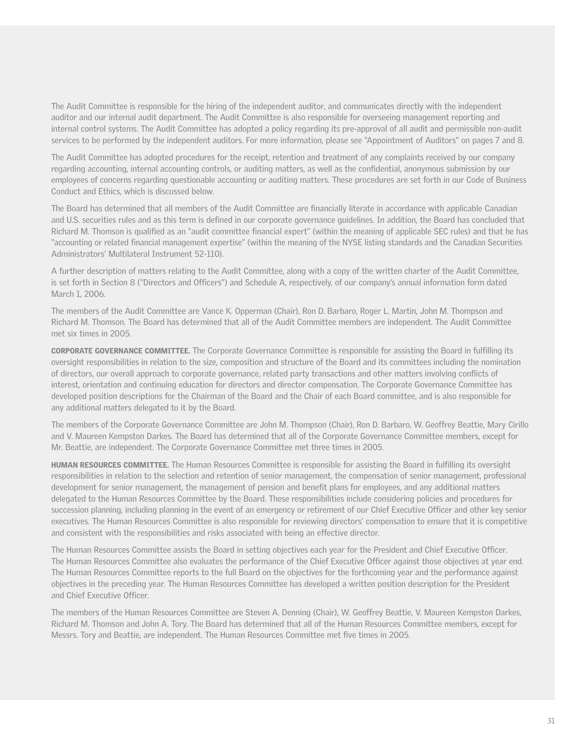The Audit Committee is responsible for the hiring of the independent auditor, and communicates directly with the independent auditor and our internal audit department. The Audit Committee is also responsible for overseeing management reporting and internal control systems. The Audit Committee has adopted a policy regarding its pre-approval of all audit and permissible non-audit services to be performed by the independent auditors. For more information, please see "Appointment of Auditors" on pages 7 and 8.

The Audit Committee has adopted procedures for the receipt, retention and treatment of any complaints received by our company regarding accounting, internal accounting controls, or auditing matters, as well as the confidential, anonymous submission by our employees of concerns regarding questionable accounting or auditing matters. These procedures are set forth in our Code of Business Conduct and Ethics, which is discussed below.

The Board has determined that all members of the Audit Committee are financially literate in accordance with applicable Canadian and U.S. securities rules and as this term is defined in our corporate governance guidelines. In addition, the Board has concluded that Richard M. Thomson is qualified as an "audit committee financial expert" (within the meaning of applicable SEC rules) and that he has "accounting or related financial management expertise" (within the meaning of the NYSE listing standards and the Canadian Securities Administrators' Multilateral Instrument 52-110).

A further description of matters relating to the Audit Committee, along with a copy of the written charter of the Audit Committee, is set forth in Section 8 ("Directors and Officers") and Schedule A, respectively, of our company's annual information form dated March 1, 2006.

The members of the Audit Committee are Vance K. Opperman (Chair), Ron D. Barbaro, Roger L. Martin, John M. Thompson and Richard M. Thomson. The Board has determined that all of the Audit Committee members are independent. The Audit Committee met six times in 2005.

CORPORATE GOVERNANCE COMMITTEE. The Corporate Governance Committee is responsible for assisting the Board in fulfilling its oversight responsibilities in relation to the size, composition and structure of the Board and its committees including the nomination of directors, our overall approach to corporate governance, related party transactions and other matters involving conflicts of interest, orientation and continuing education for directors and director compensation. The Corporate Governance Committee has developed position descriptions for the Chairman of the Board and the Chair of each Board committee, and is also responsible for any additional matters delegated to it by the Board.

The members of the Corporate Governance Committee are John M. Thompson (Chair), Ron D. Barbaro, W. Geoffrey Beattie, Mary Cirillo and V. Maureen Kempston Darkes. The Board has determined that all of the Corporate Governance Committee members, except for Mr. Beattie, are independent. The Corporate Governance Committee met three times in 2005.

HUMAN RESOURCES COMMITTEE. The Human Resources Committee is responsible for assisting the Board in fulfilling its oversight responsibilities in relation to the selection and retention of senior management, the compensation of senior management, professional development for senior management, the management of pension and benefit plans for employees, and any additional matters delegated to the Human Resources Committee by the Board. These responsibilities include considering policies and procedures for succession planning, including planning in the event of an emergency or retirement of our Chief Executive Officer and other key senior executives. The Human Resources Committee is also responsible for reviewing directors' compensation to ensure that it is competitive and consistent with the responsibilities and risks associated with being an effective director.

The Human Resources Committee assists the Board in setting objectives each year for the President and Chief Executive Officer. The Human Resources Committee also evaluates the performance of the Chief Executive Officer against those objectives at year end. The Human Resources Committee reports to the full Board on the objectives for the forthcoming year and the performance against objectives in the preceding year. The Human Resources Committee has developed a written position description for the President and Chief Executive Officer.

The members of the Human Resources Committee are Steven A. Denning (Chair), W. Geoffrey Beattie, V. Maureen Kempston Darkes, Richard M. Thomson and John A. Tory. The Board has determined that all of the Human Resources Committee members, except for Messrs. Tory and Beattie, are independent. The Human Resources Committee met five times in 2005.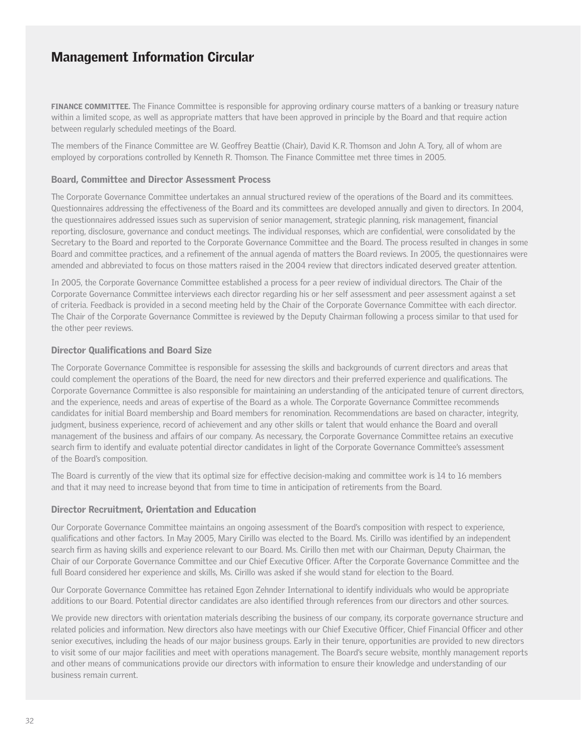**FINANCE COMMITTEE.** The Finance Committee is responsible for approving ordinary course matters of a banking or treasury nature within a limited scope, as well as appropriate matters that have been approved in principle by the Board and that require action between regularly scheduled meetings of the Board.

The members of the Finance Committee are W. Geoffrey Beattie (Chair), David K.R. Thomson and John A. Tory, all of whom are employed by corporations controlled by Kenneth R. Thomson. The Finance Committee met three times in 2005.

#### Board, Committee and Director Assessment Process

The Corporate Governance Committee undertakes an annual structured review of the operations of the Board and its committees. Questionnaires addressing the effectiveness of the Board and its committees are developed annually and given to directors. In 2004, the questionnaires addressed issues such as supervision of senior management, strategic planning, risk management, financial reporting, disclosure, governance and conduct meetings. The individual responses, which are confidential, were consolidated by the Secretary to the Board and reported to the Corporate Governance Committee and the Board. The process resulted in changes in some Board and committee practices, and a refinement of the annual agenda of matters the Board reviews. In 2005, the questionnaires were amended and abbreviated to focus on those matters raised in the 2004 review that directors indicated deserved greater attention.

In 2005, the Corporate Governance Committee established a process for a peer review of individual directors. The Chair of the Corporate Governance Committee interviews each director regarding his or her self assessment and peer assessment against a set of criteria. Feedback is provided in a second meeting held by the Chair of the Corporate Governance Committee with each director. The Chair of the Corporate Governance Committee is reviewed by the Deputy Chairman following a process similar to that used for the other peer reviews.

#### Director Qualifications and Board Size

The Corporate Governance Committee is responsible for assessing the skills and backgrounds of current directors and areas that could complement the operations of the Board, the need for new directors and their preferred experience and qualifications. The Corporate Governance Committee is also responsible for maintaining an understanding of the anticipated tenure of current directors, and the experience, needs and areas of expertise of the Board as a whole. The Corporate Governance Committee recommends candidates for initial Board membership and Board members for renomination. Recommendations are based on character, integrity, judgment, business experience, record of achievement and any other skills or talent that would enhance the Board and overall management of the business and affairs of our company. As necessary, the Corporate Governance Committee retains an executive search firm to identify and evaluate potential director candidates in light of the Corporate Governance Committee's assessment of the Board's composition.

The Board is currently of the view that its optimal size for effective decision-making and committee work is 14 to 16 members and that it may need to increase beyond that from time to time in anticipation of retirements from the Board.

#### Director Recruitment, Orientation and Education

Our Corporate Governance Committee maintains an ongoing assessment of the Board's composition with respect to experience, qualifications and other factors. In May 2005, Mary Cirillo was elected to the Board. Ms. Cirillo was identified by an independent search firm as having skills and experience relevant to our Board. Ms. Cirillo then met with our Chairman, Deputy Chairman, the Chair of our Corporate Governance Committee and our Chief Executive Officer. After the Corporate Governance Committee and the full Board considered her experience and skills, Ms. Cirillo was asked if she would stand for election to the Board.

Our Corporate Governance Committee has retained Egon Zehnder International to identify individuals who would be appropriate additions to our Board. Potential director candidates are also identified through references from our directors and other sources.

We provide new directors with orientation materials describing the business of our company, its corporate governance structure and related policies and information. New directors also have meetings with our Chief Executive Officer, Chief Financial Officer and other senior executives, including the heads of our major business groups. Early in their tenure, opportunities are provided to new directors to visit some of our major facilities and meet with operations management. The Board's secure website, monthly management reports and other means of communications provide our directors with information to ensure their knowledge and understanding of our business remain current.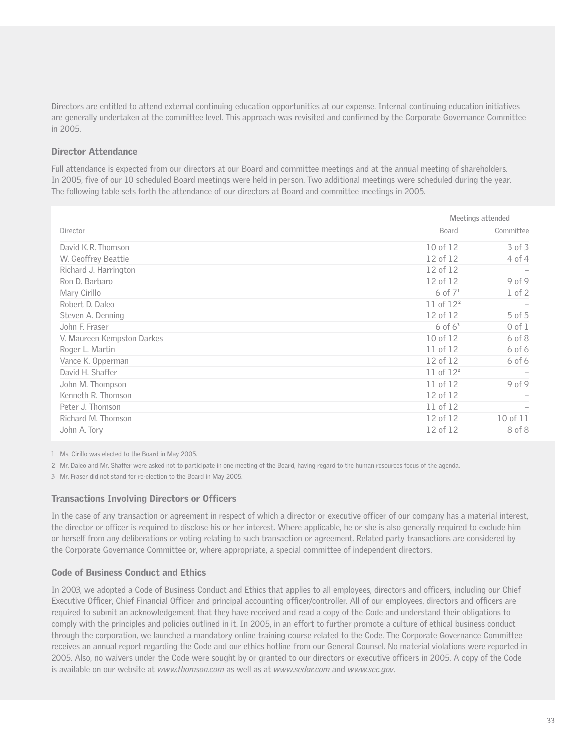Directors are entitled to attend external continuing education opportunities at our expense. Internal continuing education initiatives are generally undertaken at the committee level. This approach was revisited and confirmed by the Corporate Governance Committee in 2005.

### Director Attendance

Full attendance is expected from our directors at our Board and committee meetings and at the annual meeting of shareholders. In 2005, five of our 10 scheduled Board meetings were held in person. Two additional meetings were scheduled during the year. The following table sets forth the attendance of our directors at Board and committee meetings in 2005.

|                            | Meetings attended |            |  |
|----------------------------|-------------------|------------|--|
| Director                   | Board             | Committee  |  |
| David K.R. Thomson         | 10 of 12          | $3$ of $3$ |  |
| W. Geoffrey Beattie        | 12 of 12          | 4 of 4     |  |
| Richard J. Harrington      | 12 of 12          |            |  |
| Ron D. Barbaro             | 12 of 12          | 9 of 9     |  |
| Mary Cirillo               | 6 of $7^1$        | $1$ of $2$ |  |
| Robert D. Daleo            | 11 of $12^2$      |            |  |
| Steven A. Denning          | 12 of 12          | $5$ of $5$ |  |
| John F. Fraser             | $6$ of $63$       | $0$ of $1$ |  |
| V. Maureen Kempston Darkes | 10 of 12          | $6$ of $8$ |  |
| Roger L. Martin            | 11 of 12          | $6$ of $6$ |  |
| Vance K. Opperman          | 12 of 12          | $6$ of $6$ |  |
| David H. Shaffer           | 11 of $12^2$      |            |  |
| John M. Thompson           | 11 of 12          | 9 of 9     |  |
| Kenneth R. Thomson         | 12 of 12          |            |  |
| Peter J. Thomson           | 11 of 12          |            |  |
| Richard M. Thomson         | 12 of 12          | 10 of 11   |  |
| John A. Tory               | 12 of 12          | 8 of 8     |  |

1 Ms. Cirillo was elected to the Board in May 2005.

2 Mr. Daleo and Mr. Shaffer were asked not to participate in one meeting of the Board, having regard to the human resources focus of the agenda.

3 Mr. Fraser did not stand for re-election to the Board in May 2005.

#### Transactions Involving Directors or Officers

In the case of any transaction or agreement in respect of which a director or executive officer of our company has a material interest, the director or officer is required to disclose his or her interest. Where applicable, he or she is also generally required to exclude him or herself from any deliberations or voting relating to such transaction or agreement. Related party transactions are considered by the Corporate Governance Committee or, where appropriate, a special committee of independent directors.

#### Code of Business Conduct and Ethics

In 2003, we adopted a Code of Business Conduct and Ethics that applies to all employees, directors and officers, including our Chief Executive Officer, Chief Financial Officer and principal accounting officer/controller. All of our employees, directors and officers are required to submit an acknowledgement that they have received and read a copy of the Code and understand their obligations to comply with the principles and policies outlined in it. In 2005, in an effort to further promote a culture of ethical business conduct through the corporation, we launched a mandatory online training course related to the Code. The Corporate Governance Committee receives an annual report regarding the Code and our ethics hotline from our General Counsel. No material violations were reported in 2005. Also, no waivers under the Code were sought by or granted to our directors or executive officers in 2005. A copy of the Code is available on our website at *www.thomson.com* as well as at *www.sedar.com* and *www.sec.gov*.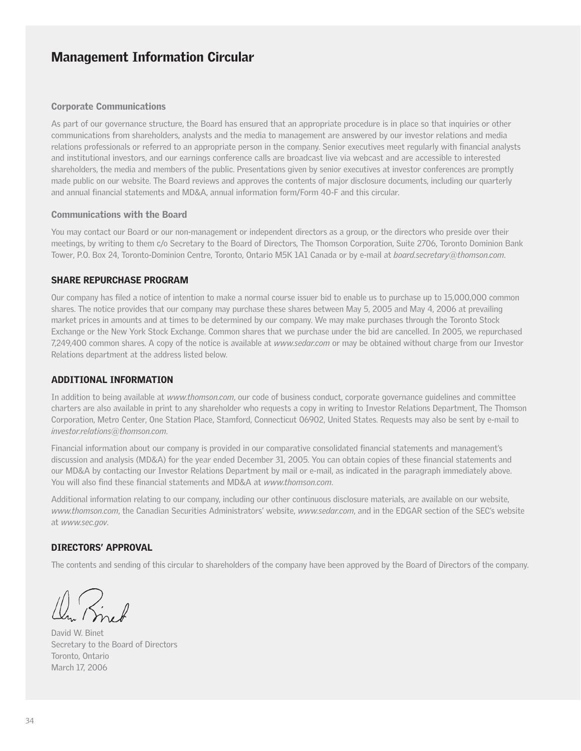#### Corporate Communications

As part of our governance structure, the Board has ensured that an appropriate procedure is in place so that inquiries or other communications from shareholders, analysts and the media to management are answered by our investor relations and media relations professionals or referred to an appropriate person in the company. Senior executives meet regularly with financial analysts and institutional investors, and our earnings conference calls are broadcast live via webcast and are accessible to interested shareholders, the media and members of the public. Presentations given by senior executives at investor conferences are promptly made public on our website. The Board reviews and approves the contents of major disclosure documents, including our quarterly and annual financial statements and MD&A, annual information form/Form 40-F and this circular.

#### Communications with the Board

You may contact our Board or our non-management or independent directors as a group, or the directors who preside over their meetings, by writing to them c/o Secretary to the Board of Directors, The Thomson Corporation, Suite 2706, Toronto Dominion Bank Tower, P.O. Box 24, Toronto-Dominion Centre, Toronto, Ontario M5K 1A1 Canada or by e-mail at *board.secretary@thomson.com*.

#### SHARE REPURCHASE PROGRAM

Our company has filed a notice of intention to make a normal course issuer bid to enable us to purchase up to 15,000,000 common shares. The notice provides that our company may purchase these shares between May 5, 2005 and May 4, 2006 at prevailing market prices in amounts and at times to be determined by our company. We may make purchases through the Toronto Stock Exchange or the New York Stock Exchange. Common shares that we purchase under the bid are cancelled. In 2005, we repurchased 7,249,400 common shares. A copy of the notice is available at *www.sedar.com* or may be obtained without charge from our Investor Relations department at the address listed below.

#### ADDITIONAL INFORMATION

In addition to being available at *www.thomson.com*, our code of business conduct, corporate governance guidelines and committee charters are also available in print to any shareholder who requests a copy in writing to Investor Relations Department, The Thomson Corporation, Metro Center, One Station Place, Stamford, Connecticut 06902, United States. Requests may also be sent by e-mail to *investor.relations@thomson.com*.

Financial information about our company is provided in our comparative consolidated financial statements and management's discussion and analysis (MD&A) for the year ended December 31, 2005. You can obtain copies of these financial statements and our MD&A by contacting our Investor Relations Department by mail or e-mail, as indicated in the paragraph immediately above. You will also find these financial statements and MD&A at *www.thomson.com*.

Additional information relating to our company, including our other continuous disclosure materials, are available on our website, *www.thomson.com*, the Canadian Securities Administrators' website, *www.sedar.com*, and in the EDGAR section of the SEC's website at *www.sec.gov*.

#### DIRECTORS' APPROVAL

The contents and sending of this circular to shareholders of the company have been approved by the Board of Directors of the company.

David W. Binet Secretary to the Board of Directors Toronto, Ontario March 17, 2006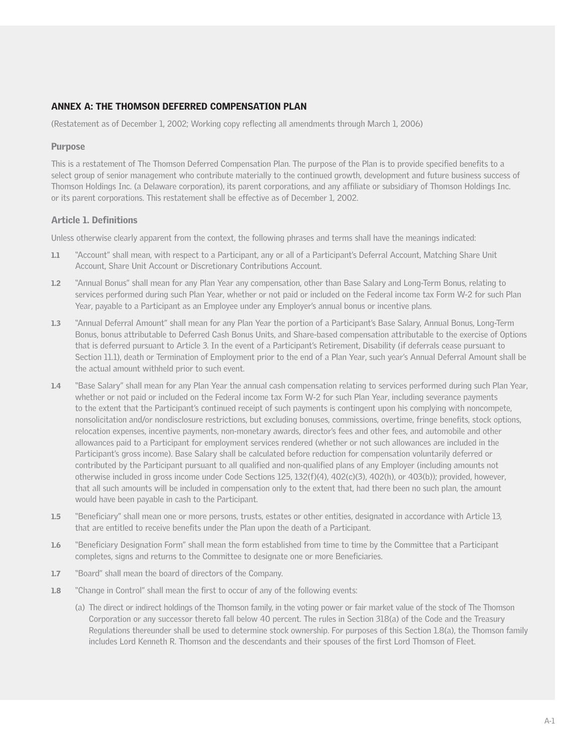### ANNEX A: THE THOMSON DEFERRED COMPENSATION PLAN

(Restatement as of December 1, 2002; Working copy reflecting all amendments through March 1, 2006)

### Purpose

This is a restatement of The Thomson Deferred Compensation Plan. The purpose of the Plan is to provide specified benefits to a select group of senior management who contribute materially to the continued growth, development and future business success of Thomson Holdings Inc. (a Delaware corporation), its parent corporations, and any affiliate or subsidiary of Thomson Holdings Inc. or its parent corporations. This restatement shall be effective as of December 1, 2002.

#### Article 1. Definitions

Unless otherwise clearly apparent from the context, the following phrases and terms shall have the meanings indicated:

- 1.1 "Account" shall mean, with respect to a Participant, any or all of a Participant's Deferral Account, Matching Share Unit Account, Share Unit Account or Discretionary Contributions Account.
- 1.2 "Annual Bonus" shall mean for any Plan Year any compensation, other than Base Salary and Long-Term Bonus, relating to services performed during such Plan Year, whether or not paid or included on the Federal income tax Form W-2 for such Plan Year, payable to a Participant as an Employee under any Employer's annual bonus or incentive plans.
- 1.3 "Annual Deferral Amount" shall mean for any Plan Year the portion of a Participant's Base Salary, Annual Bonus, Long-Term Bonus, bonus attributable to Deferred Cash Bonus Units, and Share-based compensation attributable to the exercise of Options that is deferred pursuant to Article 3. In the event of a Participant's Retirement, Disability (if deferrals cease pursuant to Section 11.1), death or Termination of Employment prior to the end of a Plan Year, such year's Annual Deferral Amount shall be the actual amount withheld prior to such event.
- 1.4 "Base Salary" shall mean for any Plan Year the annual cash compensation relating to services performed during such Plan Year, whether or not paid or included on the Federal income tax Form W-2 for such Plan Year, including severance payments to the extent that the Participant's continued receipt of such payments is contingent upon his complying with noncompete, nonsolicitation and/or nondisclosure restrictions, but excluding bonuses, commissions, overtime, fringe benefits, stock options, relocation expenses, incentive payments, non-monetary awards, director's fees and other fees, and automobile and other allowances paid to a Participant for employment services rendered (whether or not such allowances are included in the Participant's gross income). Base Salary shall be calculated before reduction for compensation voluntarily deferred or contributed by the Participant pursuant to all qualified and non-qualified plans of any Employer (including amounts not otherwise included in gross income under Code Sections 125, 132(f)(4), 402(c)(3), 402(h), or 403(b)); provided, however, that all such amounts will be included in compensation only to the extent that, had there been no such plan, the amount would have been payable in cash to the Participant.
- 1.5 "Beneficiary" shall mean one or more persons, trusts, estates or other entities, designated in accordance with Article 13, that are entitled to receive benefits under the Plan upon the death of a Participant.
- 1.6 "Beneficiary Designation Form" shall mean the form established from time to time by the Committee that a Participant completes, signs and returns to the Committee to designate one or more Beneficiaries.
- 1.7 "Board" shall mean the board of directors of the Company.
- 1.8 "Change in Control" shall mean the first to occur of any of the following events:
	- (a) The direct or indirect holdings of the Thomson family, in the voting power or fair market value of the stock of The Thomson Corporation or any successor thereto fall below 40 percent. The rules in Section 318(a) of the Code and the Treasury Regulations thereunder shall be used to determine stock ownership. For purposes of this Section 1.8(a), the Thomson family includes Lord Kenneth R. Thomson and the descendants and their spouses of the first Lord Thomson of Fleet.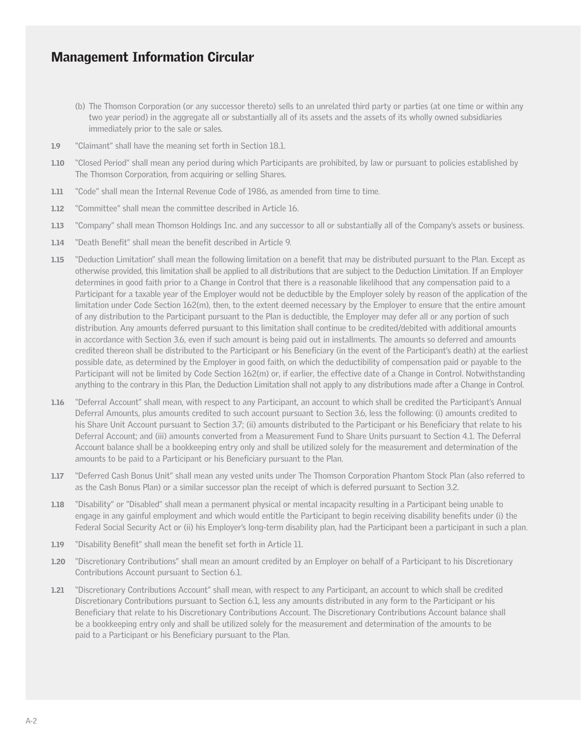- (b) The Thomson Corporation (or any successor thereto) sells to an unrelated third party or parties (at one time or within any two year period) in the aggregate all or substantially all of its assets and the assets of its wholly owned subsidiaries immediately prior to the sale or sales.
- 1.9 "Claimant" shall have the meaning set forth in Section 18.1.
- 1.10 "Closed Period" shall mean any period during which Participants are prohibited, by law or pursuant to policies established by The Thomson Corporation, from acquiring or selling Shares.
- 1.11 "Code" shall mean the Internal Revenue Code of 1986, as amended from time to time.
- 1.12 "Committee" shall mean the committee described in Article 16.
- 1.13 "Company" shall mean Thomson Holdings Inc. and any successor to all or substantially all of the Company's assets or business.
- 1.14 "Death Benefit" shall mean the benefit described in Article 9.
- 1.15 "Deduction Limitation" shall mean the following limitation on a benefit that may be distributed pursuant to the Plan. Except as otherwise provided, this limitation shall be applied to all distributions that are subject to the Deduction Limitation. If an Employer determines in good faith prior to a Change in Control that there is a reasonable likelihood that any compensation paid to a Participant for a taxable year of the Employer would not be deductible by the Employer solely by reason of the application of the limitation under Code Section 162(m), then, to the extent deemed necessary by the Employer to ensure that the entire amount of any distribution to the Participant pursuant to the Plan is deductible, the Employer may defer all or any portion of such distribution. Any amounts deferred pursuant to this limitation shall continue to be credited/debited with additional amounts in accordance with Section 3.6, even if such amount is being paid out in installments. The amounts so deferred and amounts credited thereon shall be distributed to the Participant or his Beneficiary (in the event of the Participant's death) at the earliest possible date, as determined by the Employer in good faith, on which the deductibility of compensation paid or payable to the Participant will not be limited by Code Section 162(m) or, if earlier, the effective date of a Change in Control. Notwithstanding anything to the contrary in this Plan, the Deduction Limitation shall not apply to any distributions made after a Change in Control.
- 1.16 "Deferral Account" shall mean, with respect to any Participant, an account to which shall be credited the Participant's Annual Deferral Amounts, plus amounts credited to such account pursuant to Section 3.6, less the following: (i) amounts credited to his Share Unit Account pursuant to Section 3.7; (ii) amounts distributed to the Participant or his Beneficiary that relate to his Deferral Account; and (iii) amounts converted from a Measurement Fund to Share Units pursuant to Section 4.1. The Deferral Account balance shall be a bookkeeping entry only and shall be utilized solely for the measurement and determination of the amounts to be paid to a Participant or his Beneficiary pursuant to the Plan.
- 1.17 "Deferred Cash Bonus Unit" shall mean any vested units under The Thomson Corporation Phantom Stock Plan (also referred to as the Cash Bonus Plan) or a similar successor plan the receipt of which is deferred pursuant to Section 3.2.
- 1.18 "Disability" or "Disabled" shall mean a permanent physical or mental incapacity resulting in a Participant being unable to engage in any gainful employment and which would entitle the Participant to begin receiving disability benefits under (i) the Federal Social Security Act or (ii) his Employer's long-term disability plan, had the Participant been a participant in such a plan.
- 1.19 "Disability Benefit" shall mean the benefit set forth in Article 11.
- 1.20 "Discretionary Contributions" shall mean an amount credited by an Employer on behalf of a Participant to his Discretionary Contributions Account pursuant to Section 6.1.
- 1.21 "Discretionary Contributions Account" shall mean, with respect to any Participant, an account to which shall be credited Discretionary Contributions pursuant to Section 6.1, less any amounts distributed in any form to the Participant or his Beneficiary that relate to his Discretionary Contributions Account. The Discretionary Contributions Account balance shall be a bookkeeping entry only and shall be utilized solely for the measurement and determination of the amounts to be paid to a Participant or his Beneficiary pursuant to the Plan.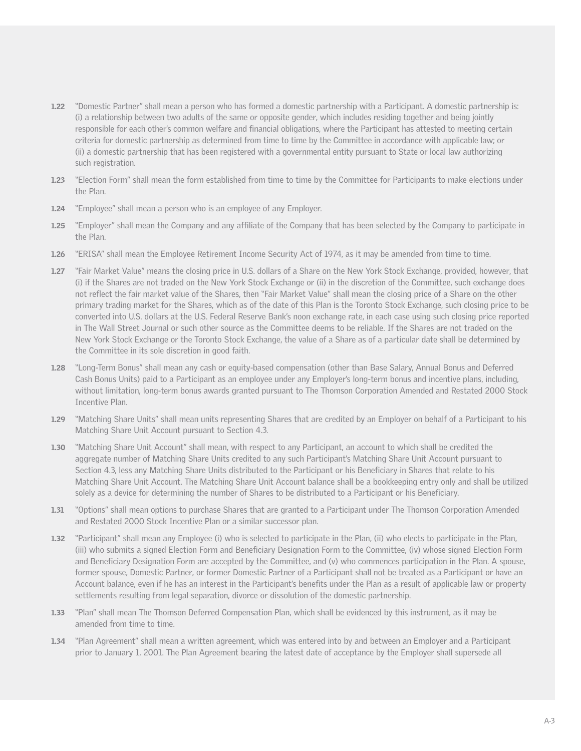- 1.22 "Domestic Partner" shall mean a person who has formed a domestic partnership with a Participant. A domestic partnership is: (i) a relationship between two adults of the same or opposite gender, which includes residing together and being jointly responsible for each other's common welfare and financial obligations, where the Participant has attested to meeting certain criteria for domestic partnership as determined from time to time by the Committee in accordance with applicable law; or (ii) a domestic partnership that has been registered with a governmental entity pursuant to State or local law authorizing such registration.
- 1.23 "Election Form" shall mean the form established from time to time by the Committee for Participants to make elections under the Plan.
- 1.24 "Employee" shall mean a person who is an employee of any Employer.
- 1.25 "Employer" shall mean the Company and any affiliate of the Company that has been selected by the Company to participate in the Plan.
- 1.26 "ERISA" shall mean the Employee Retirement Income Security Act of 1974, as it may be amended from time to time.
- 1.27 "Fair Market Value" means the closing price in U.S. dollars of a Share on the New York Stock Exchange, provided, however, that (i) if the Shares are not traded on the New York Stock Exchange or (ii) in the discretion of the Committee, such exchange does not reflect the fair market value of the Shares, then "Fair Market Value" shall mean the closing price of a Share on the other primary trading market for the Shares, which as of the date of this Plan is the Toronto Stock Exchange, such closing price to be converted into U.S. dollars at the U.S. Federal Reserve Bank's noon exchange rate, in each case using such closing price reported in The Wall Street Journal or such other source as the Committee deems to be reliable. If the Shares are not traded on the New York Stock Exchange or the Toronto Stock Exchange, the value of a Share as of a particular date shall be determined by the Committee in its sole discretion in good faith.
- 1.28 "Long-Term Bonus" shall mean any cash or equity-based compensation (other than Base Salary, Annual Bonus and Deferred Cash Bonus Units) paid to a Participant as an employee under any Employer's long-term bonus and incentive plans, including, without limitation, long-term bonus awards granted pursuant to The Thomson Corporation Amended and Restated 2000 Stock Incentive Plan.
- 1.29 "Matching Share Units" shall mean units representing Shares that are credited by an Employer on behalf of a Participant to his Matching Share Unit Account pursuant to Section 4.3.
- 1.30 "Matching Share Unit Account" shall mean, with respect to any Participant, an account to which shall be credited the aggregate number of Matching Share Units credited to any such Participant's Matching Share Unit Account pursuant to Section 4.3, less any Matching Share Units distributed to the Participant or his Beneficiary in Shares that relate to his Matching Share Unit Account. The Matching Share Unit Account balance shall be a bookkeeping entry only and shall be utilized solely as a device for determining the number of Shares to be distributed to a Participant or his Beneficiary.
- 1.31 "Options" shall mean options to purchase Shares that are granted to a Participant under The Thomson Corporation Amended and Restated 2000 Stock Incentive Plan or a similar successor plan.
- 1.32 "Participant" shall mean any Employee (i) who is selected to participate in the Plan, (ii) who elects to participate in the Plan, (iii) who submits a signed Election Form and Beneficiary Designation Form to the Committee, (iv) whose signed Election Form and Beneficiary Designation Form are accepted by the Committee, and (v) who commences participation in the Plan. A spouse, former spouse, Domestic Partner, or former Domestic Partner of a Participant shall not be treated as a Participant or have an Account balance, even if he has an interest in the Participant's benefits under the Plan as a result of applicable law or property settlements resulting from legal separation, divorce or dissolution of the domestic partnership.
- 1.33 "Plan" shall mean The Thomson Deferred Compensation Plan, which shall be evidenced by this instrument, as it may be amended from time to time.
- 1.34 "Plan Agreement" shall mean a written agreement, which was entered into by and between an Employer and a Participant prior to January 1, 2001. The Plan Agreement bearing the latest date of acceptance by the Employer shall supersede all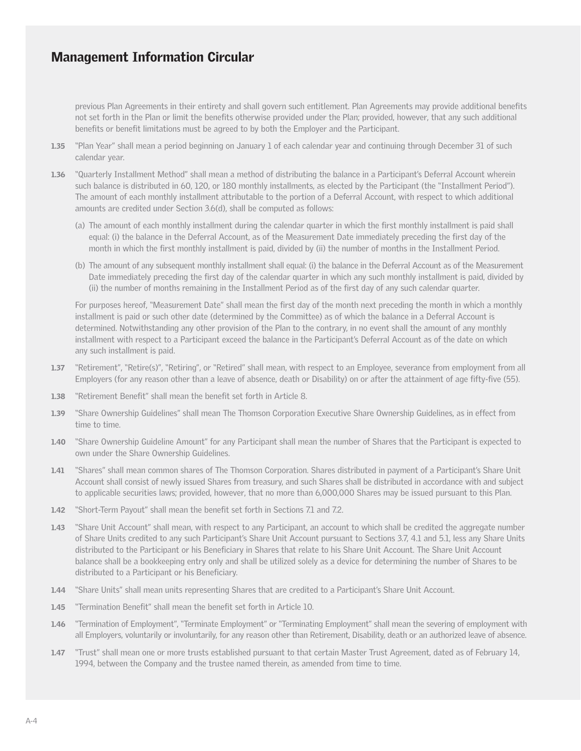previous Plan Agreements in their entirety and shall govern such entitlement. Plan Agreements may provide additional benefits not set forth in the Plan or limit the benefits otherwise provided under the Plan; provided, however, that any such additional benefits or benefit limitations must be agreed to by both the Employer and the Participant.

- 1.35 "Plan Year" shall mean a period beginning on January 1 of each calendar year and continuing through December 31 of such calendar year.
- 1.36 "Quarterly Installment Method" shall mean a method of distributing the balance in a Participant's Deferral Account wherein such balance is distributed in 60, 120, or 180 monthly installments, as elected by the Participant (the "Installment Period"). The amount of each monthly installment attributable to the portion of a Deferral Account, with respect to which additional amounts are credited under Section 3.6(d), shall be computed as follows:
	- (a) The amount of each monthly installment during the calendar quarter in which the first monthly installment is paid shall equal: (i) the balance in the Deferral Account, as of the Measurement Date immediately preceding the first day of the month in which the first monthly installment is paid, divided by (ii) the number of months in the Installment Period.
	- (b) The amount of any subsequent monthly installment shall equal: (i) the balance in the Deferral Account as of the Measurement Date immediately preceding the first day of the calendar quarter in which any such monthly installment is paid, divided by (ii) the number of months remaining in the Installment Period as of the first day of any such calendar quarter.

For purposes hereof, "Measurement Date" shall mean the first day of the month next preceding the month in which a monthly installment is paid or such other date (determined by the Committee) as of which the balance in a Deferral Account is determined. Notwithstanding any other provision of the Plan to the contrary, in no event shall the amount of any monthly installment with respect to a Participant exceed the balance in the Participant's Deferral Account as of the date on which any such installment is paid.

- 1.37 "Retirement", "Retire(s)", "Retiring", or "Retired" shall mean, with respect to an Employee, severance from employment from all Employers (for any reason other than a leave of absence, death or Disability) on or after the attainment of age fifty-five (55).
- 1.38 "Retirement Benefit" shall mean the benefit set forth in Article 8.
- 1.39 "Share Ownership Guidelines" shall mean The Thomson Corporation Executive Share Ownership Guidelines, as in effect from time to time.
- 1.40 "Share Ownership Guideline Amount" for any Participant shall mean the number of Shares that the Participant is expected to own under the Share Ownership Guidelines.
- 1.41 "Shares" shall mean common shares of The Thomson Corporation. Shares distributed in payment of a Participant's Share Unit Account shall consist of newly issued Shares from treasury, and such Shares shall be distributed in accordance with and subject to applicable securities laws; provided, however, that no more than 6,000,000 Shares may be issued pursuant to this Plan.
- 1.42 "Short-Term Payout" shall mean the benefit set forth in Sections 7.1 and 7.2.
- 1.43 "Share Unit Account" shall mean, with respect to any Participant, an account to which shall be credited the aggregate number of Share Units credited to any such Participant's Share Unit Account pursuant to Sections 3.7, 4.1 and 5.1, less any Share Units distributed to the Participant or his Beneficiary in Shares that relate to his Share Unit Account. The Share Unit Account balance shall be a bookkeeping entry only and shall be utilized solely as a device for determining the number of Shares to be distributed to a Participant or his Beneficiary.
- 1.44 "Share Units" shall mean units representing Shares that are credited to a Participant's Share Unit Account.
- 1.45 "Termination Benefit" shall mean the benefit set forth in Article 10.
- 1.46 "Termination of Employment", "Terminate Employment" or "Terminating Employment" shall mean the severing of employment with all Employers, voluntarily or involuntarily, for any reason other than Retirement, Disability, death or an authorized leave of absence.
- 1.47 "Trust" shall mean one or more trusts established pursuant to that certain Master Trust Agreement, dated as of February 14, 1994, between the Company and the trustee named therein, as amended from time to time.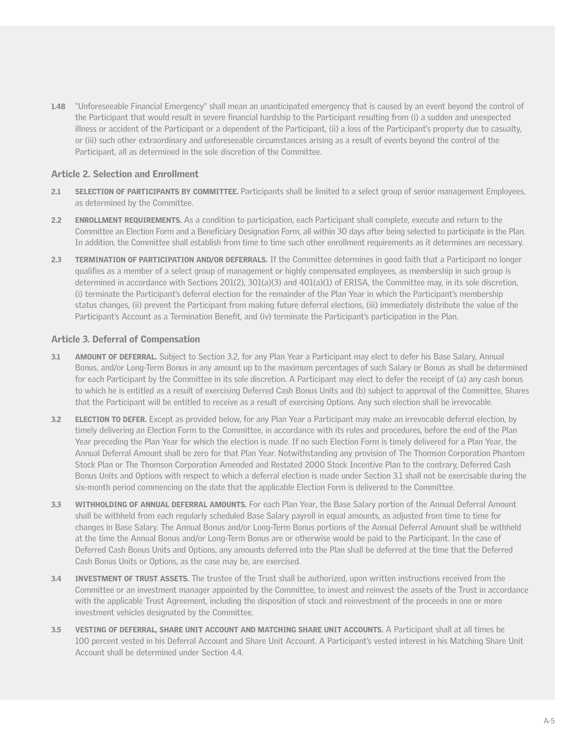1.48 "Unforeseeable Financial Emergency" shall mean an unanticipated emergency that is caused by an event beyond the control of the Participant that would result in severe financial hardship to the Participant resulting from (i) a sudden and unexpected illness or accident of the Participant or a dependent of the Participant, (ii) a loss of the Participant's property due to casualty, or (iii) such other extraordinary and unforeseeable circumstances arising as a result of events beyond the control of the Participant, all as determined in the sole discretion of the Committee.

### Article 2. Selection and Enrollment

- 2.1 SELECTION OF PARTICIPANTS BY COMMITTEE. Participants shall be limited to a select group of senior management Employees, as determined by the Committee.
- 2.2 ENROLLMENT REQUIREMENTS. As a condition to participation, each Participant shall complete, execute and return to the Committee an Election Form and a Beneficiary Designation Form, all within 30 days after being selected to participate in the Plan. In addition, the Committee shall establish from time to time such other enrollment requirements as it determines are necessary.
- 2.3 TERMINATION OF PARTICIPATION AND/OR DEFERRALS. If the Committee determines in good faith that a Participant no longer qualifies as a member of a select group of management or highly compensated employees, as membership in such group is determined in accordance with Sections 201(2), 301(a)(3) and 401(a)(1) of ERISA, the Committee may, in its sole discretion, (i) terminate the Participant's deferral election for the remainder of the Plan Year in which the Participant's membership status changes, (ii) prevent the Participant from making future deferral elections, (iii) immediately distribute the value of the Participant's Account as a Termination Benefit, and (iv) terminate the Participant's participation in the Plan.

### Article 3. Deferral of Compensation

- 3.1 AMOUNT OF DEFERRAL. Subject to Section 3.2, for any Plan Year a Participant may elect to defer his Base Salary, Annual Bonus, and/or Long-Term Bonus in any amount up to the maximum percentages of such Salary or Bonus as shall be determined for each Participant by the Committee in its sole discretion. A Participant may elect to defer the receipt of (a) any cash bonus to which he is entitled as a result of exercising Deferred Cash Bonus Units and (b) subject to approval of the Committee, Shares that the Participant will be entitled to receive as a result of exercising Options. Any such election shall be irrevocable.
- 3.2 **ELECTION TO DEFER.** Except as provided below, for any Plan Year a Participant may make an irrevocable deferral election, by timely delivering an Election Form to the Committee, in accordance with its rules and procedures, before the end of the Plan Year preceding the Plan Year for which the election is made. If no such Election Form is timely delivered for a Plan Year, the Annual Deferral Amount shall be zero for that Plan Year. Notwithstanding any provision of The Thomson Corporation Phantom Stock Plan or The Thomson Corporation Amended and Restated 2000 Stock Incentive Plan to the contrary, Deferred Cash Bonus Units and Options with respect to which a deferral election is made under Section 3.1 shall not be exercisable during the six-month period commencing on the date that the applicable Election Form is delivered to the Committee.
- 3.3 WITHHOLDING OF ANNUAL DEFERRAL AMOUNTS. For each Plan Year, the Base Salary portion of the Annual Deferral Amount shall be withheld from each regularly scheduled Base Salary payroll in equal amounts, as adjusted from time to time for changes in Base Salary. The Annual Bonus and/or Long-Term Bonus portions of the Annual Deferral Amount shall be withheld at the time the Annual Bonus and/or Long-Term Bonus are or otherwise would be paid to the Participant. In the case of Deferred Cash Bonus Units and Options, any amounts deferred into the Plan shall be deferred at the time that the Deferred Cash Bonus Units or Options, as the case may be, are exercised.
- 3.4 INVESTMENT OF TRUST ASSETS. The trustee of the Trust shall be authorized, upon written instructions received from the Committee or an investment manager appointed by the Committee, to invest and reinvest the assets of the Trust in accordance with the applicable Trust Agreement, including the disposition of stock and reinvestment of the proceeds in one or more investment vehicles designated by the Committee.
- 3.5 VESTING OF DEFERRAL, SHARE UNIT ACCOUNT AND MATCHING SHARE UNIT ACCOUNTS. A Participant shall at all times be 100 percent vested in his Deferral Account and Share Unit Account. A Participant's vested interest in his Matching Share Unit Account shall be determined under Section 4.4.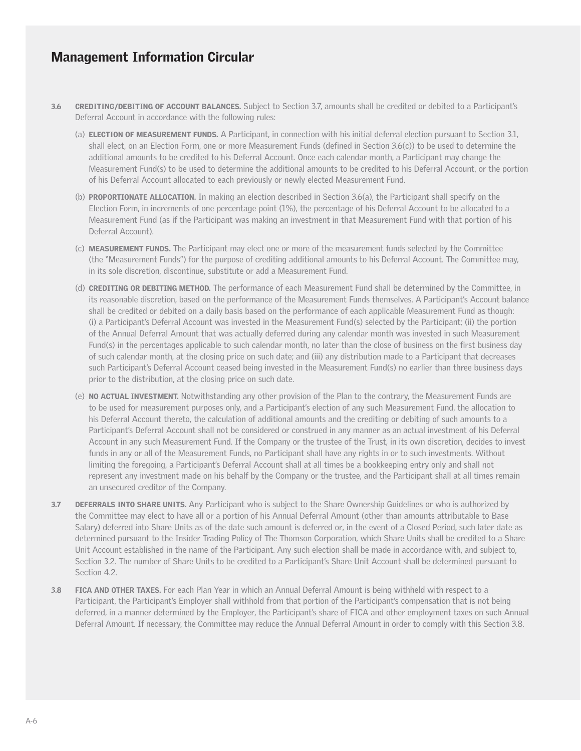- 3.6 CREDITING/DEBITING OF ACCOUNT BALANCES. Subject to Section 3.7, amounts shall be credited or debited to a Participant's Deferral Account in accordance with the following rules:
	- (a) ELECTION OF MEASUREMENT FUNDS. A Participant, in connection with his initial deferral election pursuant to Section 3.1, shall elect, on an Election Form, one or more Measurement Funds (defined in Section 3.6(c)) to be used to determine the additional amounts to be credited to his Deferral Account. Once each calendar month, a Participant may change the Measurement Fund(s) to be used to determine the additional amounts to be credited to his Deferral Account, or the portion of his Deferral Account allocated to each previously or newly elected Measurement Fund.
	- (b) PROPORTIONATE ALLOCATION. In making an election described in Section 3.6(a), the Participant shall specify on the Election Form, in increments of one percentage point (1%), the percentage of his Deferral Account to be allocated to a Measurement Fund (as if the Participant was making an investment in that Measurement Fund with that portion of his Deferral Account).
	- (c) MEASUREMENT FUNDS. The Participant may elect one or more of the measurement funds selected by the Committee (the "Measurement Funds") for the purpose of crediting additional amounts to his Deferral Account. The Committee may, in its sole discretion, discontinue, substitute or add a Measurement Fund.
	- (d) CREDITING OR DEBITING METHOD. The performance of each Measurement Fund shall be determined by the Committee, in its reasonable discretion, based on the performance of the Measurement Funds themselves. A Participant's Account balance shall be credited or debited on a daily basis based on the performance of each applicable Measurement Fund as though: (i) a Participant's Deferral Account was invested in the Measurement Fund(s) selected by the Participant; (ii) the portion of the Annual Deferral Amount that was actually deferred during any calendar month was invested in such Measurement Fund(s) in the percentages applicable to such calendar month, no later than the close of business on the first business day of such calendar month, at the closing price on such date; and (iii) any distribution made to a Participant that decreases such Participant's Deferral Account ceased being invested in the Measurement Fund(s) no earlier than three business days prior to the distribution, at the closing price on such date.
	- (e) NO ACTUAL INVESTMENT. Notwithstanding any other provision of the Plan to the contrary, the Measurement Funds are to be used for measurement purposes only, and a Participant's election of any such Measurement Fund, the allocation to his Deferral Account thereto, the calculation of additional amounts and the crediting or debiting of such amounts to a Participant's Deferral Account shall not be considered or construed in any manner as an actual investment of his Deferral Account in any such Measurement Fund. If the Company or the trustee of the Trust, in its own discretion, decides to invest funds in any or all of the Measurement Funds, no Participant shall have any rights in or to such investments. Without limiting the foregoing, a Participant's Deferral Account shall at all times be a bookkeeping entry only and shall not represent any investment made on his behalf by the Company or the trustee, and the Participant shall at all times remain an unsecured creditor of the Company.
- 3.7 DEFERRALS INTO SHARE UNITS. Any Participant who is subject to the Share Ownership Guidelines or who is authorized by the Committee may elect to have all or a portion of his Annual Deferral Amount (other than amounts attributable to Base Salary) deferred into Share Units as of the date such amount is deferred or, in the event of a Closed Period, such later date as determined pursuant to the Insider Trading Policy of The Thomson Corporation, which Share Units shall be credited to a Share Unit Account established in the name of the Participant. Any such election shall be made in accordance with, and subject to, Section 3.2. The number of Share Units to be credited to a Participant's Share Unit Account shall be determined pursuant to Section 4.2.
- 3.8 FICA AND OTHER TAXES. For each Plan Year in which an Annual Deferral Amount is being withheld with respect to a Participant, the Participant's Employer shall withhold from that portion of the Participant's compensation that is not being deferred, in a manner determined by the Employer, the Participant's share of FICA and other employment taxes on such Annual Deferral Amount. If necessary, the Committee may reduce the Annual Deferral Amount in order to comply with this Section 3.8.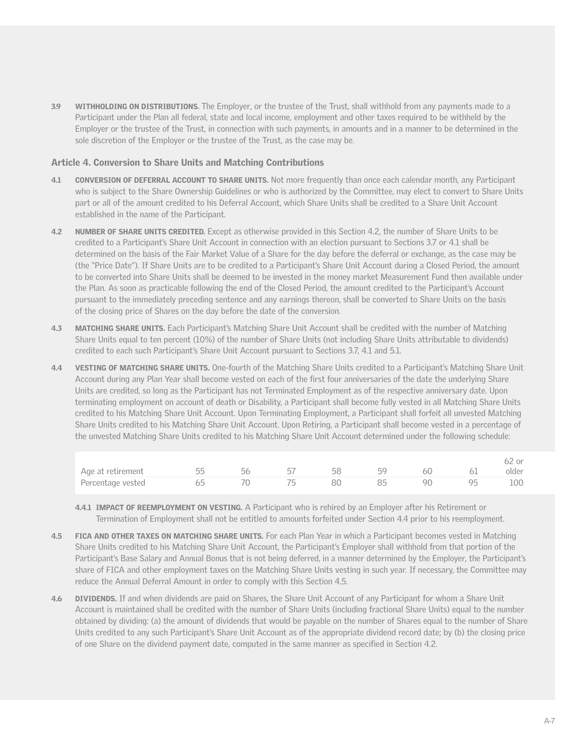3.9 WITHHOLDING ON DISTRIBUTIONS. The Employer, or the trustee of the Trust, shall withhold from any payments made to a Participant under the Plan all federal, state and local income, employment and other taxes required to be withheld by the Employer or the trustee of the Trust, in connection with such payments, in amounts and in a manner to be determined in the sole discretion of the Employer or the trustee of the Trust, as the case may be.

#### Article 4. Conversion to Share Units and Matching Contributions

- 4.1 CONVERSION OF DEFERRAL ACCOUNT TO SHARE UNITS. Not more frequently than once each calendar month, any Participant who is subject to the Share Ownership Guidelines or who is authorized by the Committee, may elect to convert to Share Units part or all of the amount credited to his Deferral Account, which Share Units shall be credited to a Share Unit Account established in the name of the Participant.
- 4.2 NUMBER OF SHARE UNITS CREDITED. Except as otherwise provided in this Section 4.2, the number of Share Units to be credited to a Participant's Share Unit Account in connection with an election pursuant to Sections 3.7 or 4.1 shall be determined on the basis of the Fair Market Value of a Share for the day before the deferral or exchange, as the case may be (the "Price Date"). If Share Units are to be credited to a Participant's Share Unit Account during a Closed Period, the amount to be converted into Share Units shall be deemed to be invested in the money market Measurement Fund then available under the Plan. As soon as practicable following the end of the Closed Period, the amount credited to the Participant's Account pursuant to the immediately preceding sentence and any earnings thereon, shall be converted to Share Units on the basis of the closing price of Shares on the day before the date of the conversion.
- 4.3 MATCHING SHARE UNITS. Each Participant's Matching Share Unit Account shall be credited with the number of Matching Share Units equal to ten percent (10%) of the number of Share Units (not including Share Units attributable to dividends) credited to each such Participant's Share Unit Account pursuant to Sections 3.7, 4.1 and 5.1.
- 4.4 VESTING OF MATCHING SHARE UNITS. One-fourth of the Matching Share Units credited to a Participant's Matching Share Unit Account during any Plan Year shall become vested on each of the first four anniversaries of the date the underlying Share Units are credited, so long as the Participant has not Terminated Employment as of the respective anniversary date. Upon terminating employment on account of death or Disability, a Participant shall become fully vested in all Matching Share Units credited to his Matching Share Unit Account. Upon Terminating Employment, a Participant shall forfeit all unvested Matching Share Units credited to his Matching Share Unit Account. Upon Retiring, a Participant shall become vested in a percentage of the unvested Matching Share Units credited to his Matching Share Unit Account determined under the following schedule:

|                            |  |    |    |       |       | 62 or |
|----------------------------|--|----|----|-------|-------|-------|
| Age at retirement 55 56 57 |  |    |    | 58 59 | 60 61 | older |
| Percentage vested 65 65    |  | 75 | 80 | 85    | 90 95 | 100   |

- 4.4.1 **IMPACT OF REEMPLOYMENT ON VESTING.** A Participant who is rehired by an Employer after his Retirement or Termination of Employment shall not be entitled to amounts forfeited under Section 4.4 prior to his reemployment.
- 4.5 FICA AND OTHER TAXES ON MATCHING SHARE UNITS. For each Plan Year in which a Participant becomes vested in Matching Share Units credited to his Matching Share Unit Account, the Participant's Employer shall withhold from that portion of the Participant's Base Salary and Annual Bonus that is not being deferred, in a manner determined by the Employer, the Participant's share of FICA and other employment taxes on the Matching Share Units vesting in such year. If necessary, the Committee may reduce the Annual Deferral Amount in order to comply with this Section 4.5.
- 4.6 DIVIDENDS. If and when dividends are paid on Shares, the Share Unit Account of any Participant for whom a Share Unit Account is maintained shall be credited with the number of Share Units (including fractional Share Units) equal to the number obtained by dividing: (a) the amount of dividends that would be payable on the number of Shares equal to the number of Share Units credited to any such Participant's Share Unit Account as of the appropriate dividend record date; by (b) the closing price of one Share on the dividend payment date, computed in the same manner as specified in Section 4.2.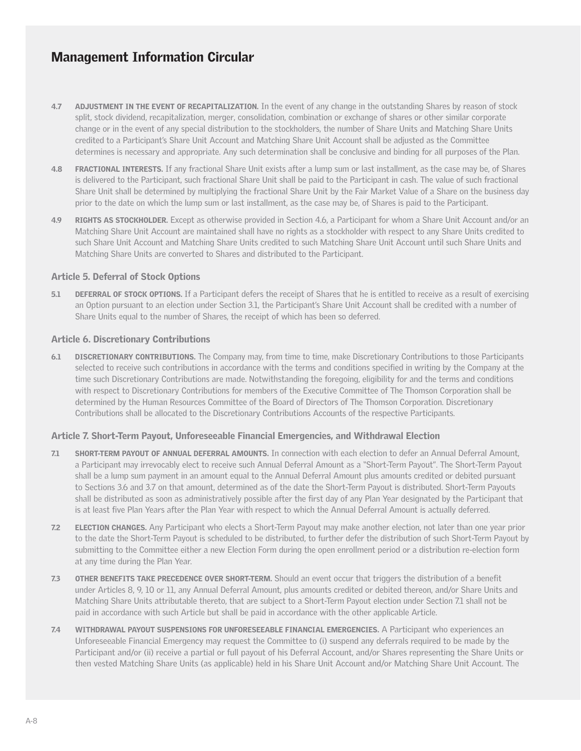- 4.7 ADJUSTMENT IN THE EVENT OF RECAPITALIZATION. In the event of any change in the outstanding Shares by reason of stock split, stock dividend, recapitalization, merger, consolidation, combination or exchange of shares or other similar corporate change or in the event of any special distribution to the stockholders, the number of Share Units and Matching Share Units credited to a Participant's Share Unit Account and Matching Share Unit Account shall be adjusted as the Committee determines is necessary and appropriate. Any such determination shall be conclusive and binding for all purposes of the Plan.
- 4.8 FRACTIONAL INTERESTS. If any fractional Share Unit exists after a lump sum or last installment, as the case may be, of Shares is delivered to the Participant, such fractional Share Unit shall be paid to the Participant in cash. The value of such fractional Share Unit shall be determined by multiplying the fractional Share Unit by the Fair Market Value of a Share on the business day prior to the date on which the lump sum or last installment, as the case may be, of Shares is paid to the Participant.
- 4.9 RIGHTS AS STOCKHOLDER. Except as otherwise provided in Section 4.6, a Participant for whom a Share Unit Account and/or an Matching Share Unit Account are maintained shall have no rights as a stockholder with respect to any Share Units credited to such Share Unit Account and Matching Share Units credited to such Matching Share Unit Account until such Share Units and Matching Share Units are converted to Shares and distributed to the Participant.

### Article 5. Deferral of Stock Options

5.1 DEFERRAL OF STOCK OPTIONS. If a Participant defers the receipt of Shares that he is entitled to receive as a result of exercising an Option pursuant to an election under Section 3.1, the Participant's Share Unit Account shall be credited with a number of Share Units equal to the number of Shares, the receipt of which has been so deferred.

### Article 6. Discretionary Contributions

6.1 DISCRETIONARY CONTRIBUTIONS. The Company may, from time to time, make Discretionary Contributions to those Participants selected to receive such contributions in accordance with the terms and conditions specified in writing by the Company at the time such Discretionary Contributions are made. Notwithstanding the foregoing, eligibility for and the terms and conditions with respect to Discretionary Contributions for members of the Executive Committee of The Thomson Corporation shall be determined by the Human Resources Committee of the Board of Directors of The Thomson Corporation. Discretionary Contributions shall be allocated to the Discretionary Contributions Accounts of the respective Participants.

### Article 7. Short-Term Payout, Unforeseeable Financial Emergencies, and Withdrawal Election

- 7.1 SHORT-TERM PAYOUT OF ANNUAL DEFERRAL AMOUNTS. In connection with each election to defer an Annual Deferral Amount, a Participant may irrevocably elect to receive such Annual Deferral Amount as a "Short-Term Payout". The Short-Term Payout shall be a lump sum payment in an amount equal to the Annual Deferral Amount plus amounts credited or debited pursuant to Sections 3.6 and 3.7 on that amount, determined as of the date the Short-Term Payout is distributed. Short-Term Payouts shall be distributed as soon as administratively possible after the first day of any Plan Year designated by the Participant that is at least five Plan Years after the Plan Year with respect to which the Annual Deferral Amount is actually deferred.
- 7.2 ELECTION CHANGES. Any Participant who elects a Short-Term Payout may make another election, not later than one year prior to the date the Short-Term Payout is scheduled to be distributed, to further defer the distribution of such Short-Term Payout by submitting to the Committee either a new Election Form during the open enrollment period or a distribution re-election form at any time during the Plan Year.
- 7.3 OTHER BENEFITS TAKE PRECEDENCE OVER SHORT-TERM. Should an event occur that triggers the distribution of a benefit under Articles 8, 9, 10 or 11, any Annual Deferral Amount, plus amounts credited or debited thereon, and/or Share Units and Matching Share Units attributable thereto, that are subject to a Short-Term Payout election under Section 7.1 shall not be paid in accordance with such Article but shall be paid in accordance with the other applicable Article.
- 7.4 WITHDRAWAL PAYOUT SUSPENSIONS FOR UNFORESEEABLE FINANCIAL EMERGENCIES. A Participant who experiences an Unforeseeable Financial Emergency may request the Committee to (i) suspend any deferrals required to be made by the Participant and/or (ii) receive a partial or full payout of his Deferral Account, and/or Shares representing the Share Units or then vested Matching Share Units (as applicable) held in his Share Unit Account and/or Matching Share Unit Account. The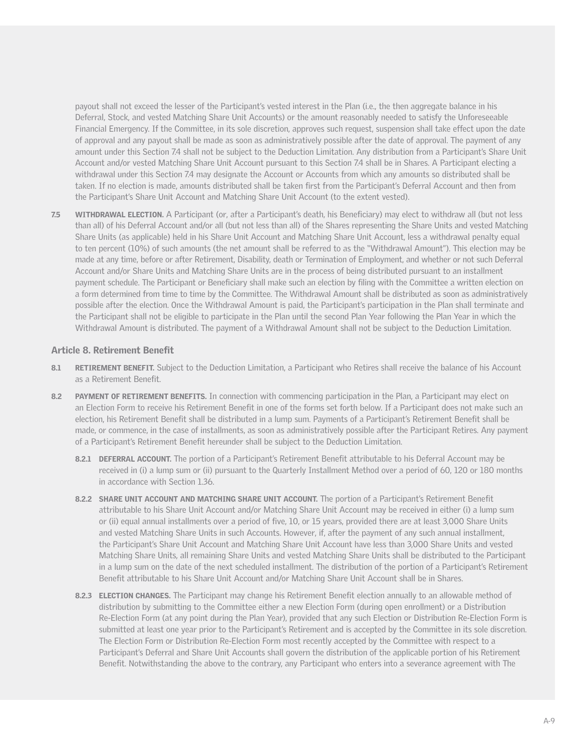payout shall not exceed the lesser of the Participant's vested interest in the Plan (i.e., the then aggregate balance in his Deferral, Stock, and vested Matching Share Unit Accounts) or the amount reasonably needed to satisfy the Unforeseeable Financial Emergency. If the Committee, in its sole discretion, approves such request, suspension shall take effect upon the date of approval and any payout shall be made as soon as administratively possible after the date of approval. The payment of any amount under this Section 7.4 shall not be subject to the Deduction Limitation. Any distribution from a Participant's Share Unit Account and/or vested Matching Share Unit Account pursuant to this Section 7.4 shall be in Shares. A Participant electing a withdrawal under this Section 7.4 may designate the Account or Accounts from which any amounts so distributed shall be taken. If no election is made, amounts distributed shall be taken first from the Participant's Deferral Account and then from the Participant's Share Unit Account and Matching Share Unit Account (to the extent vested).

7.5 WITHDRAWAL ELECTION. A Participant (or, after a Participant's death, his Beneficiary) may elect to withdraw all (but not less than all) of his Deferral Account and/or all (but not less than all) of the Shares representing the Share Units and vested Matching Share Units (as applicable) held in his Share Unit Account and Matching Share Unit Account, less a withdrawal penalty equal to ten percent (10%) of such amounts (the net amount shall be referred to as the "Withdrawal Amount"). This election may be made at any time, before or after Retirement, Disability, death or Termination of Employment, and whether or not such Deferral Account and/or Share Units and Matching Share Units are in the process of being distributed pursuant to an installment payment schedule. The Participant or Beneficiary shall make such an election by filing with the Committee a written election on a form determined from time to time by the Committee. The Withdrawal Amount shall be distributed as soon as administratively possible after the election. Once the Withdrawal Amount is paid, the Participant's participation in the Plan shall terminate and the Participant shall not be eligible to participate in the Plan until the second Plan Year following the Plan Year in which the Withdrawal Amount is distributed. The payment of a Withdrawal Amount shall not be subject to the Deduction Limitation.

#### Article 8. Retirement Benefit

- 8.1 RETIREMENT BENEFIT. Subject to the Deduction Limitation, a Participant who Retires shall receive the balance of his Account as a Retirement Benefit.
- 8.2 PAYMENT OF RETIREMENT BENEFITS. In connection with commencing participation in the Plan, a Participant may elect on an Election Form to receive his Retirement Benefit in one of the forms set forth below. If a Participant does not make such an election, his Retirement Benefit shall be distributed in a lump sum. Payments of a Participant's Retirement Benefit shall be made, or commence, in the case of installments, as soon as administratively possible after the Participant Retires. Any payment of a Participant's Retirement Benefit hereunder shall be subject to the Deduction Limitation.
	- 8.2.1 DEFERRAL ACCOUNT. The portion of a Participant's Retirement Benefit attributable to his Deferral Account may be received in (i) a lump sum or (ii) pursuant to the Quarterly Installment Method over a period of 60, 120 or 180 months in accordance with Section 1.36.
	- 8.2.2 SHARE UNIT ACCOUNT AND MATCHING SHARE UNIT ACCOUNT. The portion of a Participant's Retirement Benefit attributable to his Share Unit Account and/or Matching Share Unit Account may be received in either (i) a lump sum or (ii) equal annual installments over a period of five, 10, or 15 years, provided there are at least 3,000 Share Units and vested Matching Share Units in such Accounts. However, if, after the payment of any such annual installment, the Participant's Share Unit Account and Matching Share Unit Account have less than 3,000 Share Units and vested Matching Share Units, all remaining Share Units and vested Matching Share Units shall be distributed to the Participant in a lump sum on the date of the next scheduled installment. The distribution of the portion of a Participant's Retirement Benefit attributable to his Share Unit Account and/or Matching Share Unit Account shall be in Shares.
	- 8.2.3 ELECTION CHANGES. The Participant may change his Retirement Benefit election annually to an allowable method of distribution by submitting to the Committee either a new Election Form (during open enrollment) or a Distribution Re-Election Form (at any point during the Plan Year), provided that any such Election or Distribution Re-Election Form is submitted at least one year prior to the Participant's Retirement and is accepted by the Committee in its sole discretion. The Election Form or Distribution Re-Election Form most recently accepted by the Committee with respect to a Participant's Deferral and Share Unit Accounts shall govern the distribution of the applicable portion of his Retirement Benefit. Notwithstanding the above to the contrary, any Participant who enters into a severance agreement with The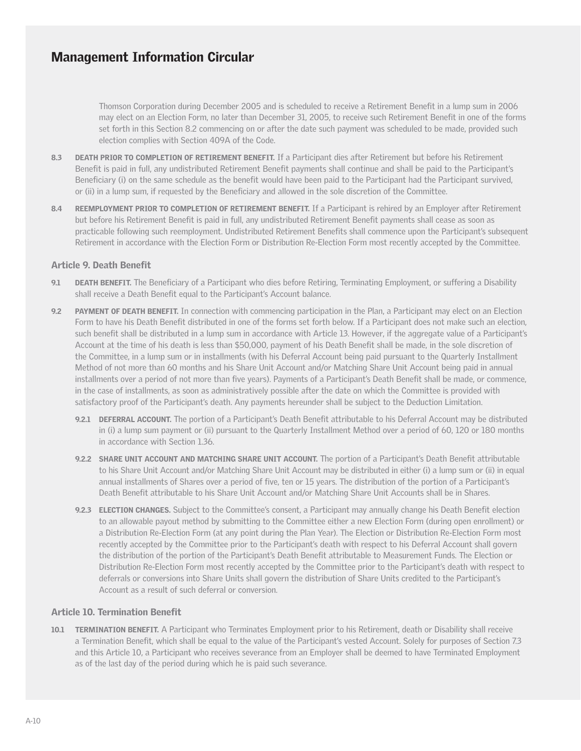Thomson Corporation during December 2005 and is scheduled to receive a Retirement Benefit in a lump sum in 2006 may elect on an Election Form, no later than December 31, 2005, to receive such Retirement Benefit in one of the forms set forth in this Section 8.2 commencing on or after the date such payment was scheduled to be made, provided such election complies with Section 409A of the Code.

- 8.3 DEATH PRIOR TO COMPLETION OF RETIREMENT BENEFIT. If a Participant dies after Retirement but before his Retirement Benefit is paid in full, any undistributed Retirement Benefit payments shall continue and shall be paid to the Participant's Beneficiary (i) on the same schedule as the benefit would have been paid to the Participant had the Participant survived, or (ii) in a lump sum, if requested by the Beneficiary and allowed in the sole discretion of the Committee.
- 8.4 REEMPLOYMENT PRIOR TO COMPLETION OF RETIREMENT BENEFIT. If a Participant is rehired by an Employer after Retirement but before his Retirement Benefit is paid in full, any undistributed Retirement Benefit payments shall cease as soon as practicable following such reemployment. Undistributed Retirement Benefits shall commence upon the Participant's subsequent Retirement in accordance with the Election Form or Distribution Re-Election Form most recently accepted by the Committee.

#### Article 9. Death Benefit

- DEATH BENEFIT. The Beneficiary of a Participant who dies before Retiring, Terminating Employment, or suffering a Disability shall receive a Death Benefit equal to the Participant's Account balance.
- 9.2 PAYMENT OF DEATH BENEFIT. In connection with commencing participation in the Plan, a Participant may elect on an Election Form to have his Death Benefit distributed in one of the forms set forth below. If a Participant does not make such an election, such benefit shall be distributed in a lump sum in accordance with Article 13. However, if the aggregate value of a Participant's Account at the time of his death is less than \$50,000, payment of his Death Benefit shall be made, in the sole discretion of the Committee, in a lump sum or in installments (with his Deferral Account being paid pursuant to the Quarterly Installment Method of not more than 60 months and his Share Unit Account and/or Matching Share Unit Account being paid in annual installments over a period of not more than five years). Payments of a Participant's Death Benefit shall be made, or commence, in the case of installments, as soon as administratively possible after the date on which the Committee is provided with satisfactory proof of the Participant's death. Any payments hereunder shall be subject to the Deduction Limitation.
	- 9.2.1 DEFERRAL ACCOUNT. The portion of a Participant's Death Benefit attributable to his Deferral Account may be distributed in (i) a lump sum payment or (ii) pursuant to the Quarterly Installment Method over a period of 60, 120 or 180 months in accordance with Section 1.36.
	- 9.2.2 SHARE UNIT ACCOUNT AND MATCHING SHARE UNIT ACCOUNT. The portion of a Participant's Death Benefit attributable to his Share Unit Account and/or Matching Share Unit Account may be distributed in either (i) a lump sum or (ii) in equal annual installments of Shares over a period of five, ten or 15 years. The distribution of the portion of a Participant's Death Benefit attributable to his Share Unit Account and/or Matching Share Unit Accounts shall be in Shares.
	- 9.2.3 ELECTION CHANGES. Subject to the Committee's consent, a Participant may annually change his Death Benefit election to an allowable payout method by submitting to the Committee either a new Election Form (during open enrollment) or a Distribution Re-Election Form (at any point during the Plan Year). The Election or Distribution Re-Election Form most recently accepted by the Committee prior to the Participant's death with respect to his Deferral Account shall govern the distribution of the portion of the Participant's Death Benefit attributable to Measurement Funds. The Election or Distribution Re-Election Form most recently accepted by the Committee prior to the Participant's death with respect to deferrals or conversions into Share Units shall govern the distribution of Share Units credited to the Participant's Account as a result of such deferral or conversion.

### Article 10. Termination Benefit

10.1 TERMINATION BENEFIT. A Participant who Terminates Employment prior to his Retirement, death or Disability shall receive a Termination Benefit, which shall be equal to the value of the Participant's vested Account. Solely for purposes of Section 7.3 and this Article 10, a Participant who receives severance from an Employer shall be deemed to have Terminated Employment as of the last day of the period during which he is paid such severance.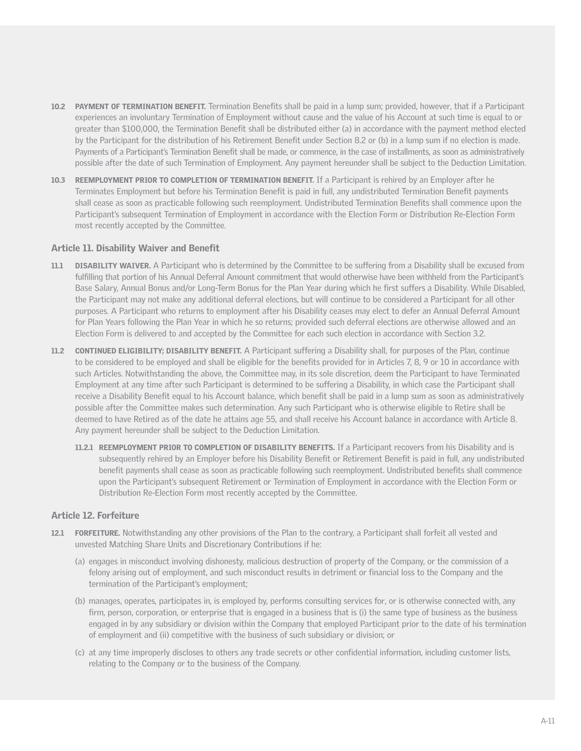- 10.2 PAYMENT OF TERMINATION BENEFIT. Termination Benefits shall be paid in a lump sum; provided, however, that if a Participant experiences an involuntary Termination of Employment without cause and the value of his Account at such time is equal to or greater than \$100,000, the Termination Benefit shall be distributed either (a) in accordance with the payment method elected by the Participant for the distribution of his Retirement Benefit under Section 8.2 or (b) in a lump sum if no election is made. Payments of a Participant's Termination Benefit shall be made, or commence, in the case of installments, as soon as administratively possible after the date of such Termination of Employment. Any payment hereunder shall be subject to the Deduction Limitation.
- 10.3 REEMPLOYMENT PRIOR TO COMPLETION OF TERMINATION BENEFIT. If a Participant is rehired by an Employer after he Terminates Employment but before his Termination Benefit is paid in full, any undistributed Termination Benefit payments shall cease as soon as practicable following such reemployment. Undistributed Termination Benefits shall commence upon the Participant's subsequent Termination of Employment in accordance with the Election Form or Distribution Re-Election Form most recently accepted by the Committee.

#### Article 11. Disability Waiver and Benefit

- 11.1 DISABILITY WAIVER. A Participant who is determined by the Committee to be suffering from a Disability shall be excused from fulfilling that portion of his Annual Deferral Amount commitment that would otherwise have been withheld from the Participant's Base Salary, Annual Bonus and/or Long-Term Bonus for the Plan Year during which he first suffers a Disability. While Disabled, the Participant may not make any additional deferral elections, but will continue to be considered a Participant for all other purposes. A Participant who returns to employment after his Disability ceases may elect to defer an Annual Deferral Amount for Plan Years following the Plan Year in which he so returns; provided such deferral elections are otherwise allowed and an Election Form is delivered to and accepted by the Committee for each such election in accordance with Section 3.2.
- 11.2 CONTINUED ELIGIBILITY; DISABILITY BENEFIT. A Participant suffering a Disability shall, for purposes of the Plan, continue to be considered to be employed and shall be eligible for the benefits provided for in Articles 7, 8, 9 or 10 in accordance with such Articles. Notwithstanding the above, the Committee may, in its sole discretion, deem the Participant to have Terminated Employment at any time after such Participant is determined to be suffering a Disability, in which case the Participant shall receive a Disability Benefit equal to his Account balance, which benefit shall be paid in a lump sum as soon as administratively possible after the Committee makes such determination. Any such Participant who is otherwise eligible to Retire shall be deemed to have Retired as of the date he attains age 55, and shall receive his Account balance in accordance with Article 8. Any payment hereunder shall be subject to the Deduction Limitation.
	- 11.2.1 REEMPLOYMENT PRIOR TO COMPLETION OF DISABILITY BENEFITS. If a Participant recovers from his Disability and is subsequently rehired by an Employer before his Disability Benefit or Retirement Benefit is paid in full, any undistributed benefit payments shall cease as soon as practicable following such reemployment. Undistributed benefits shall commence upon the Participant's subsequent Retirement or Termination of Employment in accordance with the Election Form or Distribution Re-Election Form most recently accepted by the Committee.

#### Article 12. Forfeiture

- 12.1 FORFEITURE. Notwithstanding any other provisions of the Plan to the contrary, a Participant shall forfeit all vested and unvested Matching Share Units and Discretionary Contributions if he:
	- (a) engages in misconduct involving dishonesty, malicious destruction of property of the Company, or the commission of a felony arising out of employment, and such misconduct results in detriment or financial loss to the Company and the termination of the Participant's employment;
	- (b) manages, operates, participates in, is employed by, performs consulting services for, or is otherwise connected with, any firm, person, corporation, or enterprise that is engaged in a business that is (i) the same type of business as the business engaged in by any subsidiary or division within the Company that employed Participant prior to the date of his termination of employment and (ii) competitive with the business of such subsidiary or division; or
	- (c) at any time improperly discloses to others any trade secrets or other confidential information, including customer lists, relating to the Company or to the business of the Company.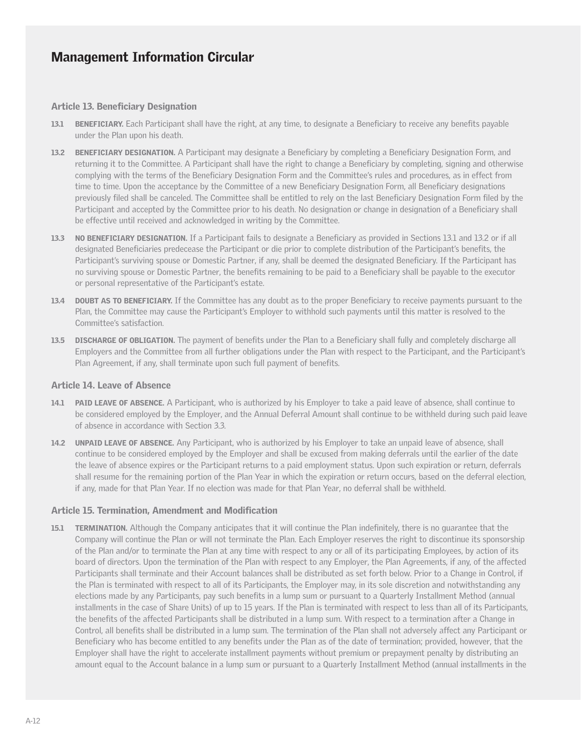#### Article 13. Beneficiary Designation

- 13.1 BENEFICIARY. Each Participant shall have the right, at any time, to designate a Beneficiary to receive any benefits payable under the Plan upon his death.
- 13.2 BENEFICIARY DESIGNATION. A Participant may designate a Beneficiary by completing a Beneficiary Designation Form, and returning it to the Committee. A Participant shall have the right to change a Beneficiary by completing, signing and otherwise complying with the terms of the Beneficiary Designation Form and the Committee's rules and procedures, as in effect from time to time. Upon the acceptance by the Committee of a new Beneficiary Designation Form, all Beneficiary designations previously filed shall be canceled. The Committee shall be entitled to rely on the last Beneficiary Designation Form filed by the Participant and accepted by the Committee prior to his death. No designation or change in designation of a Beneficiary shall be effective until received and acknowledged in writing by the Committee.
- 13.3 NO BENEFICIARY DESIGNATION. If a Participant fails to designate a Beneficiary as provided in Sections 13.1 and 13.2 or if all designated Beneficiaries predecease the Participant or die prior to complete distribution of the Participant's benefits, the Participant's surviving spouse or Domestic Partner, if any, shall be deemed the designated Beneficiary. If the Participant has no surviving spouse or Domestic Partner, the benefits remaining to be paid to a Beneficiary shall be payable to the executor or personal representative of the Participant's estate.
- 13.4 DOUBT AS TO BENEFICIARY. If the Committee has any doubt as to the proper Beneficiary to receive payments pursuant to the Plan, the Committee may cause the Participant's Employer to withhold such payments until this matter is resolved to the Committee's satisfaction.
- 13.5 DISCHARGE OF OBLIGATION. The payment of benefits under the Plan to a Beneficiary shall fully and completely discharge all Employers and the Committee from all further obligations under the Plan with respect to the Participant, and the Participant's Plan Agreement, if any, shall terminate upon such full payment of benefits.

#### Article 14. Leave of Absence

- 14.1 PAID LEAVE OF ABSENCE. A Participant, who is authorized by his Employer to take a paid leave of absence, shall continue to be considered employed by the Employer, and the Annual Deferral Amount shall continue to be withheld during such paid leave of absence in accordance with Section 3.3.
- 14.2 UNPAID LEAVE OF ABSENCE. Any Participant, who is authorized by his Employer to take an unpaid leave of absence, shall continue to be considered employed by the Employer and shall be excused from making deferrals until the earlier of the date the leave of absence expires or the Participant returns to a paid employment status. Upon such expiration or return, deferrals shall resume for the remaining portion of the Plan Year in which the expiration or return occurs, based on the deferral election, if any, made for that Plan Year. If no election was made for that Plan Year, no deferral shall be withheld.

#### Article 15. Termination, Amendment and Modification

15.1 TERMINATION. Although the Company anticipates that it will continue the Plan indefinitely, there is no guarantee that the Company will continue the Plan or will not terminate the Plan. Each Employer reserves the right to discontinue its sponsorship of the Plan and/or to terminate the Plan at any time with respect to any or all of its participating Employees, by action of its board of directors. Upon the termination of the Plan with respect to any Employer, the Plan Agreements, if any, of the affected Participants shall terminate and their Account balances shall be distributed as set forth below. Prior to a Change in Control, if the Plan is terminated with respect to all of its Participants, the Employer may, in its sole discretion and notwithstanding any elections made by any Participants, pay such benefits in a lump sum or pursuant to a Quarterly Installment Method (annual installments in the case of Share Units) of up to 15 years. If the Plan is terminated with respect to less than all of its Participants, the benefits of the affected Participants shall be distributed in a lump sum. With respect to a termination after a Change in Control, all benefits shall be distributed in a lump sum. The termination of the Plan shall not adversely affect any Participant or Beneficiary who has become entitled to any benefits under the Plan as of the date of termination; provided, however, that the Employer shall have the right to accelerate installment payments without premium or prepayment penalty by distributing an amount equal to the Account balance in a lump sum or pursuant to a Quarterly Installment Method (annual installments in the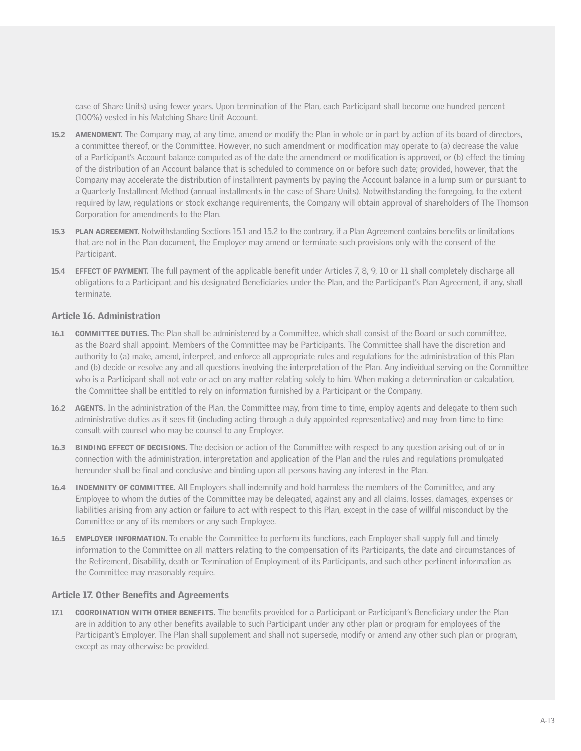case of Share Units) using fewer years. Upon termination of the Plan, each Participant shall become one hundred percent (100%) vested in his Matching Share Unit Account.

- 15.2 AMENDMENT. The Company may, at any time, amend or modify the Plan in whole or in part by action of its board of directors, a committee thereof, or the Committee. However, no such amendment or modification may operate to (a) decrease the value of a Participant's Account balance computed as of the date the amendment or modification is approved, or (b) effect the timing of the distribution of an Account balance that is scheduled to commence on or before such date; provided, however, that the Company may accelerate the distribution of installment payments by paying the Account balance in a lump sum or pursuant to a Quarterly Installment Method (annual installments in the case of Share Units). Notwithstanding the foregoing, to the extent required by law, regulations or stock exchange requirements, the Company will obtain approval of shareholders of The Thomson Corporation for amendments to the Plan.
- 15.3 PLAN AGREEMENT. Notwithstanding Sections 15.1 and 15.2 to the contrary, if a Plan Agreement contains benefits or limitations that are not in the Plan document, the Employer may amend or terminate such provisions only with the consent of the Participant.
- 15.4 EFFECT OF PAYMENT. The full payment of the applicable benefit under Articles 7, 8, 9, 10 or 11 shall completely discharge all obligations to a Participant and his designated Beneficiaries under the Plan, and the Participant's Plan Agreement, if any, shall terminate.

#### Article 16. Administration

- 16.1 COMMITTEE DUTIES. The Plan shall be administered by a Committee, which shall consist of the Board or such committee, as the Board shall appoint. Members of the Committee may be Participants. The Committee shall have the discretion and authority to (a) make, amend, interpret, and enforce all appropriate rules and regulations for the administration of this Plan and (b) decide or resolve any and all questions involving the interpretation of the Plan. Any individual serving on the Committee who is a Participant shall not vote or act on any matter relating solely to him. When making a determination or calculation, the Committee shall be entitled to rely on information furnished by a Participant or the Company.
- 16.2 AGENTS. In the administration of the Plan, the Committee may, from time to time, employ agents and delegate to them such administrative duties as it sees fit (including acting through a duly appointed representative) and may from time to time consult with counsel who may be counsel to any Employer.
- 16.3 BINDING EFFECT OF DECISIONS. The decision or action of the Committee with respect to any question arising out of or in connection with the administration, interpretation and application of the Plan and the rules and regulations promulgated hereunder shall be final and conclusive and binding upon all persons having any interest in the Plan.
- **16.4** INDEMNITY OF COMMITTEE. All Employers shall indemnify and hold harmless the members of the Committee, and any Employee to whom the duties of the Committee may be delegated, against any and all claims, losses, damages, expenses or liabilities arising from any action or failure to act with respect to this Plan, except in the case of willful misconduct by the Committee or any of its members or any such Employee.
- 16.5 EMPLOYER INFORMATION. To enable the Committee to perform its functions, each Employer shall supply full and timely information to the Committee on all matters relating to the compensation of its Participants, the date and circumstances of the Retirement, Disability, death or Termination of Employment of its Participants, and such other pertinent information as the Committee may reasonably require.

#### Article 17. Other Benefits and Agreements

17.1 COORDINATION WITH OTHER BENEFITS. The benefits provided for a Participant or Participant's Beneficiary under the Plan are in addition to any other benefits available to such Participant under any other plan or program for employees of the Participant's Employer. The Plan shall supplement and shall not supersede, modify or amend any other such plan or program, except as may otherwise be provided.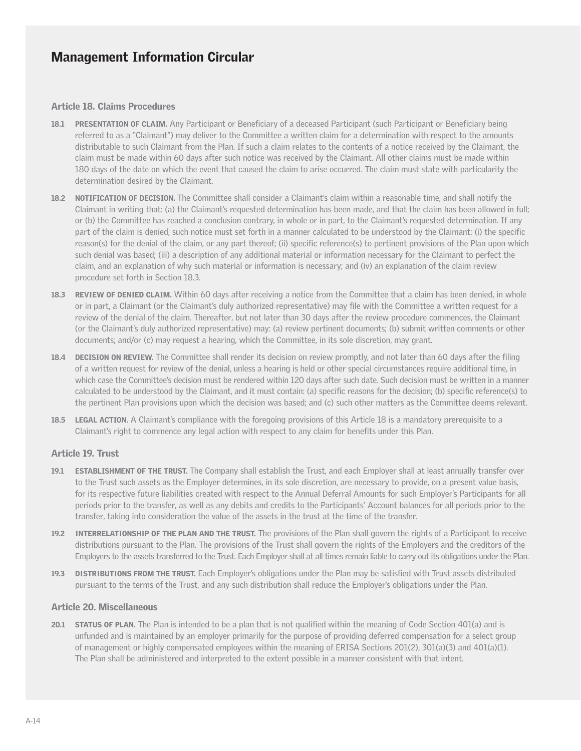#### Article 18. Claims Procedures

- 18.1 PRESENTATION OF CLAIM. Any Participant or Beneficiary of a deceased Participant (such Participant or Beneficiary being referred to as a "Claimant") may deliver to the Committee a written claim for a determination with respect to the amounts distributable to such Claimant from the Plan. If such a claim relates to the contents of a notice received by the Claimant, the claim must be made within 60 days after such notice was received by the Claimant. All other claims must be made within 180 days of the date on which the event that caused the claim to arise occurred. The claim must state with particularity the determination desired by the Claimant.
- 18.2 NOTIFICATION OF DECISION. The Committee shall consider a Claimant's claim within a reasonable time, and shall notify the Claimant in writing that: (a) the Claimant's requested determination has been made, and that the claim has been allowed in full; or (b) the Committee has reached a conclusion contrary, in whole or in part, to the Claimant's requested determination. If any part of the claim is denied, such notice must set forth in a manner calculated to be understood by the Claimant: (i) the specific reason(s) for the denial of the claim, or any part thereof; (ii) specific reference(s) to pertinent provisions of the Plan upon which such denial was based; (iii) a description of any additional material or information necessary for the Claimant to perfect the claim, and an explanation of why such material or information is necessary; and (iv) an explanation of the claim review procedure set forth in Section 18.3.
- 18.3 REVIEW OF DENIED CLAIM. Within 60 days after receiving a notice from the Committee that a claim has been denied, in whole or in part, a Claimant (or the Claimant's duly authorized representative) may file with the Committee a written request for a review of the denial of the claim. Thereafter, but not later than 30 days after the review procedure commences, the Claimant (or the Claimant's duly authorized representative) may: (a) review pertinent documents; (b) submit written comments or other documents; and/or (c) may request a hearing, which the Committee, in its sole discretion, may grant.
- 18.4 DECISION ON REVIEW. The Committee shall render its decision on review promptly, and not later than 60 days after the filing of a written request for review of the denial, unless a hearing is held or other special circumstances require additional time, in which case the Committee's decision must be rendered within 120 days after such date. Such decision must be written in a manner calculated to be understood by the Claimant, and it must contain: (a) specific reasons for the decision; (b) specific reference(s) to the pertinent Plan provisions upon which the decision was based; and (c) such other matters as the Committee deems relevant.
- **18.5** LEGAL ACTION. A Claimant's compliance with the foregoing provisions of this Article 18 is a mandatory prerequisite to a Claimant's right to commence any legal action with respect to any claim for benefits under this Plan.

### Article 19. Trust

- 19.1 ESTABLISHMENT OF THE TRUST. The Company shall establish the Trust, and each Employer shall at least annually transfer over to the Trust such assets as the Employer determines, in its sole discretion, are necessary to provide, on a present value basis, for its respective future liabilities created with respect to the Annual Deferral Amounts for such Employer's Participants for all periods prior to the transfer, as well as any debits and credits to the Participants' Account balances for all periods prior to the transfer, taking into consideration the value of the assets in the trust at the time of the transfer.
- 19.2 INTERRELATIONSHIP OF THE PLAN AND THE TRUST. The provisions of the Plan shall govern the rights of a Participant to receive distributions pursuant to the Plan. The provisions of the Trust shall govern the rights of the Employers and the creditors of the Employers to the assets transferred to the Trust. Each Employer shall at all times remain liable to carry out its obligations under the Plan.
- 19.3 DISTRIBUTIONS FROM THE TRUST. Each Employer's obligations under the Plan may be satisfied with Trust assets distributed pursuant to the terms of the Trust, and any such distribution shall reduce the Employer's obligations under the Plan.

#### Article 20. Miscellaneous

20.1 STATUS OF PLAN. The Plan is intended to be a plan that is not qualified within the meaning of Code Section 401(a) and is unfunded and is maintained by an employer primarily for the purpose of providing deferred compensation for a select group of management or highly compensated employees within the meaning of ERISA Sections 201(2), 301(a)(3) and 401(a)(1). The Plan shall be administered and interpreted to the extent possible in a manner consistent with that intent.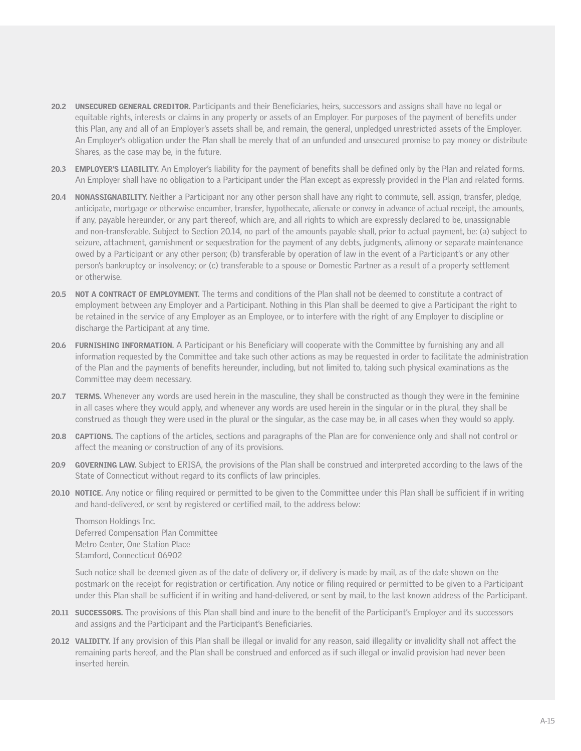- 20.2 UNSECURED GENERAL CREDITOR. Participants and their Beneficiaries, heirs, successors and assigns shall have no legal or equitable rights, interests or claims in any property or assets of an Employer. For purposes of the payment of benefits under this Plan, any and all of an Employer's assets shall be, and remain, the general, unpledged unrestricted assets of the Employer. An Employer's obligation under the Plan shall be merely that of an unfunded and unsecured promise to pay money or distribute Shares, as the case may be, in the future.
- 20.3 EMPLOYER'S LIABILITY. An Employer's liability for the payment of benefits shall be defined only by the Plan and related forms. An Employer shall have no obligation to a Participant under the Plan except as expressly provided in the Plan and related forms.
- 20.4 NONASSIGNABILITY. Neither a Participant nor any other person shall have any right to commute, sell, assign, transfer, pledge, anticipate, mortgage or otherwise encumber, transfer, hypothecate, alienate or convey in advance of actual receipt, the amounts, if any, payable hereunder, or any part thereof, which are, and all rights to which are expressly declared to be, unassignable and non-transferable. Subject to Section 20.14, no part of the amounts payable shall, prior to actual payment, be: (a) subject to seizure, attachment, garnishment or sequestration for the payment of any debts, judgments, alimony or separate maintenance owed by a Participant or any other person; (b) transferable by operation of law in the event of a Participant's or any other person's bankruptcy or insolvency; or (c) transferable to a spouse or Domestic Partner as a result of a property settlement or otherwise.
- 20.5 NOT A CONTRACT OF EMPLOYMENT. The terms and conditions of the Plan shall not be deemed to constitute a contract of employment between any Employer and a Participant. Nothing in this Plan shall be deemed to give a Participant the right to be retained in the service of any Employer as an Employee, or to interfere with the right of any Employer to discipline or discharge the Participant at any time.
- 20.6 FURNISHING INFORMATION. A Participant or his Beneficiary will cooperate with the Committee by furnishing any and all information requested by the Committee and take such other actions as may be requested in order to facilitate the administration of the Plan and the payments of benefits hereunder, including, but not limited to, taking such physical examinations as the Committee may deem necessary.
- 20.7 TERMS. Whenever any words are used herein in the masculine, they shall be constructed as though they were in the feminine in all cases where they would apply, and whenever any words are used herein in the singular or in the plural, they shall be construed as though they were used in the plural or the singular, as the case may be, in all cases when they would so apply.
- 20.8 CAPTIONS. The captions of the articles, sections and paragraphs of the Plan are for convenience only and shall not control or affect the meaning or construction of any of its provisions.
- 20.9 GOVERNING LAW. Subject to ERISA, the provisions of the Plan shall be construed and interpreted according to the laws of the State of Connecticut without regard to its conflicts of law principles.
- 20.10 NOTICE. Any notice or filing required or permitted to be given to the Committee under this Plan shall be sufficient if in writing and hand-delivered, or sent by registered or certified mail, to the address below:

Thomson Holdings Inc. Deferred Compensation Plan Committee Metro Center, One Station Place Stamford, Connecticut 06902

Such notice shall be deemed given as of the date of delivery or, if delivery is made by mail, as of the date shown on the postmark on the receipt for registration or certification. Any notice or filing required or permitted to be given to a Participant under this Plan shall be sufficient if in writing and hand-delivered, or sent by mail, to the last known address of the Participant.

- **20.11 SUCCESSORS.** The provisions of this Plan shall bind and inure to the benefit of the Participant's Employer and its successors and assigns and the Participant and the Participant's Beneficiaries.
- 20.12 VALIDITY. If any provision of this Plan shall be illegal or invalid for any reason, said illegality or invalidity shall not affect the remaining parts hereof, and the Plan shall be construed and enforced as if such illegal or invalid provision had never been inserted herein.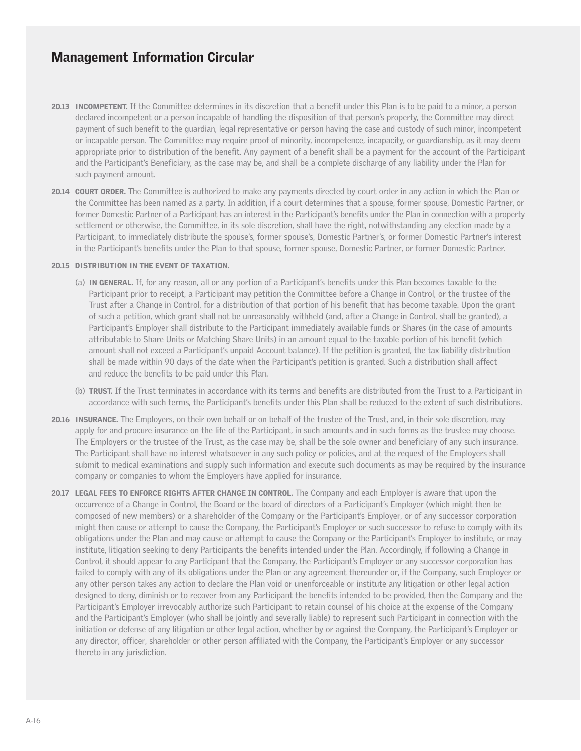- 20.13 INCOMPETENT. If the Committee determines in its discretion that a benefit under this Plan is to be paid to a minor, a person declared incompetent or a person incapable of handling the disposition of that person's property, the Committee may direct payment of such benefit to the guardian, legal representative or person having the case and custody of such minor, incompetent or incapable person. The Committee may require proof of minority, incompetence, incapacity, or guardianship, as it may deem appropriate prior to distribution of the benefit. Any payment of a benefit shall be a payment for the account of the Participant and the Participant's Beneficiary, as the case may be, and shall be a complete discharge of any liability under the Plan for such payment amount.
- 20.14 COURT ORDER. The Committee is authorized to make any payments directed by court order in any action in which the Plan or the Committee has been named as a party. In addition, if a court determines that a spouse, former spouse, Domestic Partner, or former Domestic Partner of a Participant has an interest in the Participant's benefits under the Plan in connection with a property settlement or otherwise, the Committee, in its sole discretion, shall have the right, notwithstanding any election made by a Participant, to immediately distribute the spouse's, former spouse's, Domestic Partner's, or former Domestic Partner's interest in the Participant's benefits under the Plan to that spouse, former spouse, Domestic Partner, or former Domestic Partner.

#### 20.15 DISTRIBUTION IN THE EVENT OF TAXATION.

- (a) IN GENERAL. If, for any reason, all or any portion of a Participant's benefits under this Plan becomes taxable to the Participant prior to receipt, a Participant may petition the Committee before a Change in Control, or the trustee of the Trust after a Change in Control, for a distribution of that portion of his benefit that has become taxable. Upon the grant of such a petition, which grant shall not be unreasonably withheld (and, after a Change in Control, shall be granted), a Participant's Employer shall distribute to the Participant immediately available funds or Shares (in the case of amounts attributable to Share Units or Matching Share Units) in an amount equal to the taxable portion of his benefit (which amount shall not exceed a Participant's unpaid Account balance). If the petition is granted, the tax liability distribution shall be made within 90 days of the date when the Participant's petition is granted. Such a distribution shall affect and reduce the benefits to be paid under this Plan.
- (b) TRUST. If the Trust terminates in accordance with its terms and benefits are distributed from the Trust to a Participant in accordance with such terms, the Participant's benefits under this Plan shall be reduced to the extent of such distributions.
- 20.16 INSURANCE. The Employers, on their own behalf or on behalf of the trustee of the Trust, and, in their sole discretion, may apply for and procure insurance on the life of the Participant, in such amounts and in such forms as the trustee may choose. The Employers or the trustee of the Trust, as the case may be, shall be the sole owner and beneficiary of any such insurance. The Participant shall have no interest whatsoever in any such policy or policies, and at the request of the Employers shall submit to medical examinations and supply such information and execute such documents as may be required by the insurance company or companies to whom the Employers have applied for insurance.
- 20.17 LEGAL FEES TO ENFORCE RIGHTS AFTER CHANGE IN CONTROL. The Company and each Employer is aware that upon the occurrence of a Change in Control, the Board or the board of directors of a Participant's Employer (which might then be composed of new members) or a shareholder of the Company or the Participant's Employer, or of any successor corporation might then cause or attempt to cause the Company, the Participant's Employer or such successor to refuse to comply with its obligations under the Plan and may cause or attempt to cause the Company or the Participant's Employer to institute, or may institute, litigation seeking to deny Participants the benefits intended under the Plan. Accordingly, if following a Change in Control, it should appear to any Participant that the Company, the Participant's Employer or any successor corporation has failed to comply with any of its obligations under the Plan or any agreement thereunder or, if the Company, such Employer or any other person takes any action to declare the Plan void or unenforceable or institute any litigation or other legal action designed to deny, diminish or to recover from any Participant the benefits intended to be provided, then the Company and the Participant's Employer irrevocably authorize such Participant to retain counsel of his choice at the expense of the Company and the Participant's Employer (who shall be jointly and severally liable) to represent such Participant in connection with the initiation or defense of any litigation or other legal action, whether by or against the Company, the Participant's Employer or any director, officer, shareholder or other person affiliated with the Company, the Participant's Employer or any successor thereto in any jurisdiction.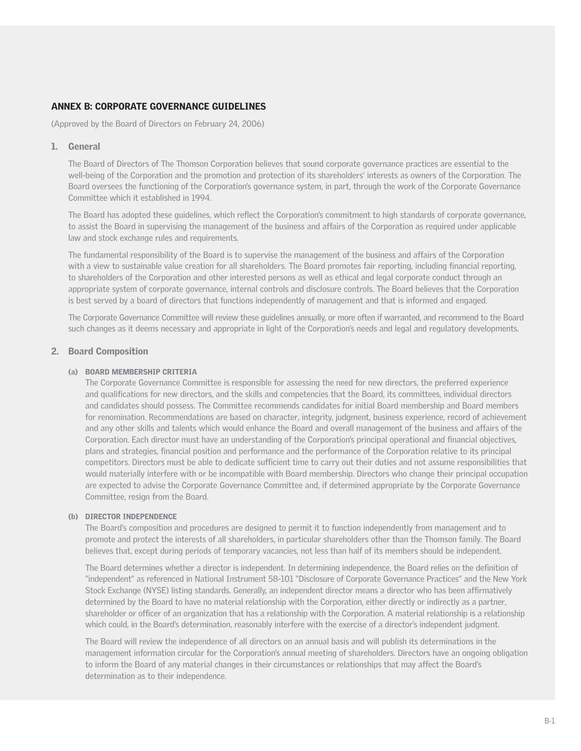### ANNEX B: CORPORATE GOVERNANCE GUIDELINES

(Approved by the Board of Directors on February 24, 2006)

#### 1. General

The Board of Directors of The Thomson Corporation believes that sound corporate governance practices are essential to the well-being of the Corporation and the promotion and protection of its shareholders' interests as owners of the Corporation. The Board oversees the functioning of the Corporation's governance system, in part, through the work of the Corporate Governance Committee which it established in 1994.

The Board has adopted these guidelines, which reflect the Corporation's commitment to high standards of corporate governance, to assist the Board in supervising the management of the business and affairs of the Corporation as required under applicable law and stock exchange rules and requirements.

The fundamental responsibility of the Board is to supervise the management of the business and affairs of the Corporation with a view to sustainable value creation for all shareholders. The Board promotes fair reporting, including financial reporting, to shareholders of the Corporation and other interested persons as well as ethical and legal corporate conduct through an appropriate system of corporate governance, internal controls and disclosure controls. The Board believes that the Corporation is best served by a board of directors that functions independently of management and that is informed and engaged.

The Corporate Governance Committee will review these guidelines annually, or more often if warranted, and recommend to the Board such changes as it deems necessary and appropriate in light of the Corporation's needs and legal and regulatory developments.

#### 2. Board Composition

#### (a) BOARD MEMBERSHIP CRITERIA

The Corporate Governance Committee is responsible for assessing the need for new directors, the preferred experience and qualifications for new directors, and the skills and competencies that the Board, its committees, individual directors and candidates should possess. The Committee recommends candidates for initial Board membership and Board members for renomination. Recommendations are based on character, integrity, judgment, business experience, record of achievement and any other skills and talents which would enhance the Board and overall management of the business and affairs of the Corporation. Each director must have an understanding of the Corporation's principal operational and financial objectives, plans and strategies, financial position and performance and the performance of the Corporation relative to its principal competitors. Directors must be able to dedicate sufficient time to carry out their duties and not assume responsibilities that would materially interfere with or be incompatible with Board membership. Directors who change their principal occupation are expected to advise the Corporate Governance Committee and, if determined appropriate by the Corporate Governance Committee, resign from the Board.

#### (b) DIRECTOR INDEPENDENCE

The Board's composition and procedures are designed to permit it to function independently from management and to promote and protect the interests of all shareholders, in particular shareholders other than the Thomson family. The Board believes that, except during periods of temporary vacancies, not less than half of its members should be independent.

The Board determines whether a director is independent. In determining independence, the Board relies on the definition of "independent" as referenced in National Instrument 58-101 "Disclosure of Corporate Governance Practices" and the New York Stock Exchange (NYSE) listing standards. Generally, an independent director means a director who has been affirmatively determined by the Board to have no material relationship with the Corporation, either directly or indirectly as a partner, shareholder or officer of an organization that has a relationship with the Corporation. A material relationship is a relationship which could, in the Board's determination, reasonably interfere with the exercise of a director's independent judgment.

The Board will review the independence of all directors on an annual basis and will publish its determinations in the management information circular for the Corporation's annual meeting of shareholders. Directors have an ongoing obligation to inform the Board of any material changes in their circumstances or relationships that may affect the Board's determination as to their independence.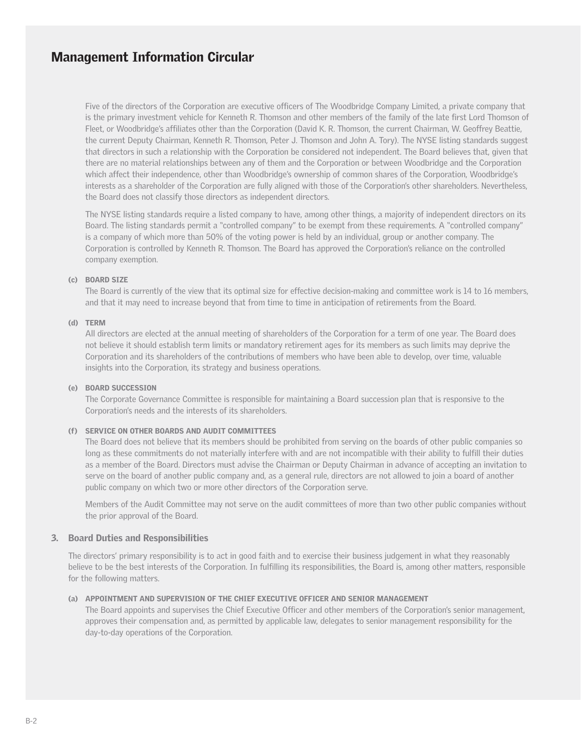Five of the directors of the Corporation are executive officers of The Woodbridge Company Limited, a private company that is the primary investment vehicle for Kenneth R. Thomson and other members of the family of the late first Lord Thomson of Fleet, or Woodbridge's affiliates other than the Corporation (David K. R. Thomson, the current Chairman, W. Geoffrey Beattie, the current Deputy Chairman, Kenneth R. Thomson, Peter J. Thomson and John A. Tory). The NYSE listing standards suggest that directors in such a relationship with the Corporation be considered not independent. The Board believes that, given that there are no material relationships between any of them and the Corporation or between Woodbridge and the Corporation which affect their independence, other than Woodbridge's ownership of common shares of the Corporation, Woodbridge's interests as a shareholder of the Corporation are fully aligned with those of the Corporation's other shareholders. Nevertheless, the Board does not classify those directors as independent directors.

The NYSE listing standards require a listed company to have, among other things, a majority of independent directors on its Board. The listing standards permit a "controlled company" to be exempt from these requirements. A "controlled company" is a company of which more than 50% of the voting power is held by an individual, group or another company. The Corporation is controlled by Kenneth R. Thomson. The Board has approved the Corporation's reliance on the controlled company exemption.

#### (c) BOARD SIZE

The Board is currently of the view that its optimal size for effective decision-making and committee work is 14 to 16 members, and that it may need to increase beyond that from time to time in anticipation of retirements from the Board.

#### (d) TERM

All directors are elected at the annual meeting of shareholders of the Corporation for a term of one year. The Board does not believe it should establish term limits or mandatory retirement ages for its members as such limits may deprive the Corporation and its shareholders of the contributions of members who have been able to develop, over time, valuable insights into the Corporation, its strategy and business operations.

#### (e) BOARD SUCCESSION

The Corporate Governance Committee is responsible for maintaining a Board succession plan that is responsive to the Corporation's needs and the interests of its shareholders.

#### (f) SERVICE ON OTHER BOARDS AND AUDIT COMMITTEES

The Board does not believe that its members should be prohibited from serving on the boards of other public companies so long as these commitments do not materially interfere with and are not incompatible with their ability to fulfill their duties as a member of the Board. Directors must advise the Chairman or Deputy Chairman in advance of accepting an invitation to serve on the board of another public company and, as a general rule, directors are not allowed to join a board of another public company on which two or more other directors of the Corporation serve.

Members of the Audit Committee may not serve on the audit committees of more than two other public companies without the prior approval of the Board.

#### 3. Board Duties and Responsibilities

The directors' primary responsibility is to act in good faith and to exercise their business judgement in what they reasonably believe to be the best interests of the Corporation. In fulfilling its responsibilities, the Board is, among other matters, responsible for the following matters.

#### (a) APPOINTMENT AND SUPERVISION OF THE CHIEF EXECUTIVE OFFICER AND SENIOR MANAGEMENT

The Board appoints and supervises the Chief Executive Officer and other members of the Corporation's senior management, approves their compensation and, as permitted by applicable law, delegates to senior management responsibility for the day-to-day operations of the Corporation.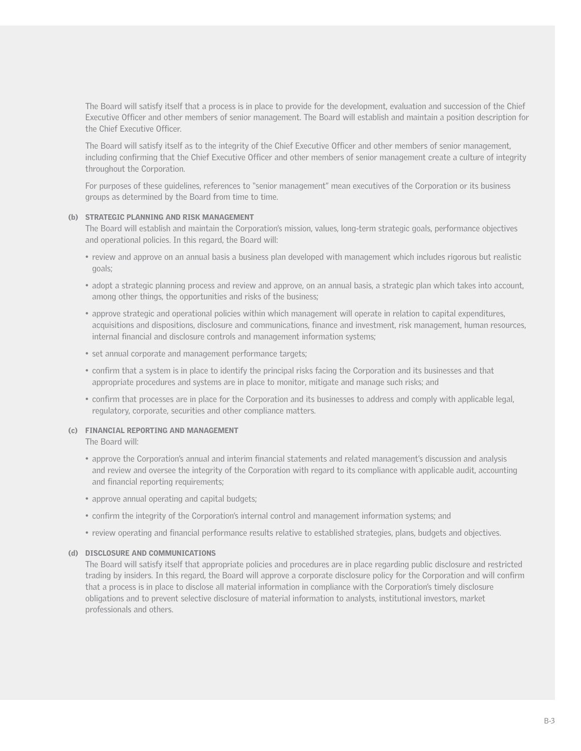The Board will satisfy itself that a process is in place to provide for the development, evaluation and succession of the Chief Executive Officer and other members of senior management. The Board will establish and maintain a position description for the Chief Executive Officer.

The Board will satisfy itself as to the integrity of the Chief Executive Officer and other members of senior management, including confirming that the Chief Executive Officer and other members of senior management create a culture of integrity throughout the Corporation.

For purposes of these guidelines, references to "senior management" mean executives of the Corporation or its business groups as determined by the Board from time to time.

#### (b) STRATEGIC PLANNING AND RISK MANAGEMENT

The Board will establish and maintain the Corporation's mission, values, long-term strategic goals, performance objectives and operational policies. In this regard, the Board will:

- review and approve on an annual basis a business plan developed with management which includes rigorous but realistic goals;
- adopt a strategic planning process and review and approve, on an annual basis, a strategic plan which takes into account, among other things, the opportunities and risks of the business;
- approve strategic and operational policies within which management will operate in relation to capital expenditures, acquisitions and dispositions, disclosure and communications, finance and investment, risk management, human resources, internal financial and disclosure controls and management information systems;
- set annual corporate and management performance targets;
- confirm that a system is in place to identify the principal risks facing the Corporation and its businesses and that appropriate procedures and systems are in place to monitor, mitigate and manage such risks; and
- confirm that processes are in place for the Corporation and its businesses to address and comply with applicable legal, regulatory, corporate, securities and other compliance matters.

#### (c) FINANCIAL REPORTING AND MANAGEMENT

The Board will:

- approve the Corporation's annual and interim financial statements and related management's discussion and analysis and review and oversee the integrity of the Corporation with regard to its compliance with applicable audit, accounting and financial reporting requirements;
- approve annual operating and capital budgets;
- confirm the integrity of the Corporation's internal control and management information systems; and
- review operating and financial performance results relative to established strategies, plans, budgets and objectives.

#### (d) DISCLOSURE AND COMMUNICATIONS

The Board will satisfy itself that appropriate policies and procedures are in place regarding public disclosure and restricted trading by insiders. In this regard, the Board will approve a corporate disclosure policy for the Corporation and will confirm that a process is in place to disclose all material information in compliance with the Corporation's timely disclosure obligations and to prevent selective disclosure of material information to analysts, institutional investors, market professionals and others.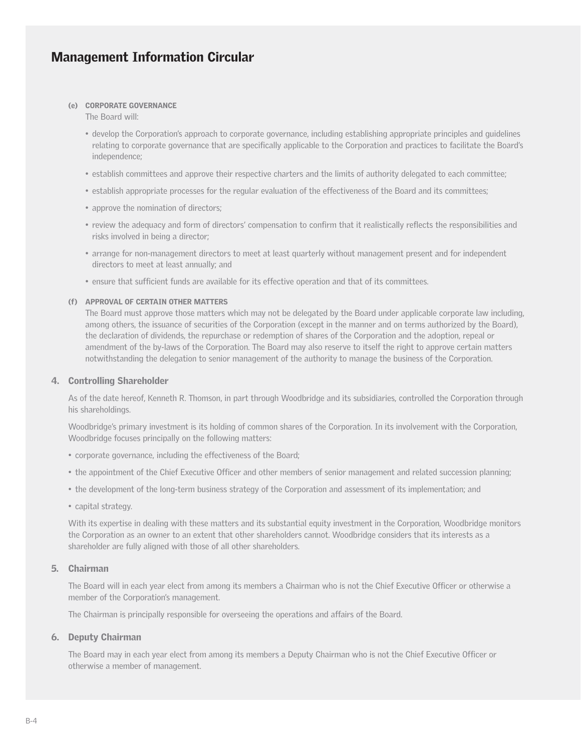#### (e) CORPORATE GOVERNANCE

The Board will:

- develop the Corporation's approach to corporate governance, including establishing appropriate principles and guidelines relating to corporate governance that are specifically applicable to the Corporation and practices to facilitate the Board's independence;
- establish committees and approve their respective charters and the limits of authority delegated to each committee;
- establish appropriate processes for the regular evaluation of the effectiveness of the Board and its committees;
- approve the nomination of directors;
- review the adequacy and form of directors' compensation to confirm that it realistically reflects the responsibilities and risks involved in being a director;
- arrange for non-management directors to meet at least quarterly without management present and for independent directors to meet at least annually; and
- ensure that sufficient funds are available for its effective operation and that of its committees.

#### (f) APPROVAL OF CERTAIN OTHER MATTERS

The Board must approve those matters which may not be delegated by the Board under applicable corporate law including, among others, the issuance of securities of the Corporation (except in the manner and on terms authorized by the Board), the declaration of dividends, the repurchase or redemption of shares of the Corporation and the adoption, repeal or amendment of the by-laws of the Corporation. The Board may also reserve to itself the right to approve certain matters notwithstanding the delegation to senior management of the authority to manage the business of the Corporation.

#### 4. Controlling Shareholder

As of the date hereof, Kenneth R. Thomson, in part through Woodbridge and its subsidiaries, controlled the Corporation through his shareholdings.

Woodbridge's primary investment is its holding of common shares of the Corporation. In its involvement with the Corporation, Woodbridge focuses principally on the following matters:

- corporate governance, including the effectiveness of the Board;
- the appointment of the Chief Executive Officer and other members of senior management and related succession planning;
- the development of the long-term business strategy of the Corporation and assessment of its implementation; and
- capital strategy.

With its expertise in dealing with these matters and its substantial equity investment in the Corporation, Woodbridge monitors the Corporation as an owner to an extent that other shareholders cannot. Woodbridge considers that its interests as a shareholder are fully aligned with those of all other shareholders.

#### 5. Chairman

The Board will in each year elect from among its members a Chairman who is not the Chief Executive Officer or otherwise a member of the Corporation's management.

The Chairman is principally responsible for overseeing the operations and affairs of the Board.

#### 6. Deputy Chairman

The Board may in each year elect from among its members a Deputy Chairman who is not the Chief Executive Officer or otherwise a member of management.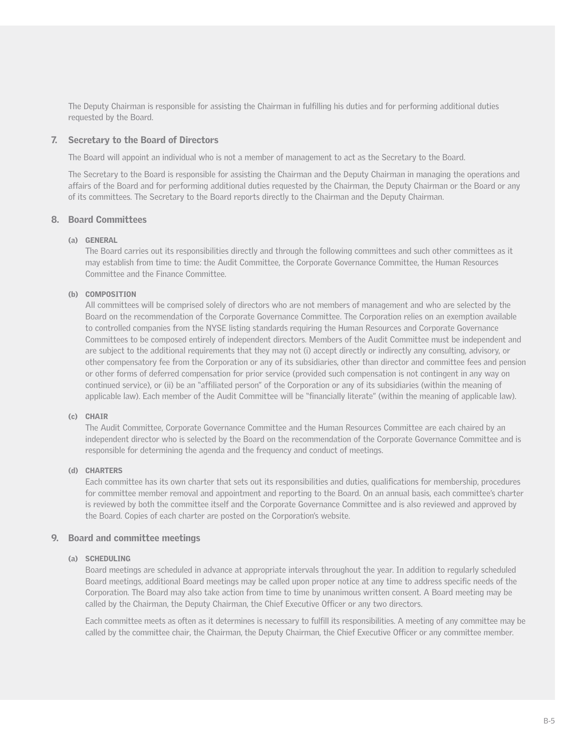The Deputy Chairman is responsible for assisting the Chairman in fulfilling his duties and for performing additional duties requested by the Board.

#### 7. Secretary to the Board of Directors

The Board will appoint an individual who is not a member of management to act as the Secretary to the Board.

The Secretary to the Board is responsible for assisting the Chairman and the Deputy Chairman in managing the operations and affairs of the Board and for performing additional duties requested by the Chairman, the Deputy Chairman or the Board or any of its committees. The Secretary to the Board reports directly to the Chairman and the Deputy Chairman.

#### 8. Board Committees

#### (a) GENERAL

The Board carries out its responsibilities directly and through the following committees and such other committees as it may establish from time to time: the Audit Committee, the Corporate Governance Committee, the Human Resources Committee and the Finance Committee.

### (b) COMPOSITION

All committees will be comprised solely of directors who are not members of management and who are selected by the Board on the recommendation of the Corporate Governance Committee. The Corporation relies on an exemption available to controlled companies from the NYSE listing standards requiring the Human Resources and Corporate Governance Committees to be composed entirely of independent directors. Members of the Audit Committee must be independent and are subject to the additional requirements that they may not (i) accept directly or indirectly any consulting, advisory, or other compensatory fee from the Corporation or any of its subsidiaries, other than director and committee fees and pension or other forms of deferred compensation for prior service (provided such compensation is not contingent in any way on continued service), or (ii) be an "affiliated person" of the Corporation or any of its subsidiaries (within the meaning of applicable law). Each member of the Audit Committee will be "financially literate" (within the meaning of applicable law).

#### (c) CHAIR

The Audit Committee, Corporate Governance Committee and the Human Resources Committee are each chaired by an independent director who is selected by the Board on the recommendation of the Corporate Governance Committee and is responsible for determining the agenda and the frequency and conduct of meetings.

#### (d) CHARTERS

Each committee has its own charter that sets out its responsibilities and duties, qualifications for membership, procedures for committee member removal and appointment and reporting to the Board. On an annual basis, each committee's charter is reviewed by both the committee itself and the Corporate Governance Committee and is also reviewed and approved by the Board. Copies of each charter are posted on the Corporation's website.

#### 9. Board and committee meetings

#### (a) SCHEDULING

Board meetings are scheduled in advance at appropriate intervals throughout the year. In addition to regularly scheduled Board meetings, additional Board meetings may be called upon proper notice at any time to address specific needs of the Corporation. The Board may also take action from time to time by unanimous written consent. A Board meeting may be called by the Chairman, the Deputy Chairman, the Chief Executive Officer or any two directors.

Each committee meets as often as it determines is necessary to fulfill its responsibilities. A meeting of any committee may be called by the committee chair, the Chairman, the Deputy Chairman, the Chief Executive Officer or any committee member.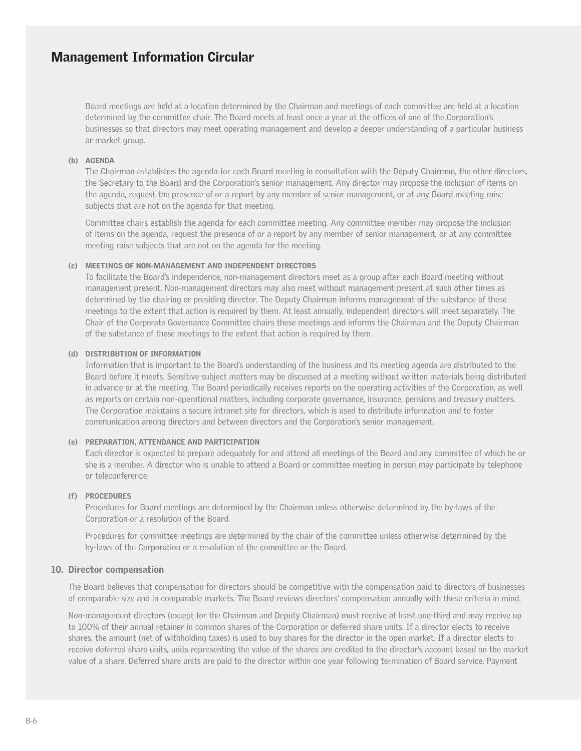Board meetings are held at a location determined by the Chairman and meetings of each committee are held at a location determined by the committee chair. The Board meets at least once a year at the offices of one of the Corporation's businesses so that directors may meet operating management and develop a deeper understanding of a particular business or market group.

#### (b) AGENDA

The Chairman establishes the agenda for each Board meeting in consultation with the Deputy Chairman, the other directors, the Secretary to the Board and the Corporation's senior management. Any director may propose the inclusion of items on the agenda, request the presence of or a report by any member of senior management, or at any Board meeting raise subjects that are not on the agenda for that meeting.

Committee chairs establish the agenda for each committee meeting. Any committee member may propose the inclusion of items on the agenda, request the presence of or a report by any member of senior management, or at any committee meeting raise subjects that are not on the agenda for the meeting.

#### (c) MEETINGS OF NON-MANAGEMENT AND INDEPENDENT DIRECTORS

To facilitate the Board's independence, non-management directors meet as a group after each Board meeting without management present. Non-management directors may also meet without management present at such other times as determined by the chairing or presiding director. The Deputy Chairman informs management of the substance of these meetings to the extent that action is required by them. At least annually, independent directors will meet separately. The Chair of the Corporate Governance Committee chairs these meetings and informs the Chairman and the Deputy Chairman of the substance of these meetings to the extent that action is required by them.

#### (d) DISTRIBUTION OF INFORMATION

Information that is important to the Board's understanding of the business and its meeting agenda are distributed to the Board before it meets. Sensitive subject matters may be discussed at a meeting without written materials being distributed in advance or at the meeting. The Board periodically receives reports on the operating activities of the Corporation, as well as reports on certain non-operational matters, including corporate governance, insurance, pensions and treasury matters. The Corporation maintains a secure intranet site for directors, which is used to distribute information and to foster communication among directors and between directors and the Corporation's senior management.

#### (e) PREPARATION, ATTENDANCE AND PARTICIPATION

Each director is expected to prepare adequately for and attend all meetings of the Board and any committee of which he or she is a member. A director who is unable to attend a Board or committee meeting in person may participate by telephone or teleconference.

#### (f) PROCEDURES

Procedures for Board meetings are determined by the Chairman unless otherwise determined by the by-laws of the Corporation or a resolution of the Board.

Procedures for committee meetings are determined by the chair of the committee unless otherwise determined by the by-laws of the Corporation or a resolution of the committee or the Board.

#### 10. Director compensation

The Board believes that compensation for directors should be competitive with the compensation paid to directors of businesses of comparable size and in comparable markets. The Board reviews directors' compensation annually with these criteria in mind.

Non-management directors (except for the Chairman and Deputy Chairman) must receive at least one-third and may receive up to 100% of their annual retainer in common shares of the Corporation or deferred share units. If a director elects to receive shares, the amount (net of withholding taxes) is used to buy shares for the director in the open market. If a director elects to receive deferred share units, units representing the value of the shares are credited to the director's account based on the market value of a share. Deferred share units are paid to the director within one year following termination of Board service. Payment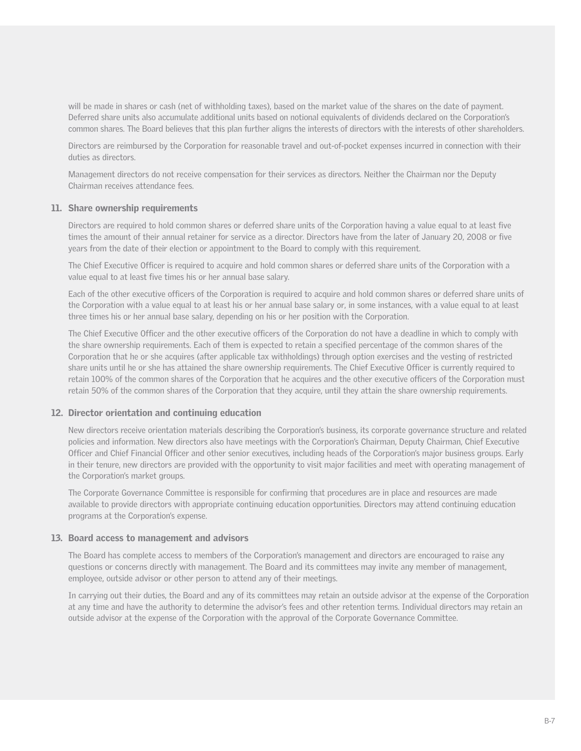will be made in shares or cash (net of withholding taxes), based on the market value of the shares on the date of payment. Deferred share units also accumulate additional units based on notional equivalents of dividends declared on the Corporation's common shares. The Board believes that this plan further aligns the interests of directors with the interests of other shareholders.

Directors are reimbursed by the Corporation for reasonable travel and out-of-pocket expenses incurred in connection with their duties as directors.

Management directors do not receive compensation for their services as directors. Neither the Chairman nor the Deputy Chairman receives attendance fees.

#### 11. Share ownership requirements

Directors are required to hold common shares or deferred share units of the Corporation having a value equal to at least five times the amount of their annual retainer for service as a director. Directors have from the later of January 20, 2008 or five years from the date of their election or appointment to the Board to comply with this requirement.

The Chief Executive Officer is required to acquire and hold common shares or deferred share units of the Corporation with a value equal to at least five times his or her annual base salary.

Each of the other executive officers of the Corporation is required to acquire and hold common shares or deferred share units of the Corporation with a value equal to at least his or her annual base salary or, in some instances, with a value equal to at least three times his or her annual base salary, depending on his or her position with the Corporation.

The Chief Executive Officer and the other executive officers of the Corporation do not have a deadline in which to comply with the share ownership requirements. Each of them is expected to retain a specified percentage of the common shares of the Corporation that he or she acquires (after applicable tax withholdings) through option exercises and the vesting of restricted share units until he or she has attained the share ownership requirements. The Chief Executive Officer is currently required to retain 100% of the common shares of the Corporation that he acquires and the other executive officers of the Corporation must retain 50% of the common shares of the Corporation that they acquire, until they attain the share ownership requirements.

#### 12. Director orientation and continuing education

New directors receive orientation materials describing the Corporation's business, its corporate governance structure and related policies and information. New directors also have meetings with the Corporation's Chairman, Deputy Chairman, Chief Executive Officer and Chief Financial Officer and other senior executives, including heads of the Corporation's major business groups. Early in their tenure, new directors are provided with the opportunity to visit major facilities and meet with operating management of the Corporation's market groups.

The Corporate Governance Committee is responsible for confirming that procedures are in place and resources are made available to provide directors with appropriate continuing education opportunities. Directors may attend continuing education programs at the Corporation's expense.

#### 13. Board access to management and advisors

The Board has complete access to members of the Corporation's management and directors are encouraged to raise any questions or concerns directly with management. The Board and its committees may invite any member of management, employee, outside advisor or other person to attend any of their meetings.

In carrying out their duties, the Board and any of its committees may retain an outside advisor at the expense of the Corporation at any time and have the authority to determine the advisor's fees and other retention terms. Individual directors may retain an outside advisor at the expense of the Corporation with the approval of the Corporate Governance Committee.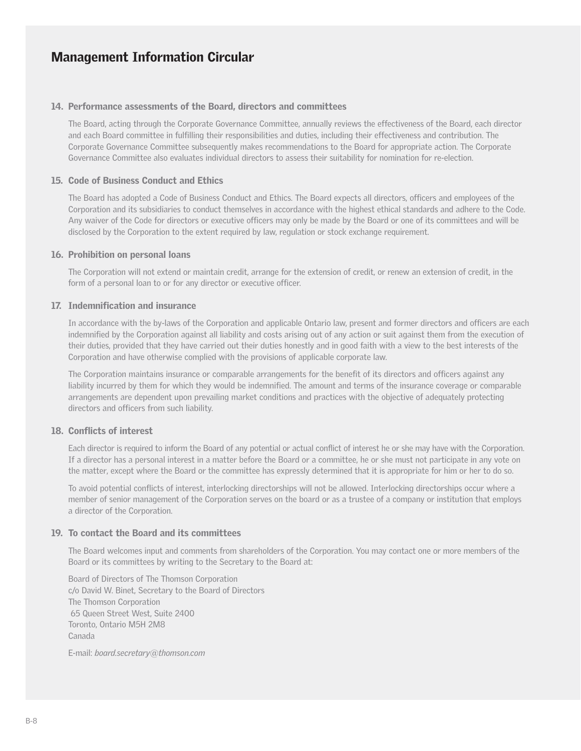#### 14. Performance assessments of the Board, directors and committees

The Board, acting through the Corporate Governance Committee, annually reviews the effectiveness of the Board, each director and each Board committee in fulfilling their responsibilities and duties, including their effectiveness and contribution. The Corporate Governance Committee subsequently makes recommendations to the Board for appropriate action. The Corporate Governance Committee also evaluates individual directors to assess their suitability for nomination for re-election.

#### 15. Code of Business Conduct and Ethics

The Board has adopted a Code of Business Conduct and Ethics. The Board expects all directors, officers and employees of the Corporation and its subsidiaries to conduct themselves in accordance with the highest ethical standards and adhere to the Code. Any waiver of the Code for directors or executive officers may only be made by the Board or one of its committees and will be disclosed by the Corporation to the extent required by law, regulation or stock exchange requirement.

#### 16. Prohibition on personal loans

The Corporation will not extend or maintain credit, arrange for the extension of credit, or renew an extension of credit, in the form of a personal loan to or for any director or executive officer.

#### 17. Indemnification and insurance

In accordance with the by-laws of the Corporation and applicable Ontario law, present and former directors and officers are each indemnified by the Corporation against all liability and costs arising out of any action or suit against them from the execution of their duties, provided that they have carried out their duties honestly and in good faith with a view to the best interests of the Corporation and have otherwise complied with the provisions of applicable corporate law.

The Corporation maintains insurance or comparable arrangements for the benefit of its directors and officers against any liability incurred by them for which they would be indemnified. The amount and terms of the insurance coverage or comparable arrangements are dependent upon prevailing market conditions and practices with the objective of adequately protecting directors and officers from such liability.

#### 18. Conflicts of interest

Each director is required to inform the Board of any potential or actual conflict of interest he or she may have with the Corporation. If a director has a personal interest in a matter before the Board or a committee, he or she must not participate in any vote on the matter, except where the Board or the committee has expressly determined that it is appropriate for him or her to do so.

To avoid potential conflicts of interest, interlocking directorships will not be allowed. Interlocking directorships occur where a member of senior management of the Corporation serves on the board or as a trustee of a company or institution that employs a director of the Corporation.

#### 19. To contact the Board and its committees

The Board welcomes input and comments from shareholders of the Corporation. You may contact one or more members of the Board or its committees by writing to the Secretary to the Board at:

Board of Directors of The Thomson Corporation c/o David W. Binet, Secretary to the Board of Directors The Thomson Corporation 65 Queen Street West, Suite 2400 Toronto, Ontario M5H 2M8 Canada

E-mail: *board.secretary@thomson.com*